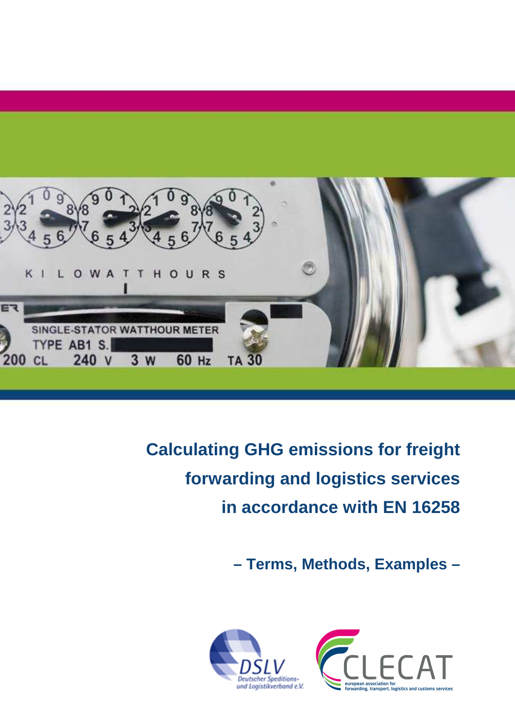

**Calculating GHG emissions for freight forwarding and logistics services in accordance with EN 16258** 

**– Terms, Methods, Examples –** 



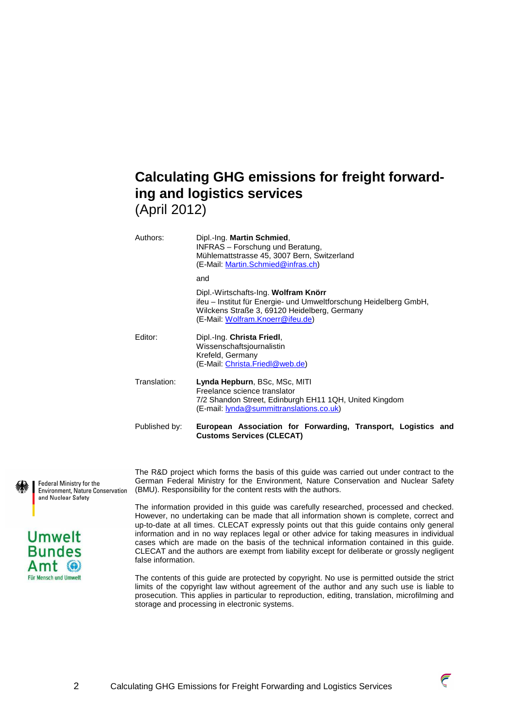# **Calculating GHG emissions for freight forwarding and logistics services**  (April 2012)

| Authors:      | Dipl.-Ing. Martin Schmied,<br><b>INFRAS</b> – Forschung und Beratung,<br>Mühlemattstrasse 45, 3007 Bern, Switzerland<br>(E-Mail: Martin.Schmied@infras.ch)                                    |
|---------------|-----------------------------------------------------------------------------------------------------------------------------------------------------------------------------------------------|
|               | and                                                                                                                                                                                           |
|               | Dipl.-Wirtschafts-Ing. Wolfram Knörr<br>ifeu - Institut für Energie- und Umweltforschung Heidelberg GmbH,<br>Wilckens Straße 3, 69120 Heidelberg, Germany<br>(E-Mail: Wolfram.Knoerr@ifeu.de) |
| Editor:       | Dipl.-Ing. Christa Friedl,<br>Wissenschaftsjournalistin<br>Krefeld, Germany<br>(E-Mail: Christa.Friedl@web.de)                                                                                |
| Translation:  | Lynda Hepburn, BSc, MSc, MITI<br>Freelance science translator<br>7/2 Shandon Street, Edinburgh EH11 1QH, United Kingdom<br>(E-mail: lynda@summittranslations.co.uk)                           |
| Published by: | European Association for Forwarding, Transport, Logistics and<br><b>Customs Services (CLECAT)</b>                                                                                             |

Federal Ministry for the Environment, Nature Conservation and Nuclear Safety



The R&D project which forms the basis of this guide was carried out under contract to the German Federal Ministry for the Environment, Nature Conservation and Nuclear Safety (BMU). Responsibility for the content rests with the authors.

The information provided in this guide was carefully researched, processed and checked. However, no undertaking can be made that all information shown is complete, correct and up-to-date at all times. CLECAT expressly points out that this guide contains only general information and in no way replaces legal or other advice for taking measures in individual cases which are made on the basis of the technical information contained in this guide. CLECAT and the authors are exempt from liability except for deliberate or grossly negligent false information.

The contents of this guide are protected by copyright. No use is permitted outside the strict limits of the copyright law without agreement of the author and any such use is liable to prosecution. This applies in particular to reproduction, editing, translation, microfilming and storage and processing in electronic systems.

 $\overline{\epsilon}$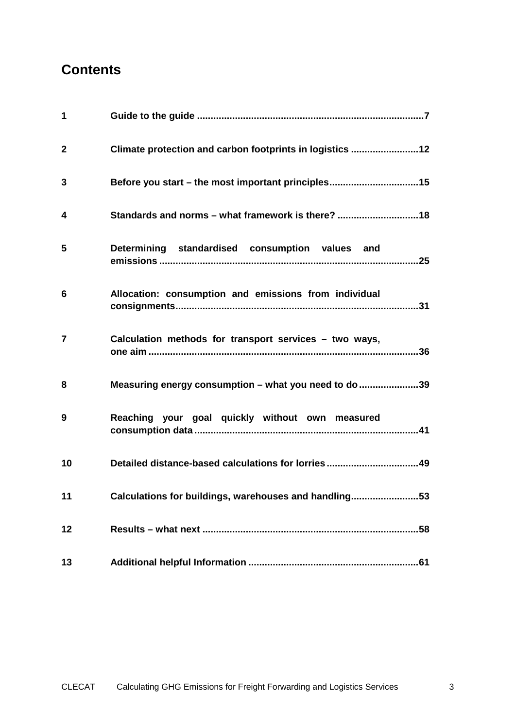# **Contents**

| $\mathbf 1$    |                                                          |
|----------------|----------------------------------------------------------|
| $\mathbf{2}$   | Climate protection and carbon footprints in logistics 12 |
| 3              |                                                          |
| 4              | Standards and norms - what framework is there? 18        |
| 5              | Determining standardised consumption values and          |
| 6              | Allocation: consumption and emissions from individual    |
| $\overline{7}$ | Calculation methods for transport services – two ways,   |
| 8              | Measuring energy consumption - what you need to do 39    |
| 9              | Reaching your goal quickly without own measured          |
| 10             |                                                          |
| 11             | Calculations for buildings, warehouses and handling53    |
| 12             |                                                          |
| 13             |                                                          |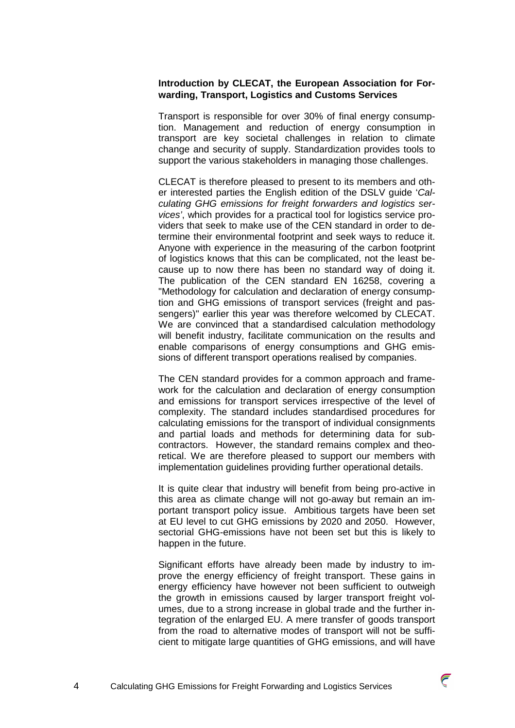### **Introduction by CLECAT, the European Association for Forwarding, Transport, Logistics and Customs Services**

Transport is responsible for over 30% of final energy consumption. Management and reduction of energy consumption in transport are key societal challenges in relation to climate change and security of supply. Standardization provides tools to support the various stakeholders in managing those challenges.

CLECAT is therefore pleased to present to its members and other interested parties the English edition of the DSLV guide 'Calculating GHG emissions for freight forwarders and logistics services', which provides for a practical tool for logistics service providers that seek to make use of the CEN standard in order to determine their environmental footprint and seek ways to reduce it. Anyone with experience in the measuring of the carbon footprint of logistics knows that this can be complicated, not the least because up to now there has been no standard way of doing it. The publication of the CEN standard EN 16258, covering a "Methodology for calculation and declaration of energy consumption and GHG emissions of transport services (freight and passengers)" earlier this year was therefore welcomed by CLECAT. We are convinced that a standardised calculation methodology will benefit industry, facilitate communication on the results and enable comparisons of energy consumptions and GHG emissions of different transport operations realised by companies.

The CEN standard provides for a common approach and framework for the calculation and declaration of energy consumption and emissions for transport services irrespective of the level of complexity. The standard includes standardised procedures for calculating emissions for the transport of individual consignments and partial loads and methods for determining data for subcontractors. However, the standard remains complex and theoretical. We are therefore pleased to support our members with implementation guidelines providing further operational details.

It is quite clear that industry will benefit from being pro-active in this area as climate change will not go-away but remain an important transport policy issue. Ambitious targets have been set at EU level to cut GHG emissions by 2020 and 2050. However, sectorial GHG-emissions have not been set but this is likely to happen in the future.

Significant efforts have already been made by industry to improve the energy efficiency of freight transport. These gains in energy efficiency have however not been sufficient to outweigh the growth in emissions caused by larger transport freight volumes, due to a strong increase in global trade and the further integration of the enlarged EU. A mere transfer of goods transport from the road to alternative modes of transport will not be sufficient to mitigate large quantities of GHG emissions, and will have

 $\overline{\epsilon}$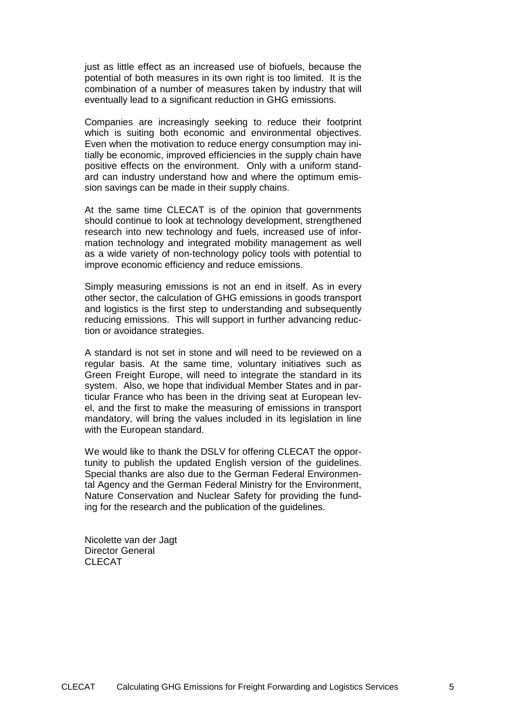just as little effect as an increased use of biofuels, because the potential of both measures in its own right is too limited. It is the combination of a number of measures taken by industry that will eventually lead to a significant reduction in GHG emissions.

Companies are increasingly seeking to reduce their footprint which is suiting both economic and environmental objectives. Even when the motivation to reduce energy consumption may initially be economic, improved efficiencies in the supply chain have positive effects on the environment. Only with a uniform standard can industry understand how and where the optimum emission savings can be made in their supply chains.

At the same time CLECAT is of the opinion that governments should continue to look at technology development, strengthened research into new technology and fuels, increased use of information technology and integrated mobility management as well as a wide variety of non-technology policy tools with potential to improve economic efficiency and reduce emissions.

Simply measuring emissions is not an end in itself. As in every other sector, the calculation of GHG emissions in goods transport and logistics is the first step to understanding and subsequently reducing emissions. This will support in further advancing reduction or avoidance strategies.

A standard is not set in stone and will need to be reviewed on a regular basis. At the same time, voluntary initiatives such as Green Freight Europe, will need to integrate the standard in its system. Also, we hope that individual Member States and in particular France who has been in the driving seat at European level, and the first to make the measuring of emissions in transport mandatory, will bring the values included in its legislation in line with the European standard.

We would like to thank the DSLV for offering CLECAT the opportunity to publish the updated English version of the guidelines. Special thanks are also due to the German Federal Environmental Agency and the German Federal Ministry for the Environment, Nature Conservation and Nuclear Safety for providing the funding for the research and the publication of the guidelines.

Nicolette van der Jagt Director General CLECAT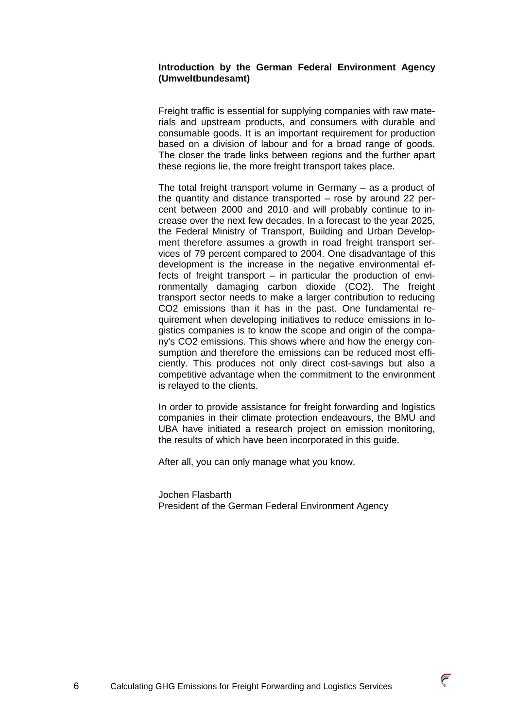# **Introduction by the German Federal Environment Agency (Umweltbundesamt)**

Freight traffic is essential for supplying companies with raw materials and upstream products, and consumers with durable and consumable goods. It is an important requirement for production based on a division of labour and for a broad range of goods. The closer the trade links between regions and the further apart these regions lie, the more freight transport takes place.

The total freight transport volume in Germany – as a product of the quantity and distance transported – rose by around 22 percent between 2000 and 2010 and will probably continue to increase over the next few decades. In a forecast to the year 2025, the Federal Ministry of Transport, Building and Urban Development therefore assumes a growth in road freight transport services of 79 percent compared to 2004. One disadvantage of this development is the increase in the negative environmental effects of freight transport – in particular the production of environmentally damaging carbon dioxide (CO2). The freight transport sector needs to make a larger contribution to reducing CO2 emissions than it has in the past. One fundamental requirement when developing initiatives to reduce emissions in logistics companies is to know the scope and origin of the company's CO2 emissions. This shows where and how the energy consumption and therefore the emissions can be reduced most efficiently. This produces not only direct cost-savings but also a competitive advantage when the commitment to the environment is relayed to the clients.

In order to provide assistance for freight forwarding and logistics companies in their climate protection endeavours, the BMU and UBA have initiated a research project on emission monitoring, the results of which have been incorporated in this guide.

After all, you can only manage what you know.

Jochen Flasbarth President of the German Federal Environment Agency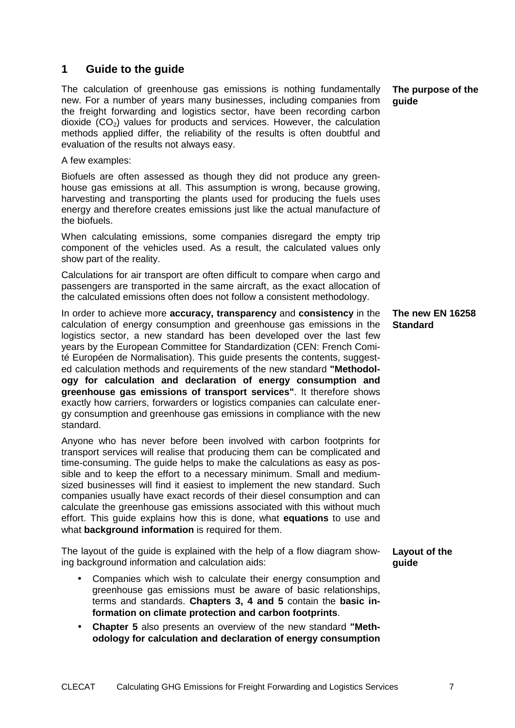# **1 Guide to the guide**

The calculation of greenhouse gas emissions is nothing fundamentally new. For a number of years many businesses, including companies from the freight forwarding and logistics sector, have been recording carbon dioxide  $(CO<sub>2</sub>)$  values for products and services. However, the calculation methods applied differ, the reliability of the results is often doubtful and evaluation of the results not always easy.

A few examples:

Biofuels are often assessed as though they did not produce any greenhouse gas emissions at all. This assumption is wrong, because growing, harvesting and transporting the plants used for producing the fuels uses energy and therefore creates emissions just like the actual manufacture of the biofuels.

When calculating emissions, some companies disregard the empty trip component of the vehicles used. As a result, the calculated values only show part of the reality.

Calculations for air transport are often difficult to compare when cargo and passengers are transported in the same aircraft, as the exact allocation of the calculated emissions often does not follow a consistent methodology.

In order to achieve more **accuracy, transparency** and **consistency** in the calculation of energy consumption and greenhouse gas emissions in the logistics sector, a new standard has been developed over the last few years by the European Committee for Standardization (CEN: French Comité Européen de Normalisation). This guide presents the contents, suggested calculation methods and requirements of the new standard **"Methodology for calculation and declaration of energy consumption and greenhouse gas emissions of transport services"**. It therefore shows exactly how carriers, forwarders or logistics companies can calculate energy consumption and greenhouse gas emissions in compliance with the new standard.

Anyone who has never before been involved with carbon footprints for transport services will realise that producing them can be complicated and time-consuming. The guide helps to make the calculations as easy as possible and to keep the effort to a necessary minimum. Small and mediumsized businesses will find it easiest to implement the new standard. Such companies usually have exact records of their diesel consumption and can calculate the greenhouse gas emissions associated with this without much effort. This guide explains how this is done, what **equations** to use and what **background information** is required for them.

The layout of the guide is explained with the help of a flow diagram showing background information and calculation aids:

- Companies which wish to calculate their energy consumption and greenhouse gas emissions must be aware of basic relationships, terms and standards. **Chapters 3, 4 and 5** contain the **basic information on climate protection and carbon footprints**.
- **Chapter 5** also presents an overview of the new standard **"Methodology for calculation and declaration of energy consumption**

**The purpose of the guide** 

**The new EN 16258 Standard** 

**Layout of the guide**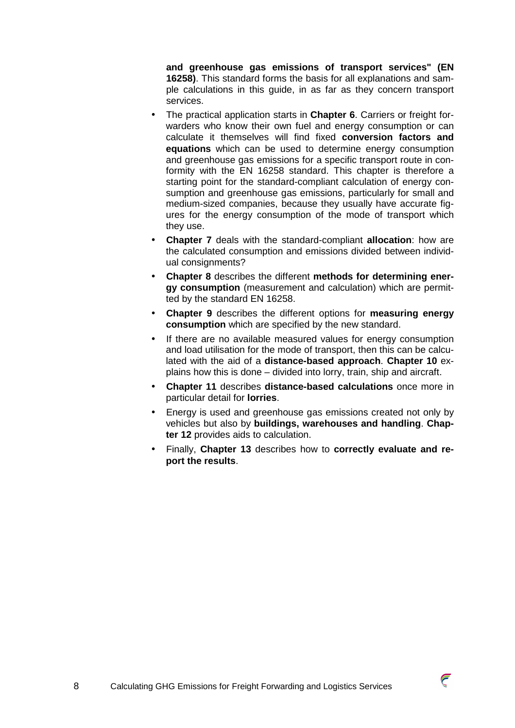**and greenhouse gas emissions of transport services" (EN 16258)**. This standard forms the basis for all explanations and sample calculations in this guide, in as far as they concern transport services.

- The practical application starts in **Chapter 6**. Carriers or freight forwarders who know their own fuel and energy consumption or can calculate it themselves will find fixed **conversion factors and equations** which can be used to determine energy consumption and greenhouse gas emissions for a specific transport route in conformity with the EN 16258 standard. This chapter is therefore a starting point for the standard-compliant calculation of energy consumption and greenhouse gas emissions, particularly for small and medium-sized companies, because they usually have accurate figures for the energy consumption of the mode of transport which they use.
- **Chapter 7** deals with the standard-compliant **allocation**: how are the calculated consumption and emissions divided between individual consignments?
- **Chapter 8** describes the different **methods for determining energy consumption** (measurement and calculation) which are permitted by the standard EN 16258.
- **Chapter 9** describes the different options for **measuring energy consumption** which are specified by the new standard.
- If there are no available measured values for energy consumption and load utilisation for the mode of transport, then this can be calculated with the aid of a **distance-based approach**. **Chapter 10** explains how this is done – divided into lorry, train, ship and aircraft.
- **Chapter 11** describes **distance-based calculations** once more in particular detail for **lorries**.
- Energy is used and greenhouse gas emissions created not only by vehicles but also by **buildings, warehouses and handling**. **Chapter 12** provides aids to calculation.
- Finally, **Chapter 13** describes how to **correctly evaluate and report the results**.



 $\overline{\epsilon}$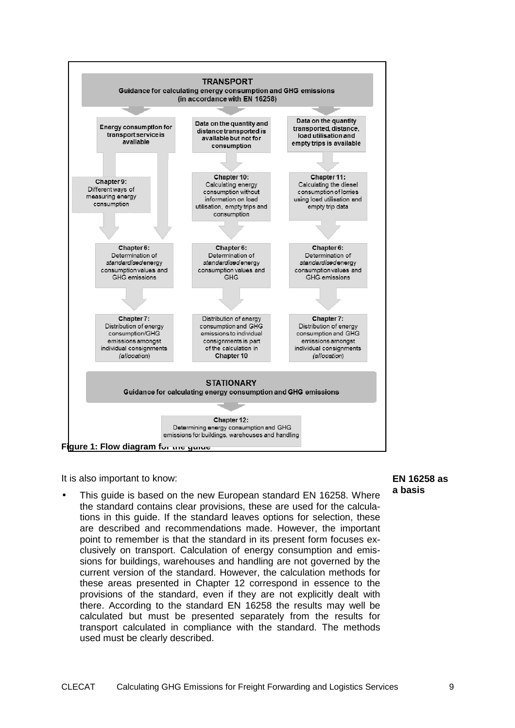

It is also important to know:

This quide is based on the new European standard EN 16258. Where the standard contains clear provisions, these are used for the calculations in this guide. If the standard leaves options for selection, these are described and recommendations made. However, the important point to remember is that the standard in its present form focuses exclusively on transport. Calculation of energy consumption and emissions for buildings, warehouses and handling are not governed by the current version of the standard. However, the calculation methods for these areas presented in Chapter 12 correspond in essence to the provisions of the standard, even if they are not explicitly dealt with there. According to the standard EN 16258 the results may well be calculated but must be presented separately from the results for transport calculated in compliance with the standard. The methods used must be clearly described.

**EN 16258 as a basis**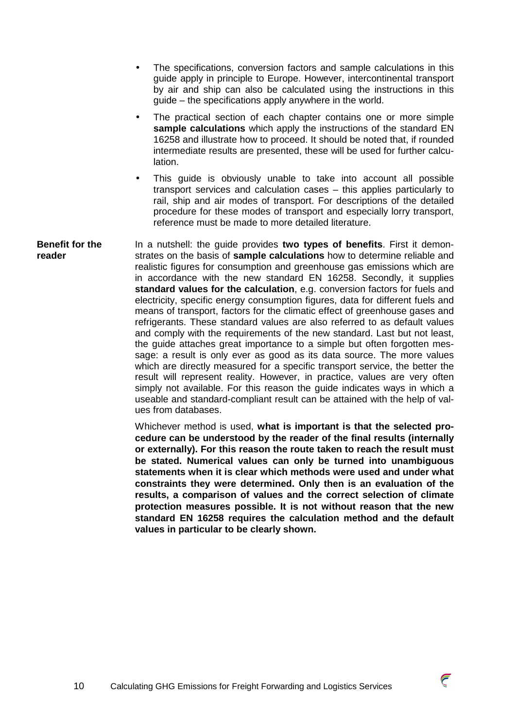- The specifications, conversion factors and sample calculations in this guide apply in principle to Europe. However, intercontinental transport by air and ship can also be calculated using the instructions in this guide – the specifications apply anywhere in the world.
- The practical section of each chapter contains one or more simple **sample calculations** which apply the instructions of the standard EN 16258 and illustrate how to proceed. It should be noted that, if rounded intermediate results are presented, these will be used for further calculation.
- This guide is obviously unable to take into account all possible transport services and calculation cases – this applies particularly to rail, ship and air modes of transport. For descriptions of the detailed procedure for these modes of transport and especially lorry transport, reference must be made to more detailed literature.

In a nutshell: the guide provides **two types of benefits**. First it demonstrates on the basis of **sample calculations** how to determine reliable and realistic figures for consumption and greenhouse gas emissions which are in accordance with the new standard EN 16258. Secondly, it supplies **standard values for the calculation**, e.g. conversion factors for fuels and electricity, specific energy consumption figures, data for different fuels and means of transport, factors for the climatic effect of greenhouse gases and refrigerants. These standard values are also referred to as default values and comply with the requirements of the new standard. Last but not least, the guide attaches great importance to a simple but often forgotten message: a result is only ever as good as its data source. The more values which are directly measured for a specific transport service, the better the result will represent reality. However, in practice, values are very often simply not available. For this reason the guide indicates ways in which a useable and standard-compliant result can be attained with the help of values from databases. **Benefit for the reader** 

Whichever method is used, **what is important is that the selected procedure can be understood by the reader of the final results (internally or externally). For this reason the route taken to reach the result must be stated. Numerical values can only be turned into unambiguous statements when it is clear which methods were used and under what constraints they were determined. Only then is an evaluation of the results, a comparison of values and the correct selection of climate protection measures possible. It is not without reason that the new standard EN 16258 requires the calculation method and the default values in particular to be clearly shown.** 

 $\widehat{\epsilon}$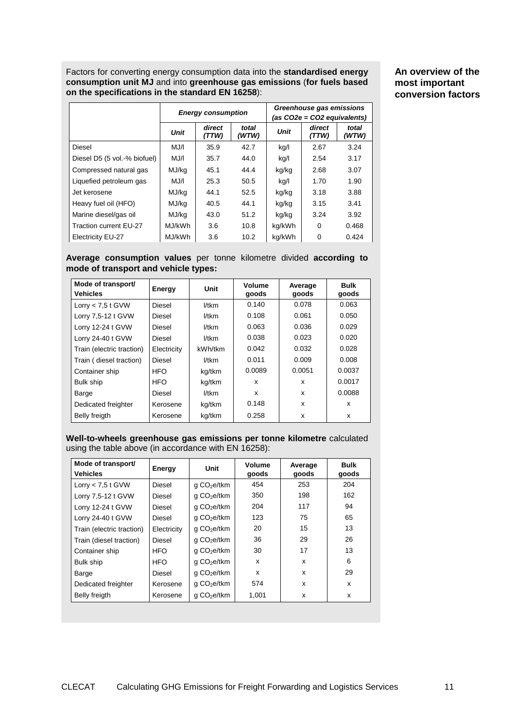Factors for converting energy consumption data into the **standardised energy consumption unit MJ** and into **greenhouse gas emissions** (**for fuels based on the specifications in the standard EN 16258**):

**An overview of the most important conversion factors**

|                              | <b>Energy consumption</b> |                 | Greenhouse gas emissions<br>(as CO2e = CO2 equivalents) |             |                 |                |
|------------------------------|---------------------------|-----------------|---------------------------------------------------------|-------------|-----------------|----------------|
|                              | <b>Unit</b>               | direct<br>(TTW) | total<br>(WTW)                                          | <b>Unit</b> | direct<br>(TTW) | total<br>(WTW) |
| Diesel                       | MJ/I                      | 35.9            | 42.7                                                    | kg/l        | 2.67            | 3.24           |
| Diesel D5 (5 vol.-% biofuel) | MJ/I                      | 35.7            | 44.0                                                    | kg/l        | 2.54            | 3.17           |
| Compressed natural gas       | MJ/kg                     | 45.1            | 44.4                                                    | kg/kg       | 2.68            | 3.07           |
| Liquefied petroleum gas      | MJ/I                      | 25.3            | 50.5                                                    | kg/l        | 1.70            | 1.90           |
| Jet kerosene                 | MJ/kg                     | 44.1            | 52.5                                                    | kg/kg       | 3.18            | 3.88           |
| Heavy fuel oil (HFO)         | MJ/kg                     | 40.5            | 44.1                                                    | kg/kg       | 3.15            | 3.41           |
| Marine diesel/gas oil        | MJ/kg                     | 43.0            | 51.2                                                    | kg/kg       | 3.24            | 3.92           |
| Traction current EU-27       | MJ/kWh                    | 3.6             | 10.8                                                    | kg/kWh      | 0               | 0.468          |
| <b>Electricity EU-27</b>     | MJ/kWh                    | 3.6             | 10.2                                                    | kg/kWh      | 0               | 0.424          |

**Average consumption values** per tonne kilometre divided **according to mode of transport and vehicle types:**

| Mode of transport/<br><b>Vehicles</b> | Energy      | Unit    | Volume<br>goods | Average<br>goods | <b>Bulk</b><br>goods |
|---------------------------------------|-------------|---------|-----------------|------------------|----------------------|
| Lorry $< 7.5$ t GVW                   | Diesel      | 1/tkm   | 0.140           | 0.078            | 0.063                |
| Lorry 7,5-12 t GVW                    | Diesel      | l/tkm   | 0.108           | 0.061            | 0.050                |
| Lorry 12-24 t GVW                     | Diesel      | 1/tkm   | 0.063           | 0.036            | 0.029                |
| Lorry 24-40 t GVW                     | Diesel      | 1/tkm   | 0.038           | 0.023            | 0.020                |
| Train (electric traction)             | Electricity | kWh/tkm | 0.042           | 0.032            | 0.028                |
| Train (diesel traction)               | Diesel      | l/tkm   | 0.011           | 0.009            | 0.008                |
| Container ship                        | <b>HFO</b>  | kg/tkm  | 0.0089          | 0.0051           | 0.0037               |
| <b>Bulk ship</b>                      | <b>HFO</b>  | kg/tkm  | X               | x                | 0.0017               |
| Barge                                 | Diesel      | 1/tkm   | x               | x                | 0.0088               |
| Dedicated freighter                   | Kerosene    | kg/tkm  | 0.148           | x                | x                    |
| Belly freigth                         | Kerosene    | kg/tkm  | 0.258           | x                | x                    |

**Well-to-wheels greenhouse gas emissions per tonne kilometre** calculated using the table above (in accordance with EN 16258):

| Mode of transport/<br><b>Vehicles</b> | Energy      | Unit                    | Volume<br>goods | Average<br>goods | <b>Bulk</b><br>goods |
|---------------------------------------|-------------|-------------------------|-----------------|------------------|----------------------|
| Lorry $< 7.5$ t GVW                   | Diesel      | g CO <sub>2</sub> e/tkm | 454             | 253              | 204                  |
| Lorry 7,5-12 t GVW                    | Diesel      | q CO <sub>2</sub> e/tkm | 350             | 198              | 162                  |
| Lorry 12-24 t GVW                     | Diesel      | g CO <sub>2</sub> e/tkm | 204             | 117              | 94                   |
| Lorry 24-40 t GVW                     | Diesel      | q CO <sub>2</sub> e/tkm | 123             | 75               | 65                   |
| Train (electric traction)             | Electricity | q CO <sub>2</sub> e/tkm | 20              | 15               | 13                   |
| Train (diesel traction)               | Diesel      | q CO <sub>2</sub> e/tkm | 36              | 29               | 26                   |
| Container ship                        | <b>HFO</b>  | q CO <sub>2</sub> e/tkm | 30              | 17               | 13                   |
| Bulk ship                             | <b>HFO</b>  | q CO <sub>2</sub> e/tkm | x               | x                | 6                    |
| Barge                                 | Diesel      | q CO <sub>2</sub> e/tkm | x               | x                | 29                   |
| Dedicated freighter                   | Kerosene    | q CO <sub>2</sub> e/tkm | 574             | x                | x                    |
| Belly freigth                         | Kerosene    | q CO <sub>2</sub> e/tkm | 1,001           | x                | x                    |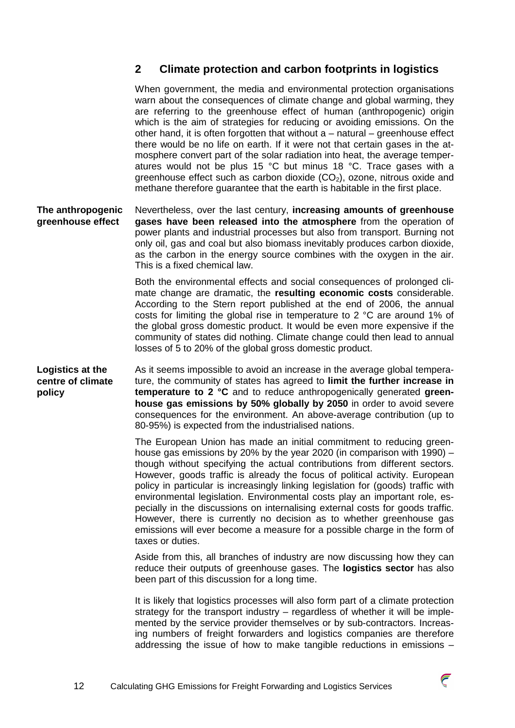# **2 Climate protection and carbon footprints in logistics**

When government, the media and environmental protection organisations warn about the consequences of climate change and global warming, they are referring to the greenhouse effect of human (anthropogenic) origin which is the aim of strategies for reducing or avoiding emissions. On the other hand, it is often forgotten that without a – natural – greenhouse effect there would be no life on earth. If it were not that certain gases in the atmosphere convert part of the solar radiation into heat, the average temperatures would not be plus 15 °C but minus 18 °C. Trace gases with a greenhouse effect such as carbon dioxide  $(CO<sub>2</sub>)$ , ozone, nitrous oxide and methane therefore guarantee that the earth is habitable in the first place.

Nevertheless, over the last century, **increasing amounts of greenhouse gases have been released into the atmosphere** from the operation of power plants and industrial processes but also from transport. Burning not only oil, gas and coal but also biomass inevitably produces carbon dioxide, as the carbon in the energy source combines with the oxygen in the air. This is a fixed chemical law. **The anthropogenic greenhouse effect** 

> Both the environmental effects and social consequences of prolonged climate change are dramatic, the **resulting economic costs** considerable. According to the Stern report published at the end of 2006, the annual costs for limiting the global rise in temperature to 2 °C are around 1% of the global gross domestic product. It would be even more expensive if the community of states did nothing. Climate change could then lead to annual losses of 5 to 20% of the global gross domestic product.

As it seems impossible to avoid an increase in the average global temperature, the community of states has agreed to **limit the further increase in temperature to 2 °C** and to reduce anthropogenically generated **greenhouse gas emissions by 50% globally by 2050** in order to avoid severe consequences for the environment. An above-average contribution (up to 80-95%) is expected from the industrialised nations. **Logistics at the centre of climate policy** 

> The European Union has made an initial commitment to reducing greenhouse gas emissions by 20% by the year 2020 (in comparison with 1990) – though without specifying the actual contributions from different sectors. However, goods traffic is already the focus of political activity. European policy in particular is increasingly linking legislation for (goods) traffic with environmental legislation. Environmental costs play an important role, especially in the discussions on internalising external costs for goods traffic. However, there is currently no decision as to whether greenhouse gas emissions will ever become a measure for a possible charge in the form of taxes or duties.

> Aside from this, all branches of industry are now discussing how they can reduce their outputs of greenhouse gases. The **logistics sector** has also been part of this discussion for a long time.

> It is likely that logistics processes will also form part of a climate protection strategy for the transport industry – regardless of whether it will be implemented by the service provider themselves or by sub-contractors. Increasing numbers of freight forwarders and logistics companies are therefore addressing the issue of how to make tangible reductions in emissions –

> > $\overline{\epsilon}$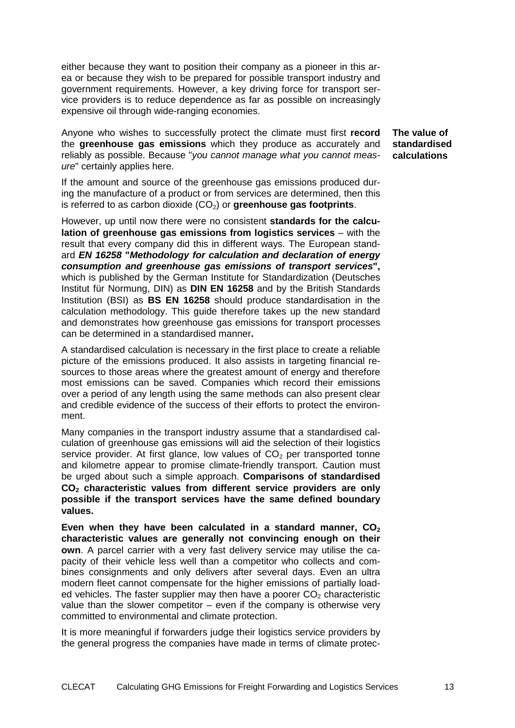either because they want to position their company as a pioneer in this area or because they wish to be prepared for possible transport industry and government requirements. However, a key driving force for transport service providers is to reduce dependence as far as possible on increasingly expensive oil through wide-ranging economies.

Anyone who wishes to successfully protect the climate must first **record** the **greenhouse gas emissions** which they produce as accurately and reliably as possible. Because "you cannot manage what you cannot measure" certainly applies here.

**The value of standardised calculations** 

If the amount and source of the greenhouse gas emissions produced during the manufacture of a product or from services are determined, then this is referred to as carbon dioxide (CO<sub>2</sub>) or **greenhouse gas footprints**.

However, up until now there were no consistent **standards for the calculation of greenhouse gas emissions from logistics services** – with the result that every company did this in different ways. The European standard **EN 16258 "Methodology for calculation and declaration of energy consumption and greenhouse gas emissions of transport services",**  which is published by the German Institute for Standardization (Deutsches Institut für Normung, DIN) as **DIN EN 16258** and by the British Standards Institution (BSI) as **BS EN 16258** should produce standardisation in the calculation methodology. This guide therefore takes up the new standard and demonstrates how greenhouse gas emissions for transport processes can be determined in a standardised manner**.**

A standardised calculation is necessary in the first place to create a reliable picture of the emissions produced. It also assists in targeting financial resources to those areas where the greatest amount of energy and therefore most emissions can be saved. Companies which record their emissions over a period of any length using the same methods can also present clear and credible evidence of the success of their efforts to protect the environment.

Many companies in the transport industry assume that a standardised calculation of greenhouse gas emissions will aid the selection of their logistics service provider. At first glance, low values of  $CO<sub>2</sub>$  per transported tonne and kilometre appear to promise climate-friendly transport. Caution must be urged about such a simple approach. **Comparisons of standardised CO2 characteristic values from different service providers are only possible if the transport services have the same defined boundary values.**

Even when they have been calculated in a standard manner, CO<sub>2</sub> **characteristic values are generally not convincing enough on their own**. A parcel carrier with a very fast delivery service may utilise the capacity of their vehicle less well than a competitor who collects and combines consignments and only delivers after several days. Even an ultra modern fleet cannot compensate for the higher emissions of partially loaded vehicles. The faster supplier may then have a poorer  $CO<sub>2</sub>$  characteristic value than the slower competitor  $-$  even if the company is otherwise very committed to environmental and climate protection.

It is more meaningful if forwarders judge their logistics service providers by the general progress the companies have made in terms of climate protec-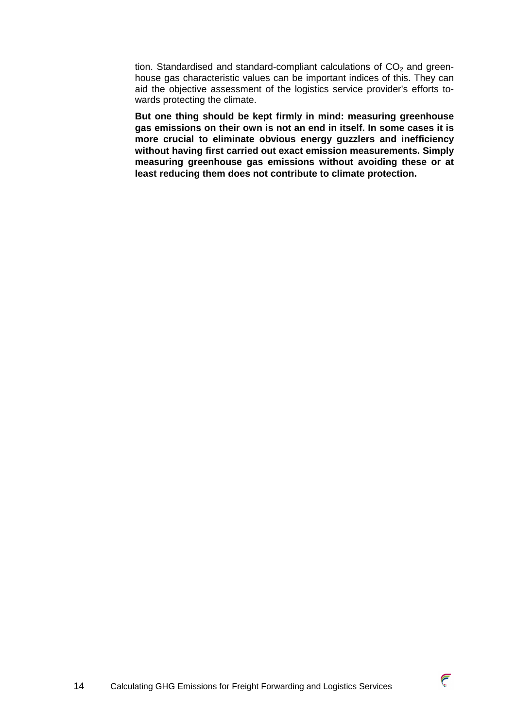tion. Standardised and standard-compliant calculations of  $CO<sub>2</sub>$  and greenhouse gas characteristic values can be important indices of this. They can aid the objective assessment of the logistics service provider's efforts towards protecting the climate.

**But one thing should be kept firmly in mind: measuring greenhouse gas emissions on their own is not an end in itself. In some cases it is more crucial to eliminate obvious energy guzzlers and inefficiency without having first carried out exact emission measurements. Simply measuring greenhouse gas emissions without avoiding these or at least reducing them does not contribute to climate protection.** 

![](_page_13_Picture_3.jpeg)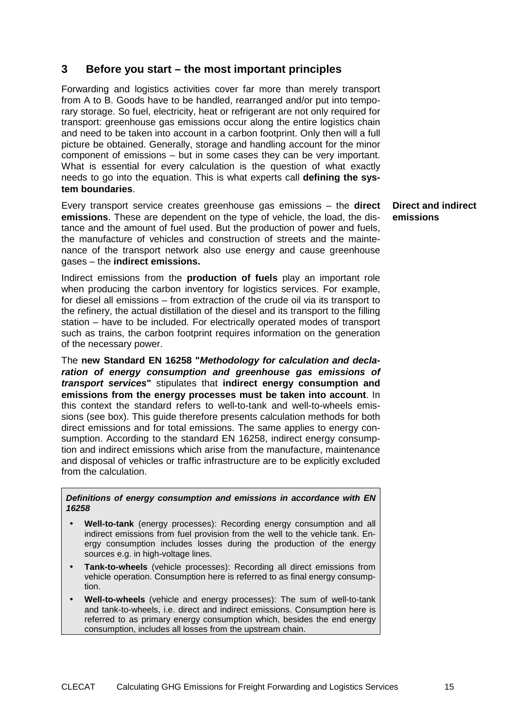# **3 Before you start – the most important principles**

Forwarding and logistics activities cover far more than merely transport from A to B. Goods have to be handled, rearranged and/or put into temporary storage. So fuel, electricity, heat or refrigerant are not only required for transport: greenhouse gas emissions occur along the entire logistics chain and need to be taken into account in a carbon footprint. Only then will a full picture be obtained. Generally, storage and handling account for the minor component of emissions – but in some cases they can be very important. What is essential for every calculation is the question of what exactly needs to go into the equation. This is what experts call **defining the system boundaries**.

Every transport service creates greenhouse gas emissions – the **direct emissions**. These are dependent on the type of vehicle, the load, the distance and the amount of fuel used. But the production of power and fuels, the manufacture of vehicles and construction of streets and the maintenance of the transport network also use energy and cause greenhouse gases – the **indirect emissions.** 

Indirect emissions from the **production of fuels** play an important role when producing the carbon inventory for logistics services. For example, for diesel all emissions – from extraction of the crude oil via its transport to the refinery, the actual distillation of the diesel and its transport to the filling station – have to be included. For electrically operated modes of transport such as trains, the carbon footprint requires information on the generation of the necessary power.

The **new Standard EN 16258 "Methodology for calculation and declaration of energy consumption and greenhouse gas emissions of transport services"** stipulates that **indirect energy consumption and emissions from the energy processes must be taken into account**. In this context the standard refers to well-to-tank and well-to-wheels emissions (see box). This guide therefore presents calculation methods for both direct emissions and for total emissions. The same applies to energy consumption. According to the standard EN 16258, indirect energy consumption and indirect emissions which arise from the manufacture, maintenance and disposal of vehicles or traffic infrastructure are to be explicitly excluded from the calculation.

**Definitions of energy consumption and emissions in accordance with EN 16258** 

- **Well-to-tank** (energy processes): Recording energy consumption and all indirect emissions from fuel provision from the well to the vehicle tank. Energy consumption includes losses during the production of the energy sources e.g. in high-voltage lines.
- **Tank-to-wheels** (vehicle processes): Recording all direct emissions from vehicle operation. Consumption here is referred to as final energy consumption.
- **Well-to-wheels** (vehicle and energy processes): The sum of well-to-tank and tank-to-wheels, i.e. direct and indirect emissions. Consumption here is referred to as primary energy consumption which, besides the end energy consumption, includes all losses from the upstream chain.

**Direct and indirect emissions**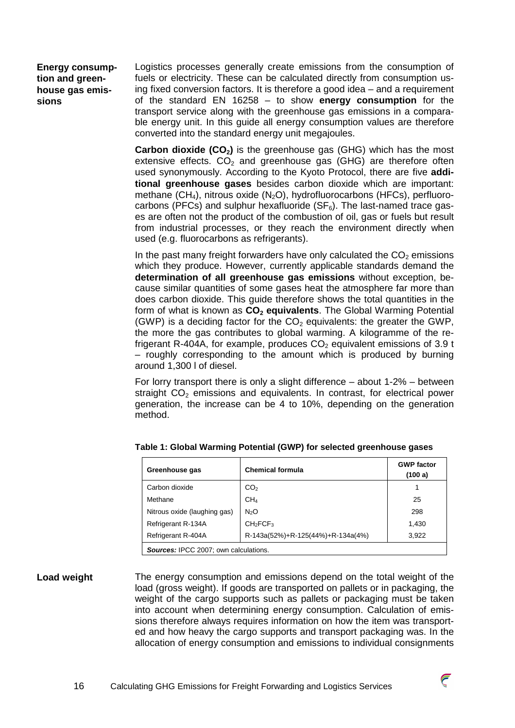**Energy consumption and greenhouse gas emissions** 

Logistics processes generally create emissions from the consumption of fuels or electricity. These can be calculated directly from consumption using fixed conversion factors. It is therefore a good idea – and a requirement of the standard EN 16258 – to show **energy consumption** for the transport service along with the greenhouse gas emissions in a comparable energy unit. In this guide all energy consumption values are therefore converted into the standard energy unit megajoules.

**Carbon dioxide (CO<sub>2</sub>)** is the greenhouse gas (GHG) which has the most extensive effects.  $CO<sub>2</sub>$  and greenhouse gas (GHG) are therefore often used synonymously. According to the Kyoto Protocol, there are five **additional greenhouse gases** besides carbon dioxide which are important: methane  $(CH_4)$ , nitrous oxide  $(N_2O)$ , hydrofluorocarbons (HFCs), perfluorocarbons (PFCs) and sulphur hexafluoride ( $SF<sub>6</sub>$ ). The last-named trace gases are often not the product of the combustion of oil, gas or fuels but result from industrial processes, or they reach the environment directly when used (e.g. fluorocarbons as refrigerants).

In the past many freight forwarders have only calculated the  $CO<sub>2</sub>$  emissions which they produce. However, currently applicable standards demand the **determination of all greenhouse gas emissions** without exception, because similar quantities of some gases heat the atmosphere far more than does carbon dioxide. This guide therefore shows the total quantities in the form of what is known as **CO2 equivalents**. The Global Warming Potential (GWP) is a deciding factor for the  $CO<sub>2</sub>$  equivalents: the greater the GWP, the more the gas contributes to global warming. A kilogramme of the refrigerant R-404A, for example, produces  $CO<sub>2</sub>$  equivalent emissions of 3.9 t – roughly corresponding to the amount which is produced by burning around 1,300 l of diesel.

For lorry transport there is only a slight difference – about 1-2% – between straight  $CO<sub>2</sub>$  emissions and equivalents. In contrast, for electrical power generation, the increase can be 4 to 10%, depending on the generation method.

| Greenhouse gas                               | <b>Chemical formula</b>           | <b>GWP factor</b><br>(100 a) |  |
|----------------------------------------------|-----------------------------------|------------------------------|--|
| Carbon dioxide                               | CO <sub>2</sub>                   |                              |  |
| Methane                                      | CH <sub>4</sub>                   | 25                           |  |
| Nitrous oxide (laughing gas)                 | N <sub>2</sub> O                  | 298                          |  |
| Refrigerant R-134A                           | CH <sub>2</sub> FCF <sub>3</sub>  | 1,430                        |  |
| Refrigerant R-404A                           | R-143a(52%)+R-125(44%)+R-134a(4%) | 3.922                        |  |
| <b>Sources:</b> IPCC 2007; own calculations. |                                   |                              |  |

 $\widehat{\epsilon}$ 

|  | Table 1: Global Warming Potential (GWP) for selected greenhouse gases |
|--|-----------------------------------------------------------------------|
|--|-----------------------------------------------------------------------|

The energy consumption and emissions depend on the total weight of the load (gross weight). If goods are transported on pallets or in packaging, the weight of the cargo supports such as pallets or packaging must be taken into account when determining energy consumption. Calculation of emissions therefore always requires information on how the item was transported and how heavy the cargo supports and transport packaging was. In the allocation of energy consumption and emissions to individual consignments **Load weight**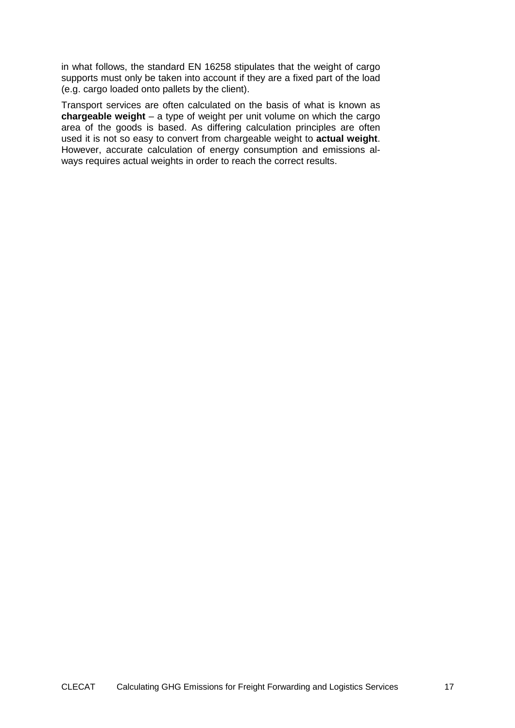in what follows, the standard EN 16258 stipulates that the weight of cargo supports must only be taken into account if they are a fixed part of the load (e.g. cargo loaded onto pallets by the client).

Transport services are often calculated on the basis of what is known as **chargeable weight** – a type of weight per unit volume on which the cargo area of the goods is based. As differing calculation principles are often used it is not so easy to convert from chargeable weight to **actual weight**. However, accurate calculation of energy consumption and emissions always requires actual weights in order to reach the correct results.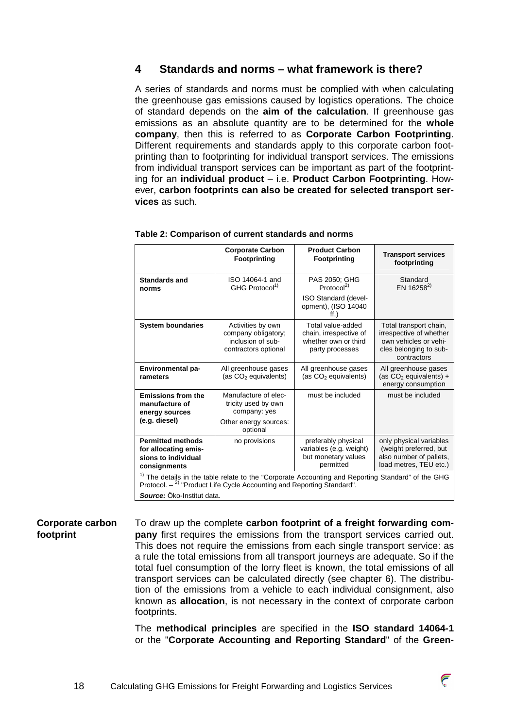# **4 Standards and norms – what framework is there?**

A series of standards and norms must be complied with when calculating the greenhouse gas emissions caused by logistics operations. The choice of standard depends on the **aim of the calculation**. If greenhouse gas emissions as an absolute quantity are to be determined for the **whole company**, then this is referred to as **Corporate Carbon Footprinting**. Different requirements and standards apply to this corporate carbon footprinting than to footprinting for individual transport services. The emissions from individual transport services can be important as part of the footprinting for an **individual product** – i.e. **Product Carbon Footprinting**. However, **carbon footprints can also be created for selected transport services** as such.

|                                                                                         | <b>Corporate Carbon</b><br><b>Footprinting</b>                                                                                                                                                       | <b>Product Carbon</b><br>Footprinting                                                  | <b>Transport services</b><br>footprinting                                                                           |  |
|-----------------------------------------------------------------------------------------|------------------------------------------------------------------------------------------------------------------------------------------------------------------------------------------------------|----------------------------------------------------------------------------------------|---------------------------------------------------------------------------------------------------------------------|--|
| <b>Standards and</b><br>norms                                                           | ISO 14064-1 and<br>GHG Protocol <sup>1)</sup>                                                                                                                                                        | PAS 2050; GHG<br>Protocol <sup>2)</sup>                                                | Standard<br>EN 16258 <sup>2)</sup>                                                                                  |  |
|                                                                                         |                                                                                                                                                                                                      | <b>ISO Standard (devel-</b><br>opment), (ISO 14040<br>ff.)                             |                                                                                                                     |  |
| <b>System boundaries</b>                                                                | Activities by own<br>company obligatory;<br>inclusion of sub-<br>contractors optional                                                                                                                | Total value-added<br>chain, irrespective of<br>whether own or third<br>party processes | Total transport chain,<br>irrespective of whether<br>own vehicles or vehi-<br>cles belonging to sub-<br>contractors |  |
| Environmental pa-<br>rameters                                                           | All greenhouse gases<br>(as CO <sub>2</sub> equivalents)                                                                                                                                             | All greenhouse gases<br>(as CO <sub>2</sub> equivalents)                               | All greenhouse gases<br>(as $CO2$ equivalents) +<br>energy consumption                                              |  |
| <b>Emissions from the</b><br>manufacture of<br>energy sources<br>(e.g. diesel)          | Manufacture of elec-<br>tricity used by own<br>company: yes<br>Other energy sources:<br>optional                                                                                                     | must be included                                                                       | must be included                                                                                                    |  |
| <b>Permitted methods</b><br>for allocating emis-<br>sions to individual<br>consignments | no provisions                                                                                                                                                                                        | preferably physical<br>variables (e.g. weight)<br>but monetary values<br>permitted     | only physical variables<br>(weight preferred, but<br>also number of pallets,<br>load metres, TEU etc.)              |  |
|                                                                                         | <sup>1)</sup> The details in the table relate to the "Corporate Accounting and Reporting Standard" of the GHG<br>Protocol. $-$ <sup>2)</sup> "Product Life Cycle Accounting and Reporting Standard". |                                                                                        |                                                                                                                     |  |
| Source: Öko-Institut data.                                                              |                                                                                                                                                                                                      |                                                                                        |                                                                                                                     |  |

### **Table 2: Comparison of current standards and norms**

To draw up the complete **carbon footprint of a freight forwarding company** first requires the emissions from the transport services carried out. This does not require the emissions from each single transport service: as a rule the total emissions from all transport journeys are adequate. So if the total fuel consumption of the lorry fleet is known, the total emissions of all transport services can be calculated directly (see chapter 6). The distribution of the emissions from a vehicle to each individual consignment, also known as **allocation**, is not necessary in the context of corporate carbon footprints. **Corporate carbon footprint** 

> The **methodical principles** are specified in the **ISO standard 14064-1** or the "**Corporate Accounting and Reporting Standard**" of the **Green-**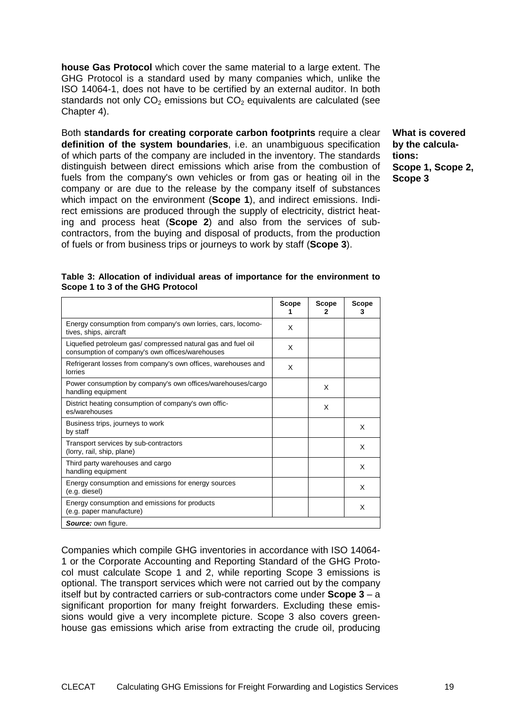**house Gas Protocol** which cover the same material to a large extent. The GHG Protocol is a standard used by many companies which, unlike the ISO 14064-1, does not have to be certified by an external auditor. In both standards not only  $CO<sub>2</sub>$  emissions but  $CO<sub>2</sub>$  equivalents are calculated (see Chapter 4).

Both **standards for creating corporate carbon footprints** require a clear **definition of the system boundaries**, i.e. an unambiguous specification of which parts of the company are included in the inventory. The standards distinguish between direct emissions which arise from the combustion of fuels from the company's own vehicles or from gas or heating oil in the company or are due to the release by the company itself of substances which impact on the environment (**Scope 1**), and indirect emissions. Indirect emissions are produced through the supply of electricity, district heating and process heat (**Scope 2**) and also from the services of subcontractors, from the buying and disposal of products, from the production of fuels or from business trips or journeys to work by staff (**Scope 3**).

**What is covered by the calculations: Scope 1, Scope 2, Scope 3** 

|                                                                                                                 | Scope | <b>Scope</b><br>2 | <b>Scope</b><br>3 |
|-----------------------------------------------------------------------------------------------------------------|-------|-------------------|-------------------|
| Energy consumption from company's own lorries, cars, locomo-<br>tives, ships, aircraft                          | X     |                   |                   |
| Liquefied petroleum gas/ compressed natural gas and fuel oil<br>consumption of company's own offices/warehouses | X     |                   |                   |
| Refrigerant losses from company's own offices, warehouses and<br>lorries                                        | X     |                   |                   |
| Power consumption by company's own offices/warehouses/cargo<br>handling equipment                               |       | X                 |                   |
| District heating consumption of company's own offic-<br>es/warehouses                                           |       | X                 |                   |
| Business trips, journeys to work<br>by staff                                                                    |       |                   | X                 |
| Transport services by sub-contractors<br>(lorry, rail, ship, plane)                                             |       |                   | X                 |
| Third party warehouses and cargo<br>handling equipment                                                          |       |                   | X                 |
| Energy consumption and emissions for energy sources<br>(e.g. diesel)                                            |       |                   | X                 |
| Energy consumption and emissions for products<br>(e.g. paper manufacture)                                       |       |                   | X                 |
| Source: own figure.                                                                                             |       |                   |                   |

**Table 3: Allocation of individual areas of importance for the environment to Scope 1 to 3 of the GHG Protocol**

Companies which compile GHG inventories in accordance with ISO 14064- 1 or the Corporate Accounting and Reporting Standard of the GHG Protocol must calculate Scope 1 and 2, while reporting Scope 3 emissions is optional. The transport services which were not carried out by the company itself but by contracted carriers or sub-contractors come under **Scope 3** – a significant proportion for many freight forwarders. Excluding these emissions would give a very incomplete picture. Scope 3 also covers greenhouse gas emissions which arise from extracting the crude oil, producing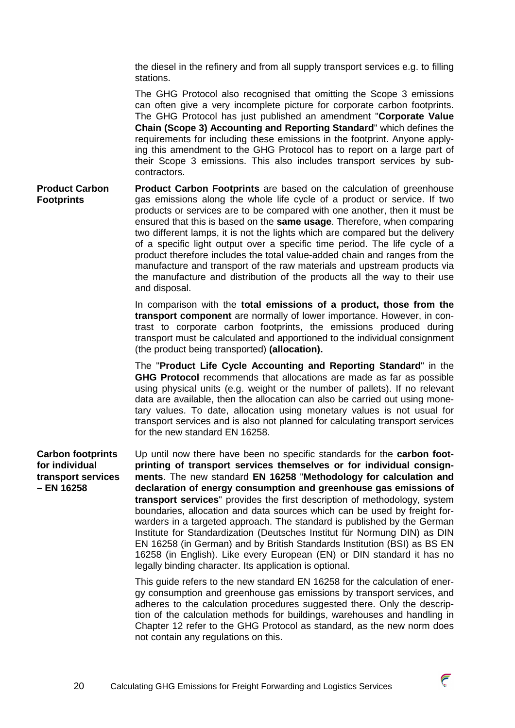the diesel in the refinery and from all supply transport services e.g. to filling stations.

The GHG Protocol also recognised that omitting the Scope 3 emissions can often give a very incomplete picture for corporate carbon footprints. The GHG Protocol has just published an amendment "**Corporate Value Chain (Scope 3) Accounting and Reporting Standard**" which defines the requirements for including these emissions in the footprint. Anyone applying this amendment to the GHG Protocol has to report on a large part of their Scope 3 emissions. This also includes transport services by subcontractors.

**Product Carbon Footprints** are based on the calculation of greenhouse gas emissions along the whole life cycle of a product or service. If two products or services are to be compared with one another, then it must be ensured that this is based on the **same usage**. Therefore, when comparing two different lamps, it is not the lights which are compared but the delivery of a specific light output over a specific time period. The life cycle of a product therefore includes the total value-added chain and ranges from the manufacture and transport of the raw materials and upstream products via the manufacture and distribution of the products all the way to their use and disposal. **Product Carbon Footprints** 

> In comparison with the **total emissions of a product, those from the transport component** are normally of lower importance. However, in contrast to corporate carbon footprints, the emissions produced during transport must be calculated and apportioned to the individual consignment (the product being transported) **(allocation).**

> The "**Product Life Cycle Accounting and Reporting Standard**" in the **GHG Protocol** recommends that allocations are made as far as possible using physical units (e.g. weight or the number of pallets). If no relevant data are available, then the allocation can also be carried out using monetary values. To date, allocation using monetary values is not usual for transport services and is also not planned for calculating transport services for the new standard EN 16258.

Up until now there have been no specific standards for the **carbon footprinting of transport services themselves or for individual consignments**. The new standard **EN 16258** "**Methodology for calculation and declaration of energy consumption and greenhouse gas emissions of transport services**" provides the first description of methodology, system boundaries, allocation and data sources which can be used by freight forwarders in a targeted approach. The standard is published by the German Institute for Standardization (Deutsches Institut für Normung DIN) as DIN EN 16258 (in German) and by British Standards Institution (BSI) as BS EN 16258 (in English). Like every European (EN) or DIN standard it has no **Carbon footprints for individual transport services – EN 16258** 

legally binding character. Its application is optional.

This guide refers to the new standard EN 16258 for the calculation of energy consumption and greenhouse gas emissions by transport services, and adheres to the calculation procedures suggested there. Only the description of the calculation methods for buildings, warehouses and handling in Chapter 12 refer to the GHG Protocol as standard, as the new norm does not contain any regulations on this.

 $\bar{\epsilon}$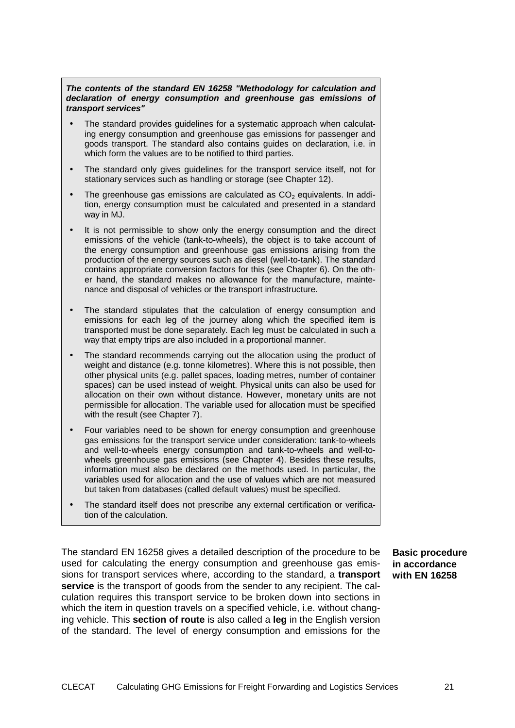### **The contents of the standard EN 16258 "Methodology for calculation and declaration of energy consumption and greenhouse gas emissions of transport services"**

- The standard provides guidelines for a systematic approach when calculating energy consumption and greenhouse gas emissions for passenger and goods transport. The standard also contains guides on declaration, i.e. in which form the values are to be notified to third parties.
- The standard only gives guidelines for the transport service itself, not for stationary services such as handling or storage (see Chapter 12).
- The greenhouse gas emissions are calculated as  $CO<sub>2</sub>$  equivalents. In addition, energy consumption must be calculated and presented in a standard way in MJ.
- It is not permissible to show only the energy consumption and the direct emissions of the vehicle (tank-to-wheels), the object is to take account of the energy consumption and greenhouse gas emissions arising from the production of the energy sources such as diesel (well-to-tank). The standard contains appropriate conversion factors for this (see Chapter 6). On the other hand, the standard makes no allowance for the manufacture, maintenance and disposal of vehicles or the transport infrastructure.
- The standard stipulates that the calculation of energy consumption and emissions for each leg of the journey along which the specified item is transported must be done separately. Each leg must be calculated in such a way that empty trips are also included in a proportional manner.
- The standard recommends carrying out the allocation using the product of weight and distance (e.g. tonne kilometres). Where this is not possible, then other physical units (e.g. pallet spaces, loading metres, number of container spaces) can be used instead of weight. Physical units can also be used for allocation on their own without distance. However, monetary units are not permissible for allocation. The variable used for allocation must be specified with the result (see Chapter 7).
- Four variables need to be shown for energy consumption and greenhouse gas emissions for the transport service under consideration: tank-to-wheels and well-to-wheels energy consumption and tank-to-wheels and well-towheels greenhouse gas emissions (see Chapter 4). Besides these results, information must also be declared on the methods used. In particular, the variables used for allocation and the use of values which are not measured but taken from databases (called default values) must be specified.
- The standard itself does not prescribe any external certification or verification of the calculation.

The standard EN 16258 gives a detailed description of the procedure to be used for calculating the energy consumption and greenhouse gas emissions for transport services where, according to the standard, a **transport service** is the transport of goods from the sender to any recipient. The calculation requires this transport service to be broken down into sections in which the item in question travels on a specified vehicle, i.e. without changing vehicle. This **section of route** is also called a **leg** in the English version of the standard. The level of energy consumption and emissions for the

**Basic procedure in accordance with EN 16258**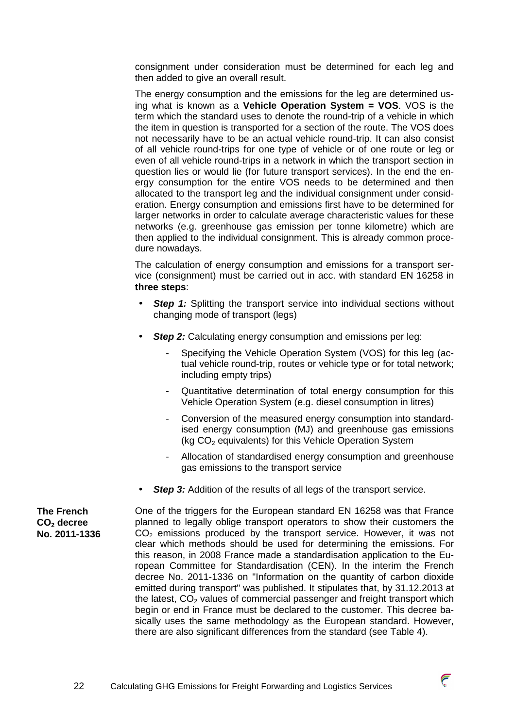consignment under consideration must be determined for each leg and then added to give an overall result.

The energy consumption and the emissions for the leg are determined using what is known as a **Vehicle Operation System = VOS**. VOS is the term which the standard uses to denote the round-trip of a vehicle in which the item in question is transported for a section of the route. The VOS does not necessarily have to be an actual vehicle round-trip. It can also consist of all vehicle round-trips for one type of vehicle or of one route or leg or even of all vehicle round-trips in a network in which the transport section in question lies or would lie (for future transport services). In the end the energy consumption for the entire VOS needs to be determined and then allocated to the transport leg and the individual consignment under consideration. Energy consumption and emissions first have to be determined for larger networks in order to calculate average characteristic values for these networks (e.g. greenhouse gas emission per tonne kilometre) which are then applied to the individual consignment. This is already common procedure nowadays.

The calculation of energy consumption and emissions for a transport service (consignment) must be carried out in acc. with standard EN 16258 in **three steps**:

- **Step 1:** Splitting the transport service into individual sections without changing mode of transport (legs)
- **Step 2:** Calculating energy consumption and emissions per leg:
	- Specifying the Vehicle Operation System (VOS) for this leg (actual vehicle round-trip, routes or vehicle type or for total network; including empty trips)
	- Quantitative determination of total energy consumption for this Vehicle Operation System (e.g. diesel consumption in litres)
	- Conversion of the measured energy consumption into standardised energy consumption (MJ) and greenhouse gas emissions (kg  $CO<sub>2</sub>$  equivalents) for this Vehicle Operation System
	- Allocation of standardised energy consumption and greenhouse gas emissions to the transport service
- **Step 3:** Addition of the results of all legs of the transport service.

One of the triggers for the European standard EN 16258 was that France planned to legally oblige transport operators to show their customers the  $CO<sub>2</sub>$  emissions produced by the transport service. However, it was not clear which methods should be used for determining the emissions. For this reason, in 2008 France made a standardisation application to the European Committee for Standardisation (CEN). In the interim the French decree No. 2011-1336 on "Information on the quantity of carbon dioxide emitted during transport" was published. It stipulates that, by 31.12.2013 at the latest,  $CO<sub>2</sub>$  values of commercial passenger and freight transport which begin or end in France must be declared to the customer. This decree basically uses the same methodology as the European standard. However, there are also significant differences from the standard (see Table 4).

**The French CO2 decree No. 2011-1336** 

![](_page_21_Picture_13.jpeg)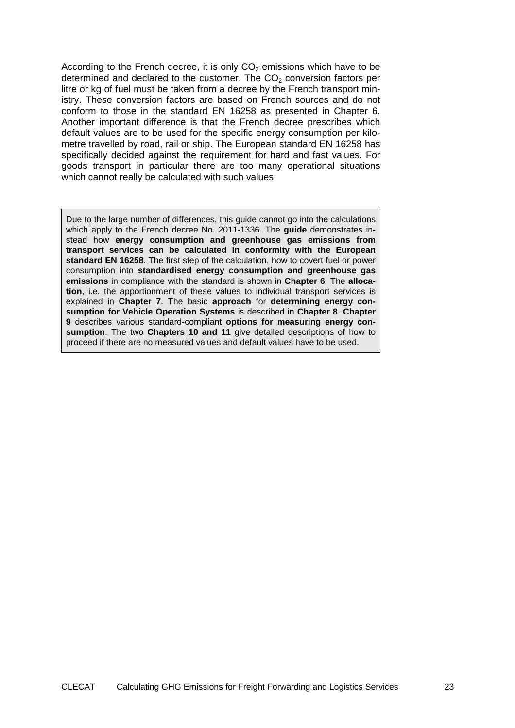According to the French decree, it is only  $CO<sub>2</sub>$  emissions which have to be determined and declared to the customer. The  $CO<sub>2</sub>$  conversion factors per litre or kg of fuel must be taken from a decree by the French transport ministry. These conversion factors are based on French sources and do not conform to those in the standard EN 16258 as presented in Chapter 6. Another important difference is that the French decree prescribes which default values are to be used for the specific energy consumption per kilometre travelled by road, rail or ship. The European standard EN 16258 has specifically decided against the requirement for hard and fast values. For goods transport in particular there are too many operational situations which cannot really be calculated with such values.

Due to the large number of differences, this guide cannot go into the calculations which apply to the French decree No. 2011-1336. The **guide** demonstrates instead how **energy consumption and greenhouse gas emissions from transport services can be calculated in conformity with the European standard EN 16258**. The first step of the calculation, how to covert fuel or power consumption into **standardised energy consumption and greenhouse gas emissions** in compliance with the standard is shown in **Chapter 6**. The **allocation**, i.e. the apportionment of these values to individual transport services is explained in **Chapter 7**. The basic **approach** for **determining energy consumption for Vehicle Operation Systems** is described in **Chapter 8**. **Chapter 9** describes various standard-compliant **options for measuring energy consumption**. The two **Chapters 10 and 11** give detailed descriptions of how to proceed if there are no measured values and default values have to be used.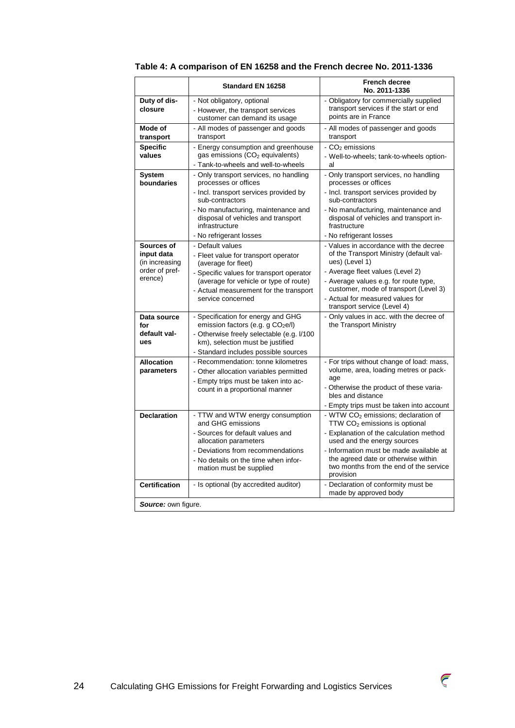|                                                              | Standard EN 16258                                                                                                                                                                                                          | <b>French decree</b><br>No. 2011-1336                                                                                                                                                                                                                                                                           |
|--------------------------------------------------------------|----------------------------------------------------------------------------------------------------------------------------------------------------------------------------------------------------------------------------|-----------------------------------------------------------------------------------------------------------------------------------------------------------------------------------------------------------------------------------------------------------------------------------------------------------------|
| Duty of dis-<br>closure                                      | - Not obligatory, optional<br>- However, the transport services<br>customer can demand its usage                                                                                                                           | - Obligatory for commercially supplied<br>transport services if the start or end<br>points are in France                                                                                                                                                                                                        |
| Mode of<br>transport                                         | - All modes of passenger and goods<br>transport                                                                                                                                                                            | - All modes of passenger and goods<br>transport                                                                                                                                                                                                                                                                 |
| <b>Specific</b><br>values                                    | - Energy consumption and greenhouse<br>gas emissions (CO <sub>2</sub> equivalents)<br>- Tank-to-wheels and well-to-wheels                                                                                                  | $-CO2$ emissions<br>- Well-to-wheels; tank-to-wheels option-<br>al                                                                                                                                                                                                                                              |
| System<br>boundaries                                         | - Only transport services, no handling<br>processes or offices                                                                                                                                                             | - Only transport services, no handling<br>processes or offices                                                                                                                                                                                                                                                  |
|                                                              | - Incl. transport services provided by<br>sub-contractors                                                                                                                                                                  | - Incl. transport services provided by<br>sub-contractors                                                                                                                                                                                                                                                       |
|                                                              | - No manufacturing, maintenance and<br>disposal of vehicles and transport<br>infrastructure                                                                                                                                | - No manufacturing, maintenance and<br>disposal of vehicles and transport in-<br>frastructure                                                                                                                                                                                                                   |
|                                                              | - No refrigerant losses                                                                                                                                                                                                    | - No refrigerant losses                                                                                                                                                                                                                                                                                         |
| Sources of<br>input data<br>(in increasing<br>order of pref- | - Default values<br>- Fleet value for transport operator<br>(average for fleet)<br>- Specific values for transport operator                                                                                                | - Values in accordance with the decree<br>of the Transport Ministry (default val-<br>ues) (Level 1)<br>- Average fleet values (Level 2)                                                                                                                                                                         |
| erence)                                                      | (average for vehicle or type of route)<br>- Actual measurement for the transport<br>service concerned                                                                                                                      | - Average values e.g. for route type,<br>customer, mode of transport (Level 3)<br>- Actual for measured values for<br>transport service (Level 4)                                                                                                                                                               |
| Data source<br>for<br>default val-<br>ues                    | - Specification for energy and GHG<br>emission factors (e.g. g CO <sub>2</sub> e/l)<br>- Otherwise freely selectable (e.g. I/100<br>km), selection must be justified<br>- Standard includes possible sources               | - Only values in acc. with the decree of<br>the Transport Ministry                                                                                                                                                                                                                                              |
| <b>Allocation</b><br>parameters                              | - Recommendation: tonne kilometres<br>- Other allocation variables permitted<br>- Empty trips must be taken into ac-<br>count in a proportional manner                                                                     | - For trips without change of load: mass,<br>volume, area, loading metres or pack-<br>age<br>- Otherwise the product of these varia-<br>bles and distance<br>- Empty trips must be taken into account                                                                                                           |
| <b>Declaration</b>                                           | - TTW and WTW energy consumption<br>and GHG emissions<br>- Sources for default values and<br>allocation parameters<br>- Deviations from recommendations<br>- No details on the time when infor-<br>mation must be supplied | - WTW CO <sub>2</sub> emissions; declaration of<br>TTW CO <sub>2</sub> emissions is optional<br>- Explanation of the calculation method<br>used and the energy sources<br>- Information must be made available at<br>the agreed date or otherwise within<br>two months from the end of the service<br>provision |
| Certification                                                | - Is optional (by accredited auditor)                                                                                                                                                                                      | - Declaration of conformity must be<br>made by approved body                                                                                                                                                                                                                                                    |
| <b>Source:</b> own figure.                                   |                                                                                                                                                                                                                            |                                                                                                                                                                                                                                                                                                                 |

# **Table 4: A comparison of EN 16258 and the French decree No. 2011-1336**

 $\widehat{\zeta}$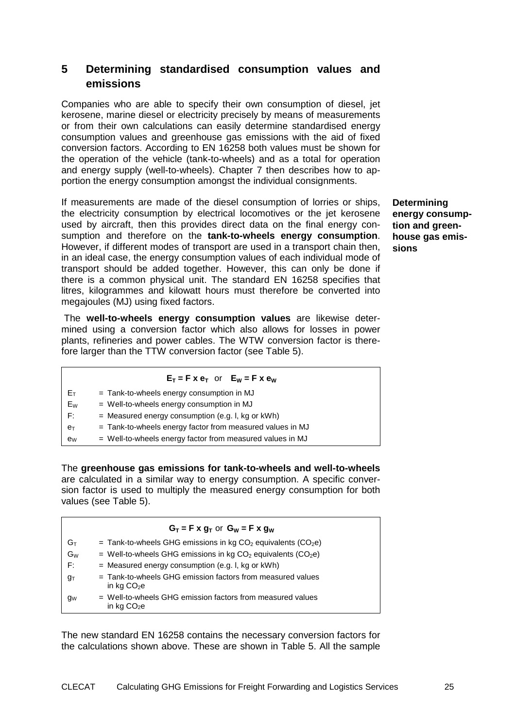# **5 Determining standardised consumption values and emissions**

Companies who are able to specify their own consumption of diesel, jet kerosene, marine diesel or electricity precisely by means of measurements or from their own calculations can easily determine standardised energy consumption values and greenhouse gas emissions with the aid of fixed conversion factors. According to EN 16258 both values must be shown for the operation of the vehicle (tank-to-wheels) and as a total for operation and energy supply (well-to-wheels). Chapter 7 then describes how to apportion the energy consumption amongst the individual consignments.

If measurements are made of the diesel consumption of lorries or ships, the electricity consumption by electrical locomotives or the jet kerosene used by aircraft, then this provides direct data on the final energy consumption and therefore on the **tank-to-wheels energy consumption**. However, if different modes of transport are used in a transport chain then, in an ideal case, the energy consumption values of each individual mode of transport should be added together. However, this can only be done if there is a common physical unit. The standard EN 16258 specifies that litres, kilogrammes and kilowatt hours must therefore be converted into megajoules (MJ) using fixed factors.

 The **well-to-wheels energy consumption values** are likewise determined using a conversion factor which also allows for losses in power plants, refineries and power cables. The WTW conversion factor is therefore larger than the TTW conversion factor (see Table 5).

# $E_T = F \times e_T$  or  $E_W = F \times e_W$

| - E⊤ | $=$ Tank-to-wheels energy consumption in MJ |
|------|---------------------------------------------|
| Ew   | = Well-to-wheels energy consumption in MJ   |

- $F:$  = Measured energy consumption (e.g. I, kg or kWh)
- $e_T$  = Tank-to-wheels energy factor from measured values in MJ
- $e_W$  = Well-to-wheels energy factor from measured values in MJ

The **greenhouse gas emissions for tank-to-wheels and well-to-wheels**  are calculated in a similar way to energy consumption. A specific conversion factor is used to multiply the measured energy consumption for both values (see Table 5).

|       | $G_T = F \times g_T$ or $G_W = F \times g_W$                               |
|-------|----------------------------------------------------------------------------|
| Gт    | = Tank-to-wheels GHG emissions in kg $CO2$ equivalents ( $CO2e$ )          |
| $G_W$ | = Well-to-wheels GHG emissions in kg $CO2$ equivalents ( $CO2e$ )          |
| F:    | $=$ Measured energy consumption (e.g. I, kg or kWh)                        |
| gт    | = Tank-to-wheels GHG emission factors from measured values<br>in kg $CO2e$ |
| gw    | = Well-to-wheels GHG emission factors from measured values<br>in kg $CO2e$ |

The new standard EN 16258 contains the necessary conversion factors for the calculations shown above. These are shown in Table 5. All the sample

**Determining energy consumption and greenhouse gas emissions**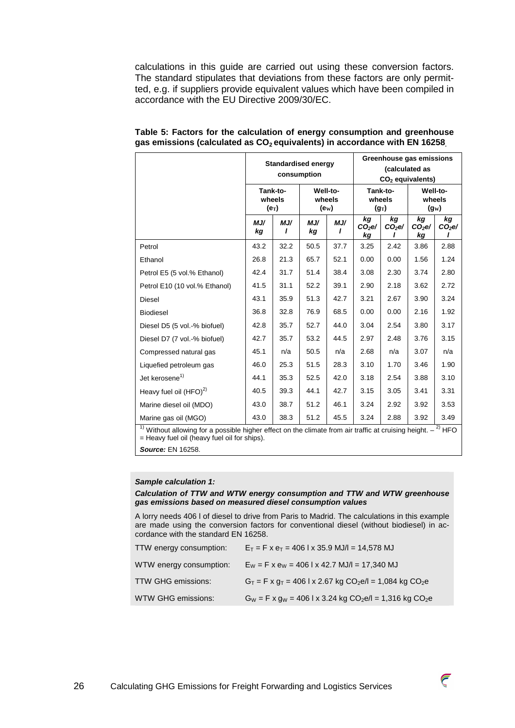calculations in this guide are carried out using these conversion factors. The standard stipulates that deviations from these factors are only permitted, e.g. if suppliers provide equivalent values which have been compiled in accordance with the EU Directive 2009/30/EC.

|                                                                                                                                       |                               |          | <b>Standardised energy</b><br>consumption |                                         |                      | Greenhouse gas emissions<br>(calculated as<br>$CO2$ equivalents) |                      |                               |  |
|---------------------------------------------------------------------------------------------------------------------------------------|-------------------------------|----------|-------------------------------------------|-----------------------------------------|----------------------|------------------------------------------------------------------|----------------------|-------------------------------|--|
|                                                                                                                                       | Tank-to-<br>wheels<br>$(e_T)$ |          |                                           | Well-to-<br>wheels<br>(e <sub>W</sub> ) |                      | Tank-to-<br>wheels<br>$(g_T)$                                    |                      | Well-to-<br>wheels<br>$(g_W)$ |  |
|                                                                                                                                       | MJ/<br>kg                     | MJ/<br>ı | MJ/<br>kg                                 | MJ/<br>ı                                | kg<br>$CO2$ e/<br>kg | kg<br>CO <sub>2</sub> e                                          | kg<br>$CO2$ e/<br>kg | kg<br>CO <sub>2</sub> e       |  |
| Petrol                                                                                                                                | 43.2                          | 32.2     | 50.5                                      | 37.7                                    | 3.25                 | 2.42                                                             | 3.86                 | 2.88                          |  |
| Ethanol                                                                                                                               | 26.8                          | 21.3     | 65.7                                      | 52.1                                    | 0.00                 | 0.00                                                             | 1.56                 | 1.24                          |  |
| Petrol E5 (5 vol.% Ethanol)                                                                                                           | 42.4                          | 31.7     | 51.4                                      | 38.4                                    | 3.08                 | 2.30                                                             | 3.74                 | 2.80                          |  |
| Petrol E10 (10 vol.% Ethanol)                                                                                                         | 41.5                          | 31.1     | 52.2                                      | 39.1                                    | 2.90                 | 2.18                                                             | 3.62                 | 2.72                          |  |
| <b>Diesel</b>                                                                                                                         | 43.1                          | 35.9     | 51.3                                      | 42.7                                    | 3.21                 | 2.67                                                             | 3.90                 | 3.24                          |  |
| <b>Biodiesel</b>                                                                                                                      | 36.8                          | 32.8     | 76.9                                      | 68.5                                    | 0.00                 | 0.00                                                             | 2.16                 | 1.92                          |  |
| Diesel D5 (5 vol.-% biofuel)                                                                                                          | 42.8                          | 35.7     | 52.7                                      | 44.0                                    | 3.04                 | 2.54                                                             | 3.80                 | 3.17                          |  |
| Diesel D7 (7 vol.-% biofuel)                                                                                                          | 42.7                          | 35.7     | 53.2                                      | 44.5                                    | 2.97                 | 2.48                                                             | 3.76                 | 3.15                          |  |
| Compressed natural gas                                                                                                                | 45.1                          | n/a      | 50.5                                      | n/a                                     | 2.68                 | n/a                                                              | 3.07                 | n/a                           |  |
| Liquefied petroleum gas                                                                                                               | 46.0                          | 25.3     | 51.5                                      | 28.3                                    | 3.10                 | 1.70                                                             | 3.46                 | 1.90                          |  |
| Jet kerosene <sup>1)</sup>                                                                                                            | 44.1                          | 35.3     | 52.5                                      | 42.0                                    | 3.18                 | 2.54                                                             | 3.88                 | 3.10                          |  |
| Heavy fuel oil (HFO) <sup>2)</sup>                                                                                                    | 40.5                          | 39.3     | 44.1                                      | 42.7                                    | 3.15                 | 3.05                                                             | 3.41                 | 3.31                          |  |
| Marine diesel oil (MDO)                                                                                                               | 43.0                          | 38.7     | 51.2                                      | 46.1                                    | 3.24                 | 2.92                                                             | 3.92                 | 3.53                          |  |
| Marine gas oil (MGO)                                                                                                                  | 43.0                          | 38.3     | 51.2                                      | 45.5                                    | 3.24                 | 2.88                                                             | 3.92                 | 3.49                          |  |
| <sup>1)</sup> Without allowing for a possible higher effect on the climate from air traffic at cruising height. $-$ <sup>2)</sup> HFO |                               |          |                                           |                                         |                      |                                                                  |                      |                               |  |

| Table 5: Factors for the calculation of energy consumption and greenhouse             |  |
|---------------------------------------------------------------------------------------|--|
| gas emissions (calculated as CO <sub>2</sub> equivalents) in accordance with EN 16258 |  |

= Heavy fuel oil (heavy fuel oil for ships).

**Source:** EN 16258.

#### **Sample calculation 1:**

#### **Calculation of TTW and WTW energy consumption and TTW and WTW greenhouse gas emissions based on measured diesel consumption values**

A lorry needs 406 l of diesel to drive from Paris to Madrid. The calculations in this example are made using the conversion factors for conventional diesel (without biodiesel) in accordance with the standard EN 16258.

| TTW energy consumption: | $E_T = F x e_T = 406$ k 35.9 MJ/l = 14,578 MJ                                           |
|-------------------------|-----------------------------------------------------------------------------------------|
| WTW energy consumption: | $E_W = F$ x $e_W = 406$ l x 42.7 MJ/l = 17,340 MJ                                       |
| TTW GHG emissions:      | $G_T = F \times g_T = 406$ l x 2.67 kg CO <sub>2</sub> e/l = 1,084 kg CO <sub>2</sub> e |
| WTW GHG emissions:      | $G_W = F \times g_W = 406$ l x 3.24 kg CO <sub>2</sub> e/l = 1,316 kg CO <sub>2</sub> e |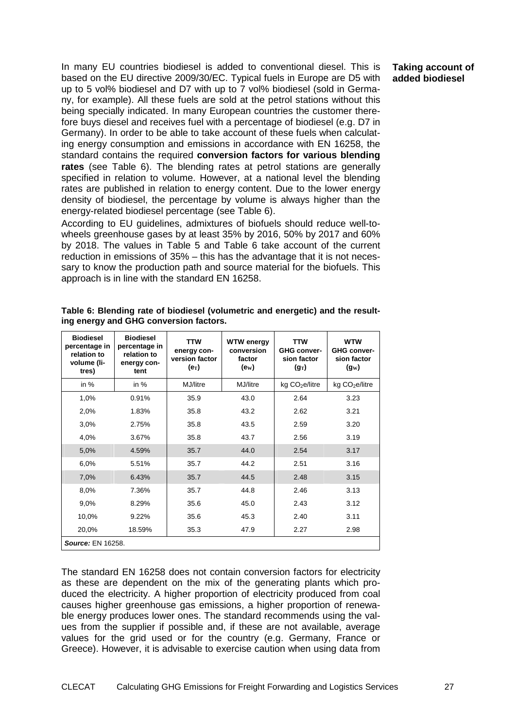In many EU countries biodiesel is added to conventional diesel. This is based on the EU directive 2009/30/EC. Typical fuels in Europe are D5 with up to 5 vol% biodiesel and D7 with up to 7 vol% biodiesel (sold in Germany, for example). All these fuels are sold at the petrol stations without this being specially indicated. In many European countries the customer therefore buys diesel and receives fuel with a percentage of biodiesel (e.g. D7 in Germany). In order to be able to take account of these fuels when calculating energy consumption and emissions in accordance with EN 16258, the standard contains the required **conversion factors for various blending rates** (see Table 6). The blending rates at petrol stations are generally specified in relation to volume. However, at a national level the blending rates are published in relation to energy content. Due to the lower energy density of biodiesel, the percentage by volume is always higher than the energy-related biodiesel percentage (see Table 6).

According to EU guidelines, admixtures of biofuels should reduce well-towheels greenhouse gases by at least 35% by 2016, 50% by 2017 and 60% by 2018. The values in Table 5 and Table 6 take account of the current reduction in emissions of 35% – this has the advantage that it is not necessary to know the production path and source material for the biofuels. This approach is in line with the standard EN 16258.

| <b>Biodiesel</b><br>percentage in<br>relation to<br>volume (li-<br>tres) | <b>Biodiesel</b><br>percentage in<br>relation to<br>energy con-<br>tent | <b>TTW</b><br>energy con-<br>version factor<br>$(e_T)$ | <b>WTW energy</b><br>conversion<br>factor<br>(e <sub>W</sub> ) | <b>TTW</b><br><b>GHG conver-</b><br>sion factor<br>$(g_T)$ | <b>WTW</b><br><b>GHG conver-</b><br>sion factor<br>$(g_W)$ |
|--------------------------------------------------------------------------|-------------------------------------------------------------------------|--------------------------------------------------------|----------------------------------------------------------------|------------------------------------------------------------|------------------------------------------------------------|
| in $%$                                                                   | in $%$                                                                  | MJ/litre                                               | MJ/litre                                                       | kg CO <sub>2</sub> e/litre                                 | kg CO <sub>2</sub> e/litre                                 |
| 1,0%                                                                     | 0.91%                                                                   | 35.9                                                   | 43.0                                                           | 2.64                                                       | 3.23                                                       |
| 2,0%                                                                     | 1.83%                                                                   | 35.8                                                   | 43.2                                                           | 2.62                                                       | 3.21                                                       |
| 3,0%                                                                     | 2.75%                                                                   | 35.8                                                   | 43.5                                                           | 2.59                                                       | 3.20                                                       |
| 4,0%                                                                     | 3.67%                                                                   | 35.8                                                   | 43.7                                                           | 2.56                                                       | 3.19                                                       |
| 5,0%                                                                     | 4.59%                                                                   | 35.7                                                   | 44.0                                                           | 2.54                                                       | 3.17                                                       |
| 6,0%                                                                     | 5.51%                                                                   | 35.7                                                   | 44.2                                                           | 2.51                                                       | 3.16                                                       |
| 7,0%                                                                     | 6.43%                                                                   | 35.7                                                   | 44.5                                                           | 2.48                                                       | 3.15                                                       |
| 8,0%                                                                     | 7.36%                                                                   | 35.7                                                   | 44.8                                                           | 2.46                                                       | 3.13                                                       |
| 9,0%                                                                     | 8.29%                                                                   | 35.6                                                   | 45.0                                                           | 2.43                                                       | 3.12                                                       |
| 10,0%                                                                    | 9.22%                                                                   | 35.6                                                   | 45.3                                                           | 2.40                                                       | 3.11                                                       |
| 20,0%                                                                    | 18.59%                                                                  | 35.3                                                   | 47.9                                                           | 2.27                                                       | 2.98                                                       |
| <b>Source: EN 16258.</b>                                                 |                                                                         |                                                        |                                                                |                                                            |                                                            |

**Table 6: Blending rate of biodiesel (volumetric and energetic) and the resulting energy and GHG conversion factors.** 

The standard EN 16258 does not contain conversion factors for electricity as these are dependent on the mix of the generating plants which produced the electricity. A higher proportion of electricity produced from coal causes higher greenhouse gas emissions, a higher proportion of renewable energy produces lower ones. The standard recommends using the values from the supplier if possible and, if these are not available, average values for the grid used or for the country (e.g. Germany, France or Greece). However, it is advisable to exercise caution when using data from

### **Taking account of added biodiesel**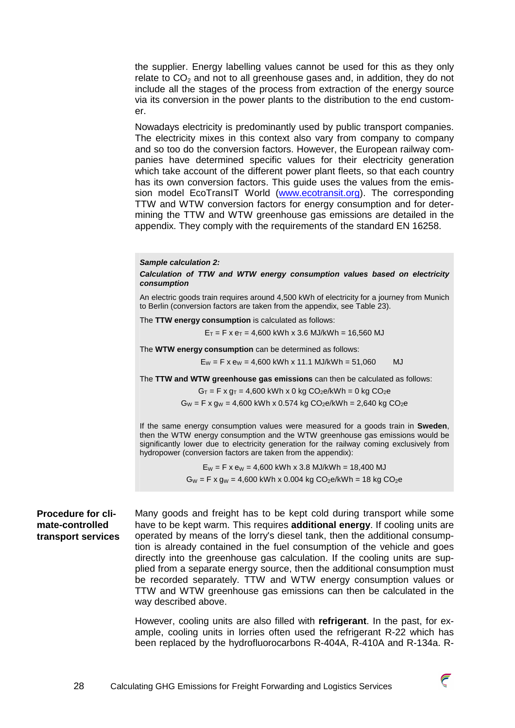the supplier. Energy labelling values cannot be used for this as they only relate to  $CO<sub>2</sub>$  and not to all greenhouse gases and, in addition, they do not include all the stages of the process from extraction of the energy source via its conversion in the power plants to the distribution to the end customer.

Nowadays electricity is predominantly used by public transport companies. The electricity mixes in this context also vary from company to company and so too do the conversion factors. However, the European railway companies have determined specific values for their electricity generation which take account of the different power plant fleets, so that each country has its own conversion factors. This guide uses the values from the emission model EcoTransIT World (www.ecotransit.org). The corresponding TTW and WTW conversion factors for energy consumption and for determining the TTW and WTW greenhouse gas emissions are detailed in the appendix. They comply with the requirements of the standard EN 16258.

#### **Sample calculation 2:**

**Calculation of TTW and WTW energy consumption values based on electricity consumption** 

An electric goods train requires around 4,500 kWh of electricity for a journey from Munich to Berlin (conversion factors are taken from the appendix, see Table 23).

The **TTW energy consumption** is calculated as follows:

 $E_T$  = F x  $e_T$  = 4,600 kWh x 3.6 MJ/kWh = 16,560 MJ

The **WTW energy consumption** can be determined as follows:

 $E_W = F$  x  $e_W = 4,600$  kWh x 11.1 MJ/kWh = 51,060 MJ

The **TTW and WTW greenhouse gas emissions** can then be calculated as follows:

 $G_T = F \times g_T = 4,600$  kWh x 0 kg CO<sub>2</sub>e/kWh = 0 kg CO<sub>2</sub>e

 $G_W = F x$  gw = 4,600 kWh x 0.574 kg CO<sub>2</sub>e/kWh = 2,640 kg CO<sub>2</sub>e

If the same energy consumption values were measured for a goods train in **Sweden**, then the WTW energy consumption and the WTW greenhouse gas emissions would be significantly lower due to electricity generation for the railway coming exclusively from hydropower (conversion factors are taken from the appendix):

> $E_W = F x e_W = 4,600$  kWh x 3.8 MJ/kWh = 18,400 MJ  $G_W = F x g_W = 4,600$  kWh x 0.004 kg CO<sub>2</sub>e/kWh = 18 kg CO<sub>2</sub>e

**Procedure for climate-controlled transport services** 

Many goods and freight has to be kept cold during transport while some have to be kept warm. This requires **additional energy**. If cooling units are operated by means of the lorry's diesel tank, then the additional consumption is already contained in the fuel consumption of the vehicle and goes directly into the greenhouse gas calculation. If the cooling units are supplied from a separate energy source, then the additional consumption must be recorded separately. TTW and WTW energy consumption values or TTW and WTW greenhouse gas emissions can then be calculated in the way described above.

However, cooling units are also filled with **refrigerant**. In the past, for example, cooling units in lorries often used the refrigerant R-22 which has been replaced by the hydrofluorocarbons R-404A, R-410A and R-134a. R-

![](_page_27_Picture_18.jpeg)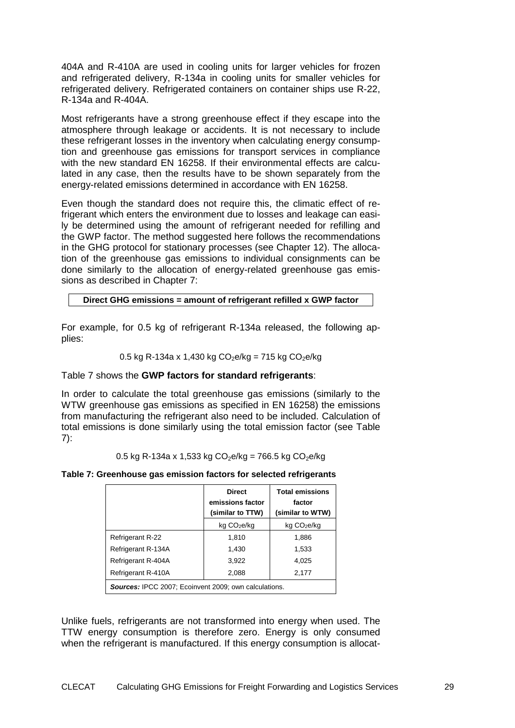404A and R-410A are used in cooling units for larger vehicles for frozen and refrigerated delivery, R-134a in cooling units for smaller vehicles for refrigerated delivery. Refrigerated containers on container ships use R-22, R-134a and R-404A.

Most refrigerants have a strong greenhouse effect if they escape into the atmosphere through leakage or accidents. It is not necessary to include these refrigerant losses in the inventory when calculating energy consumption and greenhouse gas emissions for transport services in compliance with the new standard EN 16258. If their environmental effects are calculated in any case, then the results have to be shown separately from the energy-related emissions determined in accordance with EN 16258.

Even though the standard does not require this, the climatic effect of refrigerant which enters the environment due to losses and leakage can easily be determined using the amount of refrigerant needed for refilling and the GWP factor. The method suggested here follows the recommendations in the GHG protocol for stationary processes (see Chapter 12). The allocation of the greenhouse gas emissions to individual consignments can be done similarly to the allocation of energy-related greenhouse gas emissions as described in Chapter 7:

# **Direct GHG emissions = amount of refrigerant refilled x GWP factor**

For example, for 0.5 kg of refrigerant R-134a released, the following applies:

0.5 kg R-134a x 1,430 kg CO2e/kg = 715 kg CO2e/kg

# Table 7 shows the **GWP factors for standard refrigerants**:

In order to calculate the total greenhouse gas emissions (similarly to the WTW greenhouse gas emissions as specified in EN 16258) the emissions from manufacturing the refrigerant also need to be included. Calculation of total emissions is done similarly using the total emission factor (see Table  $7$ :

0.5 kg R-134a x 1,533 kg CO<sub>2</sub>e/kg = 766.5 kg CO<sub>2</sub>e/kg

# **Table 7: Greenhouse gas emission factors for selected refrigerants**

|                                                              | <b>Direct</b><br>emissions factor<br>(similar to TTW) | <b>Total emissions</b><br>factor<br>(similar to WTW) |  |  |  |
|--------------------------------------------------------------|-------------------------------------------------------|------------------------------------------------------|--|--|--|
|                                                              | kg CO <sub>2</sub> e/kg                               | kg CO <sub>2</sub> e/kg                              |  |  |  |
| Refrigerant R-22                                             | 1.810                                                 | 1,886                                                |  |  |  |
| Refrigerant R-134A                                           | 1,430                                                 | 1,533                                                |  |  |  |
| Refrigerant R-404A                                           | 3,922                                                 | 4,025                                                |  |  |  |
| Refrigerant R-410A                                           | 2,088                                                 | 2,177                                                |  |  |  |
| <b>Sources: IPCC 2007: Ecoinvent 2009: own calculations.</b> |                                                       |                                                      |  |  |  |

Unlike fuels, refrigerants are not transformed into energy when used. The TTW energy consumption is therefore zero. Energy is only consumed when the refrigerant is manufactured. If this energy consumption is allocat-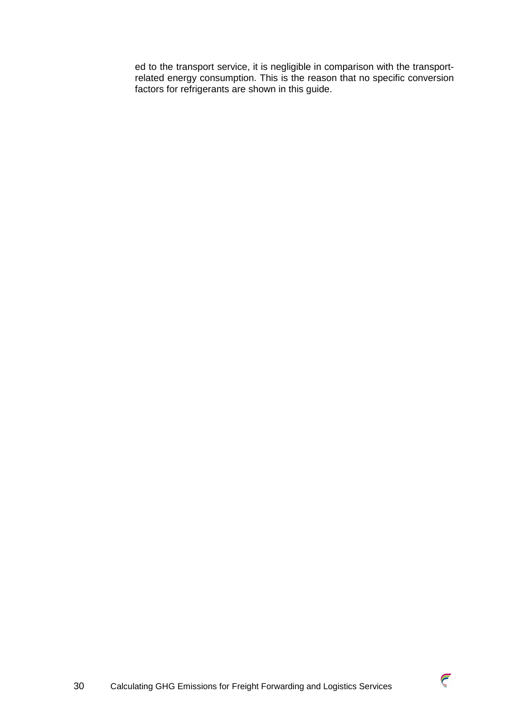ed to the transport service, it is negligible in comparison with the transportrelated energy consumption. This is the reason that no specific conversion factors for refrigerants are shown in this guide.

 $\widehat{\zeta}$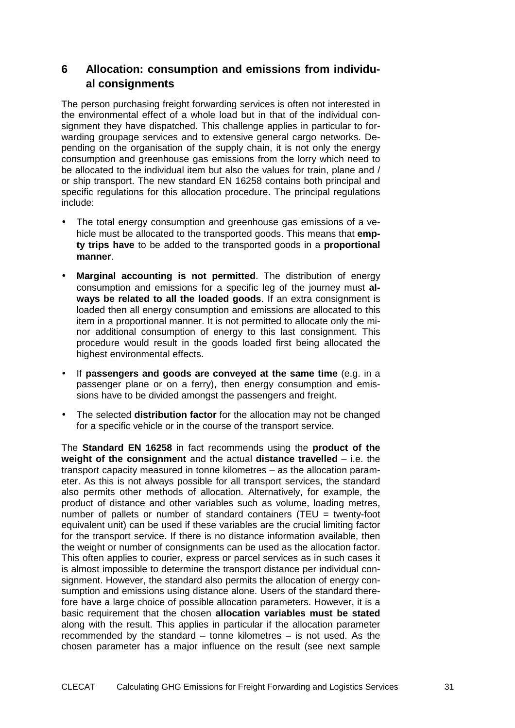# **6 Allocation: consumption and emissions from individual consignments**

The person purchasing freight forwarding services is often not interested in the environmental effect of a whole load but in that of the individual consignment they have dispatched. This challenge applies in particular to forwarding groupage services and to extensive general cargo networks. Depending on the organisation of the supply chain, it is not only the energy consumption and greenhouse gas emissions from the lorry which need to be allocated to the individual item but also the values for train, plane and / or ship transport. The new standard EN 16258 contains both principal and specific regulations for this allocation procedure. The principal regulations include:

- The total energy consumption and greenhouse gas emissions of a vehicle must be allocated to the transported goods. This means that **empty trips have** to be added to the transported goods in a **proportional manner**.
- **Marginal accounting is not permitted**. The distribution of energy consumption and emissions for a specific leg of the journey must **always be related to all the loaded goods**. If an extra consignment is loaded then all energy consumption and emissions are allocated to this item in a proportional manner. It is not permitted to allocate only the minor additional consumption of energy to this last consignment. This procedure would result in the goods loaded first being allocated the highest environmental effects.
- If **passengers and goods are conveyed at the same time** (e.g. in a passenger plane or on a ferry), then energy consumption and emissions have to be divided amongst the passengers and freight.
- The selected **distribution factor** for the allocation may not be changed for a specific vehicle or in the course of the transport service.

The **Standard EN 16258** in fact recommends using the **product of the weight of the consignment** and the actual **distance travelled** – i.e. the transport capacity measured in tonne kilometres – as the allocation parameter. As this is not always possible for all transport services, the standard also permits other methods of allocation. Alternatively, for example, the product of distance and other variables such as volume, loading metres, number of pallets or number of standard containers (TEU = twenty-foot equivalent unit) can be used if these variables are the crucial limiting factor for the transport service. If there is no distance information available, then the weight or number of consignments can be used as the allocation factor. This often applies to courier, express or parcel services as in such cases it is almost impossible to determine the transport distance per individual consignment. However, the standard also permits the allocation of energy consumption and emissions using distance alone. Users of the standard therefore have a large choice of possible allocation parameters. However, it is a basic requirement that the chosen **allocation variables must be stated** along with the result. This applies in particular if the allocation parameter recommended by the standard – tonne kilometres – is not used. As the chosen parameter has a major influence on the result (see next sample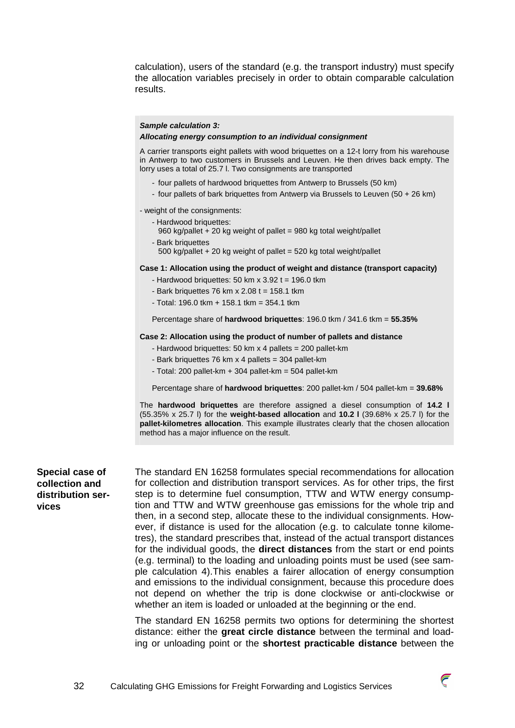calculation), users of the standard (e.g. the transport industry) must specify the allocation variables precisely in order to obtain comparable calculation results.

#### **Sample calculation 3:**

#### **Allocating energy consumption to an individual consignment**

A carrier transports eight pallets with wood briquettes on a 12-t lorry from his warehouse in Antwerp to two customers in Brussels and Leuven. He then drives back empty. The lorry uses a total of 25.7 l. Two consignments are transported

- four pallets of hardwood briquettes from Antwerp to Brussels (50 km)
- four pallets of bark briquettes from Antwerp via Brussels to Leuven (50 + 26 km)

- weight of the consignments:

- Hardwood briquettes:
	- 960 kg/pallet + 20 kg weight of pallet = 980 kg total weight/pallet
- Bark briquettes
	- 500 kg/pallet  $+$  20 kg weight of pallet = 520 kg total weight/pallet

#### **Case 1: Allocation using the product of weight and distance (transport capacity)**

- Hardwood briquettes: 50 km x  $3.92$  t = 196.0 tkm
- Bark briquettes 76 km x  $2.08$  t = 158.1 tkm
- Total: 196.0 tkm + 158.1 tkm = 354.1 tkm

Percentage share of **hardwood briquettes**: 196.0 tkm / 341.6 tkm = **55.35%** 

#### **Case 2: Allocation using the product of number of pallets and distance**

- Hardwood briquettes: 50 km x 4 pallets = 200 pallet-km
- Bark briquettes 76 km x 4 pallets = 304 pallet-km
- $-$  Total: 200 pallet-km  $+$  304 pallet-km = 504 pallet-km

Percentage share of **hardwood briquettes**: 200 pallet-km / 504 pallet-km = **39.68%**

The **hardwood briquettes** are therefore assigned a diesel consumption of **14.2 l** (55.35% x 25.7 l) for the **weight-based allocation** and **10.2 l** (39.68% x 25.7 l) for the **pallet-kilometres allocation**. This example illustrates clearly that the chosen allocation method has a major influence on the result.

## **Special case of collection and distribution services**

The standard EN 16258 formulates special recommendations for allocation for collection and distribution transport services. As for other trips, the first step is to determine fuel consumption, TTW and WTW energy consumption and TTW and WTW greenhouse gas emissions for the whole trip and then, in a second step, allocate these to the individual consignments. However, if distance is used for the allocation (e.g. to calculate tonne kilometres), the standard prescribes that, instead of the actual transport distances for the individual goods, the **direct distances** from the start or end points (e.g. terminal) to the loading and unloading points must be used (see sample calculation 4).This enables a fairer allocation of energy consumption and emissions to the individual consignment, because this procedure does not depend on whether the trip is done clockwise or anti-clockwise or whether an item is loaded or unloaded at the beginning or the end.

The standard EN 16258 permits two options for determining the shortest distance: either the **great circle distance** between the terminal and loading or unloading point or the **shortest practicable distance** between the

![](_page_31_Picture_26.jpeg)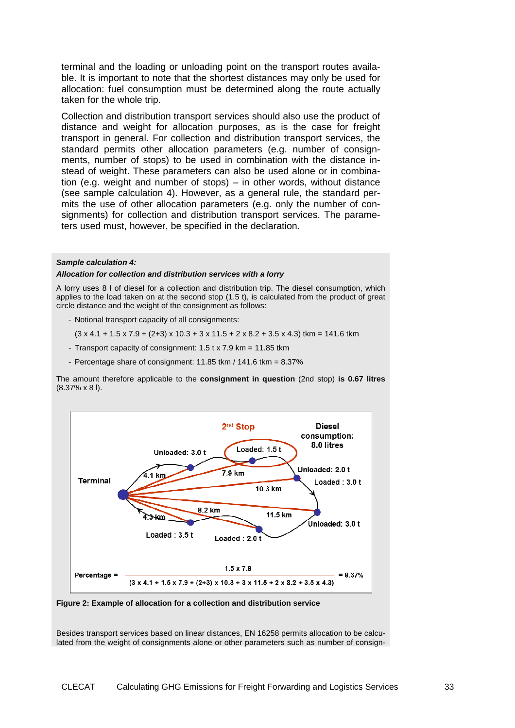terminal and the loading or unloading point on the transport routes available. It is important to note that the shortest distances may only be used for allocation: fuel consumption must be determined along the route actually taken for the whole trip.

Collection and distribution transport services should also use the product of distance and weight for allocation purposes, as is the case for freight transport in general. For collection and distribution transport services, the standard permits other allocation parameters (e.g. number of consignments, number of stops) to be used in combination with the distance instead of weight. These parameters can also be used alone or in combination (e.g. weight and number of stops) – in other words, without distance (see sample calculation 4). However, as a general rule, the standard permits the use of other allocation parameters (e.g. only the number of consignments) for collection and distribution transport services. The parameters used must, however, be specified in the declaration.

#### **Sample calculation 4:**

#### **Allocation for collection and distribution services with a lorry**

A lorry uses 8 l of diesel for a collection and distribution trip. The diesel consumption, which applies to the load taken on at the second stop (1.5 t), is calculated from the product of great circle distance and the weight of the consignment as follows:

- Notional transport capacity of all consignments:
- $(3 \times 4.1 + 1.5 \times 7.9 + (2+3) \times 10.3 + 3 \times 11.5 + 2 \times 8.2 + 3.5 \times 4.3)$  tkm = 141.6 tkm
- Transport capacity of consignment: 1.5 t x 7.9 km = 11.85 tkm
- Percentage share of consignment: 11.85 tkm / 141.6 tkm = 8.37%

The amount therefore applicable to the **consignment in question** (2nd stop) **is 0.67 litres** (8.37% x 8 l).

![](_page_32_Figure_10.jpeg)

**Figure 2: Example of allocation for a collection and distribution service** 

Besides transport services based on linear distances, EN 16258 permits allocation to be calculated from the weight of consignments alone or other parameters such as number of consign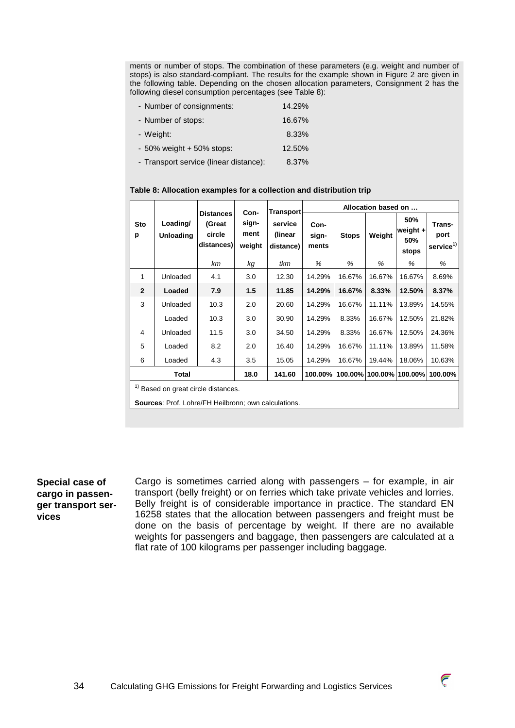ments or number of stops. The combination of these parameters (e.g. weight and number of stops) is also standard-compliant. The results for the example shown in Figure 2 are given in the following table. Depending on the chosen allocation parameters, Consignment 2 has the following diesel consumption percentages (see Table 8):

| - Number of consignments:     | 14.29% |
|-------------------------------|--------|
| - Number of stops:            | 16.67% |
| - Weight:                     | 8.33%  |
| $-50\%$ weight $+50\%$ stops: | 12.50% |
|                               |        |

- Transport service (linear distance): 8.37%

#### **Table 8: Allocation examples for a collection and distribution trip**

|                |                              |                                                    | Con-                    | <b>Transport</b>                | Allocation based on    |              |        |                                   |                                         |
|----------------|------------------------------|----------------------------------------------------|-------------------------|---------------------------------|------------------------|--------------|--------|-----------------------------------|-----------------------------------------|
| Sto<br>р       | Loading/<br><b>Unloading</b> | <b>Distances</b><br>(Great<br>circle<br>distances) | sign-<br>ment<br>weight | service<br>(linear<br>distance) | Con-<br>sign-<br>ments | <b>Stops</b> | Weight | 50%<br>weight $+$<br>50%<br>stops | Trans-<br>port<br>service <sup>1)</sup> |
|                |                              | km                                                 | kg                      | tkm                             | %                      | %            | %      | %                                 | %                                       |
| $\mathbf{1}$   | Unloaded                     | 4.1                                                | 3.0                     | 12.30                           | 14.29%                 | 16.67%       | 16.67% | 16.67%                            | 8.69%                                   |
| $\overline{2}$ | Loaded                       | 7.9                                                | 1.5                     | 11.85                           | 14.29%                 | 16.67%       | 8.33%  | 12.50%                            | 8.37%                                   |
| 3              | Unloaded                     | 10.3                                               | 2.0                     | 20.60                           | 14.29%                 | 16.67%       | 11.11% | 13.89%                            | 14.55%                                  |
|                | Loaded                       | 10.3                                               | 3.0                     | 30.90                           | 14.29%                 | 8.33%        | 16.67% | 12.50%                            | 21.82%                                  |
| 4              | Unloaded                     | 11.5                                               | 3.0                     | 34.50                           | 14.29%                 | 8.33%        | 16.67% | 12.50%                            | 24.36%                                  |
| 5              | Loaded                       | 8.2                                                | 2.0                     | 16.40                           | 14.29%                 | 16.67%       | 11.11% | 13.89%                            | 11.58%                                  |
| 6              | Loaded                       | 4.3                                                | 3.5                     | 15.05                           | 14.29%                 | 16.67%       | 19.44% | 18.06%                            | 10.63%                                  |
|                | Total                        |                                                    | 18.0                    | 141.60                          | 100.00%                | 100.00%      |        | 100.00% 100.00%                   | 100.00%                                 |

 $<sup>1</sup>$  Based on great circle distances.</sup>

**Sources**: Prof. Lohre/FH Heilbronn; own calculations.

# **Special case of cargo in passenger transport services**

Cargo is sometimes carried along with passengers – for example, in air transport (belly freight) or on ferries which take private vehicles and lorries. Belly freight is of considerable importance in practice. The standard EN 16258 states that the allocation between passengers and freight must be done on the basis of percentage by weight. If there are no available weights for passengers and baggage, then passengers are calculated at a flat rate of 100 kilograms per passenger including baggage.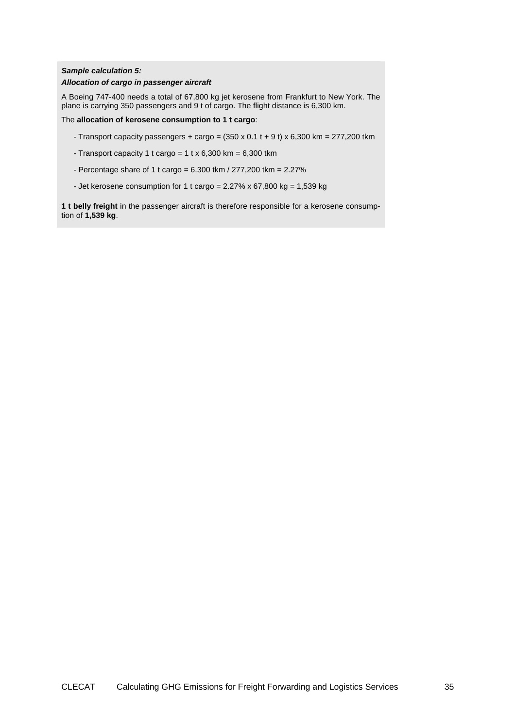### **Sample calculation 5:**

#### **Allocation of cargo in passenger aircraft**

A Boeing 747-400 needs a total of 67,800 kg jet kerosene from Frankfurt to New York. The plane is carrying 350 passengers and 9 t of cargo. The flight distance is 6,300 km.

The **allocation of kerosene consumption to 1 t cargo**:

- Transport capacity passengers + cargo =  $(350 \times 0.1 t + 9 t) \times 6,300 km = 277,200 km$
- Transport capacity 1 t cargo =  $1$  t x 6,300 km = 6,300 tkm
- Percentage share of 1 t cargo = 6.300 tkm / 277,200 tkm = 2.27%
- Jet kerosene consumption for 1 t cargo =  $2.27\%$  x 67,800 kg =  $1,539$  kg

**1 t belly freight** in the passenger aircraft is therefore responsible for a kerosene consumption of **1,539 kg**.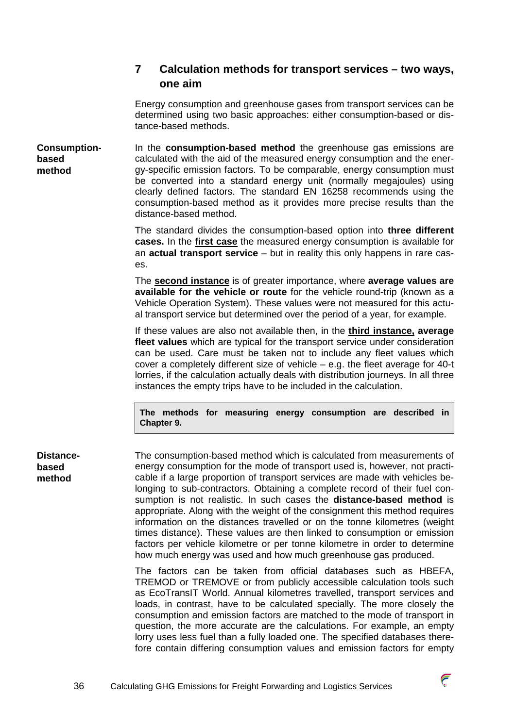# **7 Calculation methods for transport services – two ways, one aim**

Energy consumption and greenhouse gases from transport services can be determined using two basic approaches: either consumption-based or distance-based methods.

In the **consumption-based method** the greenhouse gas emissions are calculated with the aid of the measured energy consumption and the energy-specific emission factors. To be comparable, energy consumption must be converted into a standard energy unit (normally megajoules) using clearly defined factors. The standard EN 16258 recommends using the consumption-based method as it provides more precise results than the distance-based method. **Consumptionbased method** 

> The standard divides the consumption-based option into **three different cases.** In the **first case** the measured energy consumption is available for an **actual transport service** – but in reality this only happens in rare cases.

> The **second instance** is of greater importance, where **average values are available for the vehicle or route** for the vehicle round-trip (known as a Vehicle Operation System). These values were not measured for this actual transport service but determined over the period of a year, for example.

> If these values are also not available then, in the **third instance, average fleet values** which are typical for the transport service under consideration can be used. Care must be taken not to include any fleet values which cover a completely different size of vehicle – e.g. the fleet average for 40-t lorries, if the calculation actually deals with distribution journeys. In all three instances the empty trips have to be included in the calculation.

**The methods for measuring energy consumption are described in Chapter 9.** 

**Distancebased method** 

The consumption-based method which is calculated from measurements of energy consumption for the mode of transport used is, however, not practicable if a large proportion of transport services are made with vehicles belonging to sub-contractors. Obtaining a complete record of their fuel consumption is not realistic. In such cases the **distance-based method** is appropriate. Along with the weight of the consignment this method requires information on the distances travelled or on the tonne kilometres (weight times distance). These values are then linked to consumption or emission factors per vehicle kilometre or per tonne kilometre in order to determine how much energy was used and how much greenhouse gas produced.

The factors can be taken from official databases such as HBEFA, TREMOD or TREMOVE or from publicly accessible calculation tools such as EcoTransIT World. Annual kilometres travelled, transport services and loads, in contrast, have to be calculated specially. The more closely the consumption and emission factors are matched to the mode of transport in question, the more accurate are the calculations. For example, an empty lorry uses less fuel than a fully loaded one. The specified databases therefore contain differing consumption values and emission factors for empty

 $\widehat{\epsilon}$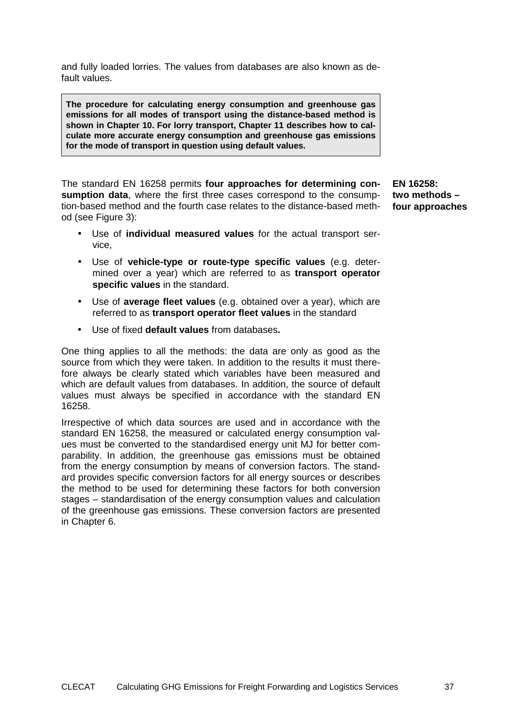and fully loaded lorries. The values from databases are also known as default values.

**The procedure for calculating energy consumption and greenhouse gas emissions for all modes of transport using the distance-based method is shown in Chapter 10. For lorry transport, Chapter 11 describes how to calculate more accurate energy consumption and greenhouse gas emissions for the mode of transport in question using default values.** 

The standard EN 16258 permits **four approaches for determining consumption data**, where the first three cases correspond to the consumption-based method and the fourth case relates to the distance-based method (see Figure 3):

**two methods – four approaches** 

**EN 16258:** 

- Use of **individual measured values** for the actual transport service,
- Use of **vehicle-type or route-type specific values** (e.g. determined over a year) which are referred to as **transport operator specific values** in the standard.
- Use of **average fleet values** (e.g. obtained over a year), which are referred to as **transport operator fleet values** in the standard
- Use of fixed **default values** from databases**.**

One thing applies to all the methods: the data are only as good as the source from which they were taken. In addition to the results it must therefore always be clearly stated which variables have been measured and which are default values from databases. In addition, the source of default values must always be specified in accordance with the standard EN 16258.

Irrespective of which data sources are used and in accordance with the standard EN 16258, the measured or calculated energy consumption values must be converted to the standardised energy unit MJ for better comparability. In addition, the greenhouse gas emissions must be obtained from the energy consumption by means of conversion factors. The standard provides specific conversion factors for all energy sources or describes the method to be used for determining these factors for both conversion stages – standardisation of the energy consumption values and calculation of the greenhouse gas emissions. These conversion factors are presented in Chapter 6.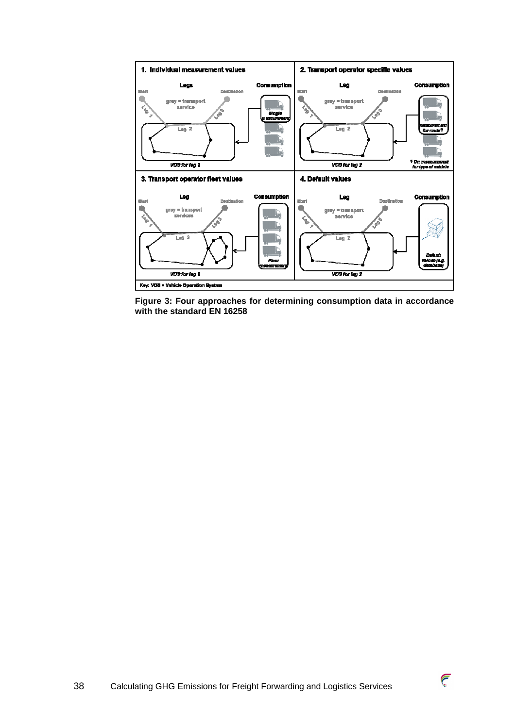![](_page_37_Figure_0.jpeg)

**Figure 3: Four approaches for determining consumption data in accordance with the standard EN 16258** 

![](_page_37_Picture_3.jpeg)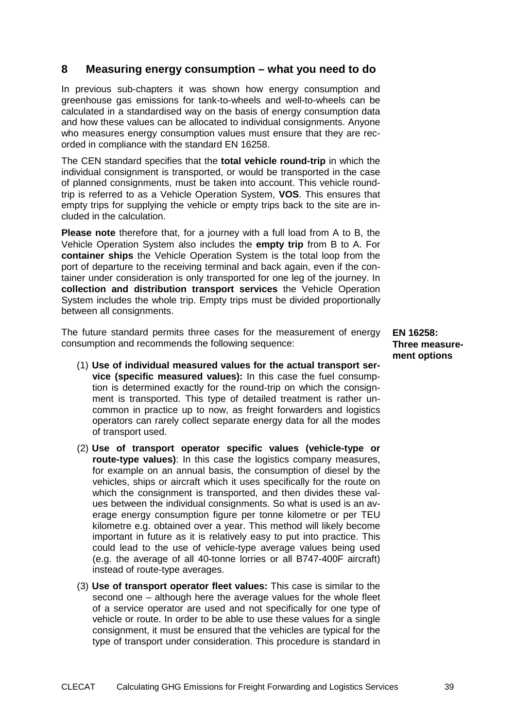# **8 Measuring energy consumption – what you need to do**

In previous sub-chapters it was shown how energy consumption and greenhouse gas emissions for tank-to-wheels and well-to-wheels can be calculated in a standardised way on the basis of energy consumption data and how these values can be allocated to individual consignments. Anyone who measures energy consumption values must ensure that they are recorded in compliance with the standard EN 16258.

The CEN standard specifies that the **total vehicle round-trip** in which the individual consignment is transported, or would be transported in the case of planned consignments, must be taken into account. This vehicle roundtrip is referred to as a Vehicle Operation System, **VOS**. This ensures that empty trips for supplying the vehicle or empty trips back to the site are included in the calculation.

**Please note** therefore that, for a journey with a full load from A to B, the Vehicle Operation System also includes the **empty trip** from B to A. For **container ships** the Vehicle Operation System is the total loop from the port of departure to the receiving terminal and back again, even if the container under consideration is only transported for one leg of the journey. In **collection and distribution transport services** the Vehicle Operation System includes the whole trip. Empty trips must be divided proportionally between all consignments.

The future standard permits three cases for the measurement of energy consumption and recommends the following sequence:

- (1) **Use of individual measured values for the actual transport service (specific measured values):** In this case the fuel consumption is determined exactly for the round-trip on which the consignment is transported. This type of detailed treatment is rather uncommon in practice up to now, as freight forwarders and logistics operators can rarely collect separate energy data for all the modes of transport used.
- (2) **Use of transport operator specific values (vehicle-type or route-type values)**: In this case the logistics company measures, for example on an annual basis, the consumption of diesel by the vehicles, ships or aircraft which it uses specifically for the route on which the consignment is transported, and then divides these values between the individual consignments. So what is used is an average energy consumption figure per tonne kilometre or per TEU kilometre e.g. obtained over a year. This method will likely become important in future as it is relatively easy to put into practice. This could lead to the use of vehicle-type average values being used (e.g. the average of all 40-tonne lorries or all B747-400F aircraft) instead of route-type averages.
- (3) **Use of transport operator fleet values:** This case is similar to the second one – although here the average values for the whole fleet of a service operator are used and not specifically for one type of vehicle or route. In order to be able to use these values for a single consignment, it must be ensured that the vehicles are typical for the type of transport under consideration. This procedure is standard in

**EN 16258: Three measurement options**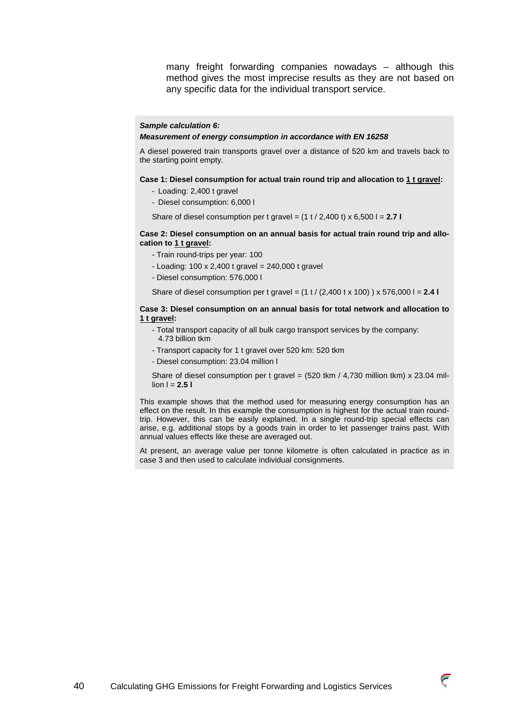many freight forwarding companies nowadays – although this method gives the most imprecise results as they are not based on any specific data for the individual transport service.

#### **Sample calculation 6:**

#### **Measurement of energy consumption in accordance with EN 16258**

A diesel powered train transports gravel over a distance of 520 km and travels back to the starting point empty.

#### **Case 1: Diesel consumption for actual train round trip and allocation to 1 t gravel:**

- Loading: 2,400 t gravel
- Diesel consumption: 6,000 l

Share of diesel consumption per t gravel = (1 t / 2,400 t) x 6,500 l = **2.7 l** 

#### **Case 2: Diesel consumption on an annual basis for actual train round trip and allocation to 1 t gravel:**

- Train round-trips per year: 100
- Loading: 100 x 2,400 t gravel = 240,000 t gravel
- Diesel consumption: 576,000 l

Share of diesel consumption per t gravel = (1 t / (2,400 t x 100) ) x 576,000 l = **2.4 l**

#### **Case 3: Diesel consumption on an annual basis for total network and allocation to 1 t gravel:**

- Total transport capacity of all bulk cargo transport services by the company: 4.73 billion tkm
- Transport capacity for 1 t gravel over 520 km: 520 tkm
- Diesel consumption: 23.04 million l

Share of diesel consumption per t gravel =  $(520 \text{ tkm} / 4,730 \text{ million tkm}) \times 23.04 \text{ mil}$  $\ln 1 = 2.51$ 

This example shows that the method used for measuring energy consumption has an effect on the result. In this example the consumption is highest for the actual train roundtrip. However, this can be easily explained. In a single round-trip special effects can arise, e.g. additional stops by a goods train in order to let passenger trains past. With annual values effects like these are averaged out.

At present, an average value per tonne kilometre is often calculated in practice as in case 3 and then used to calculate individual consignments.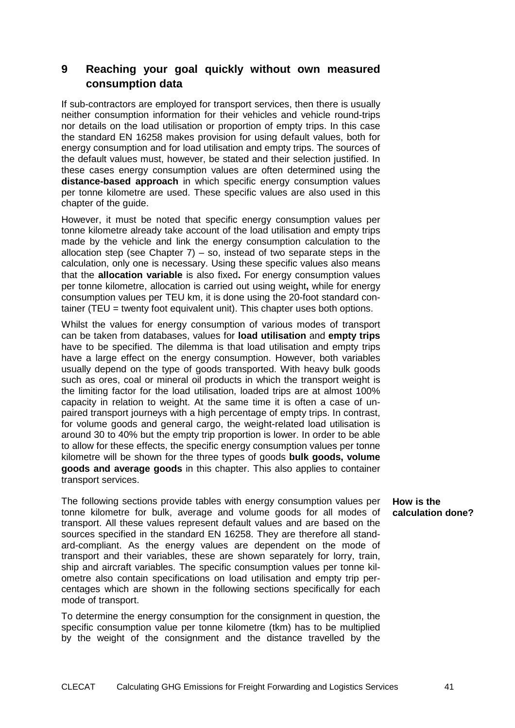# **9 Reaching your goal quickly without own measured consumption data**

If sub-contractors are employed for transport services, then there is usually neither consumption information for their vehicles and vehicle round-trips nor details on the load utilisation or proportion of empty trips. In this case the standard EN 16258 makes provision for using default values, both for energy consumption and for load utilisation and empty trips. The sources of the default values must, however, be stated and their selection justified. In these cases energy consumption values are often determined using the **distance-based approach** in which specific energy consumption values per tonne kilometre are used. These specific values are also used in this chapter of the guide.

However, it must be noted that specific energy consumption values per tonne kilometre already take account of the load utilisation and empty trips made by the vehicle and link the energy consumption calculation to the allocation step (see Chapter  $7$ ) – so, instead of two separate steps in the calculation, only one is necessary. Using these specific values also means that the **allocation variable** is also fixed**.** For energy consumption values per tonne kilometre, allocation is carried out using weight**,** while for energy consumption values per TEU km, it is done using the 20-foot standard container (TEU = twenty foot equivalent unit). This chapter uses both options.

Whilst the values for energy consumption of various modes of transport can be taken from databases, values for **load utilisation** and **empty trips** have to be specified. The dilemma is that load utilisation and empty trips have a large effect on the energy consumption. However, both variables usually depend on the type of goods transported. With heavy bulk goods such as ores, coal or mineral oil products in which the transport weight is the limiting factor for the load utilisation, loaded trips are at almost 100% capacity in relation to weight. At the same time it is often a case of unpaired transport journeys with a high percentage of empty trips. In contrast, for volume goods and general cargo, the weight-related load utilisation is around 30 to 40% but the empty trip proportion is lower. In order to be able to allow for these effects, the specific energy consumption values per tonne kilometre will be shown for the three types of goods **bulk goods, volume goods and average goods** in this chapter. This also applies to container transport services.

The following sections provide tables with energy consumption values per tonne kilometre for bulk, average and volume goods for all modes of transport. All these values represent default values and are based on the sources specified in the standard EN 16258. They are therefore all standard-compliant. As the energy values are dependent on the mode of transport and their variables, these are shown separately for lorry, train, ship and aircraft variables. The specific consumption values per tonne kilometre also contain specifications on load utilisation and empty trip percentages which are shown in the following sections specifically for each mode of transport.

To determine the energy consumption for the consignment in question, the specific consumption value per tonne kilometre (tkm) has to be multiplied by the weight of the consignment and the distance travelled by the **How is the calculation done?**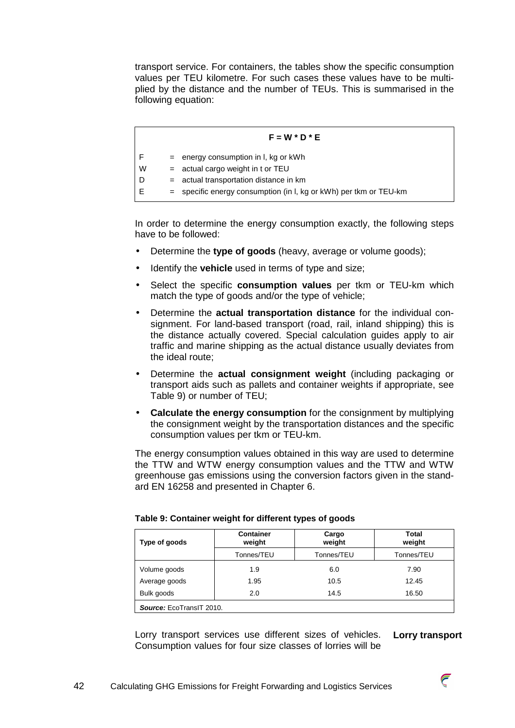transport service. For containers, the tables show the specific consumption values per TEU kilometre. For such cases these values have to be multiplied by the distance and the number of TEUs. This is summarised in the following equation:

# **F = W \* D \* E**   $F =$  energy consumption in I, kg or kWh  $W =$  actual cargo weight in t or TEU  $D = actual transformation distance in km$  $E$  = specific energy consumption (in I, kg or kWh) per tkm or TEU-km

In order to determine the energy consumption exactly, the following steps have to be followed:

- Determine the **type of goods** (heavy, average or volume goods);
- Identify the **vehicle** used in terms of type and size;
- Select the specific **consumption values** per tkm or TEU-km which match the type of goods and/or the type of vehicle;
- Determine the **actual transportation distance** for the individual consignment. For land-based transport (road, rail, inland shipping) this is the distance actually covered. Special calculation guides apply to air traffic and marine shipping as the actual distance usually deviates from the ideal route;
- Determine the **actual consignment weight** (including packaging or transport aids such as pallets and container weights if appropriate, see Table 9) or number of TEU;
- **Calculate the energy consumption** for the consignment by multiplying the consignment weight by the transportation distances and the specific consumption values per tkm or TEU-km.

The energy consumption values obtained in this way are used to determine the TTW and WTW energy consumption values and the TTW and WTW greenhouse gas emissions using the conversion factors given in the standard EN 16258 and presented in Chapter 6.

| Type of goods            | <b>Container</b><br>weight | Cargo<br>weight | Total<br>weight |  |  |
|--------------------------|----------------------------|-----------------|-----------------|--|--|
|                          | Tonnes/TEU                 | Tonnes/TEU      | Tonnes/TEU      |  |  |
| Volume goods             | 1.9                        | 6.0             | 7.90            |  |  |
| Average goods            | 1.95                       | 10.5            | 12.45           |  |  |
| Bulk goods               | 2.0                        | 14.5            | 16.50           |  |  |
| Source: EcoTransIT 2010. |                            |                 |                 |  |  |

|  |  | Table 9: Container weight for different types of goods |  |
|--|--|--------------------------------------------------------|--|
|--|--|--------------------------------------------------------|--|

Lorry transport services use different sizes of vehicles. Consumption values for four size classes of lorries will be **Lorry transport** 

![](_page_41_Picture_14.jpeg)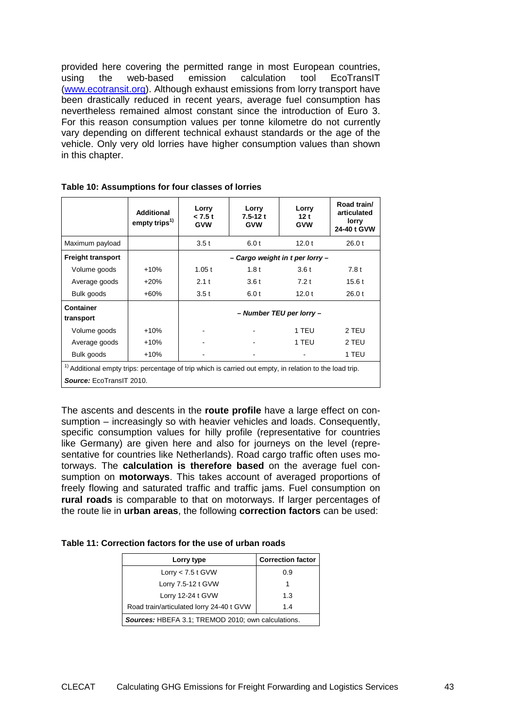provided here covering the permitted range in most European countries, using the web-based emission calculation tool EcoTransIT (www.ecotransit.org). Although exhaust emissions from lorry transport have been drastically reduced in recent years, average fuel consumption has nevertheless remained almost constant since the introduction of Euro 3. For this reason consumption values per tonne kilometre do not currently vary depending on different technical exhaust standards or the age of the vehicle. Only very old lorries have higher consumption values than shown in this chapter.

|                                                                                                                                      | <b>Additional</b><br>empty trips <sup>1)</sup> | Lorry<br>< 7.5t<br><b>GVW</b>   | Lorry<br>$7.5 - 12t$<br><b>GVW</b> | Lorry<br>12t<br><b>GVW</b> | Road train/<br>articulated<br>lorry<br>24-40 t GVW |  |  |
|--------------------------------------------------------------------------------------------------------------------------------------|------------------------------------------------|---------------------------------|------------------------------------|----------------------------|----------------------------------------------------|--|--|
| Maximum payload                                                                                                                      |                                                | 3.5t                            | 6.0 t                              | 12.0t                      | 26.0 t                                             |  |  |
| <b>Freight transport</b>                                                                                                             |                                                | - Cargo weight in t per lorry - |                                    |                            |                                                    |  |  |
| Volume goods                                                                                                                         | $+10%$                                         | 1.05t                           | 1.8t                               | 3.6t                       | 7.8t                                               |  |  |
| Average goods                                                                                                                        | $+20%$                                         | 2.1t                            | 3.6t                               | 7.2t                       | 15.6t                                              |  |  |
| Bulk goods                                                                                                                           | $+60%$                                         | 3.5t                            | 6.0t                               | 12.0t                      | 26.0 t                                             |  |  |
| Container<br>transport                                                                                                               |                                                |                                 |                                    | - Number TEU per lorry -   |                                                    |  |  |
| Volume goods                                                                                                                         | $+10%$                                         |                                 |                                    | 1 TEU                      | 2 TEU                                              |  |  |
| Average goods                                                                                                                        | $+10%$                                         |                                 |                                    | 1 TEU                      | 2 TEU                                              |  |  |
| Bulk goods                                                                                                                           | +10%                                           |                                 |                                    |                            | 1 TEU                                              |  |  |
| $1$ Additional empty trips: percentage of trip which is carried out empty, in relation to the load trip.<br>Source: EcoTransIT 2010. |                                                |                                 |                                    |                            |                                                    |  |  |

**Table 10: Assumptions for four classes of lorries**

The ascents and descents in the **route profile** have a large effect on consumption – increasingly so with heavier vehicles and loads. Consequently, specific consumption values for hilly profile (representative for countries like Germany) are given here and also for journeys on the level (representative for countries like Netherlands). Road cargo traffic often uses motorways. The **calculation is therefore based** on the average fuel consumption on **motorways**. This takes account of averaged proportions of freely flowing and saturated traffic and traffic jams. Fuel consumption on **rural roads** is comparable to that on motorways. If larger percentages of the route lie in **urban areas**, the following **correction factors** can be used:

**Table 11: Correction factors for the use of urban roads** 

| Lorry type                                                | <b>Correction factor</b> |  |  |  |
|-----------------------------------------------------------|--------------------------|--|--|--|
| Lorry $<$ 7.5 t GVW                                       | 0.9                      |  |  |  |
| Lorry 7.5-12 t GVW                                        |                          |  |  |  |
| Lorry 12-24 t GVW                                         | 1.3                      |  |  |  |
| Road train/articulated lorry 24-40 t GVW                  | 1.4                      |  |  |  |
| <b>Sources: HBEFA 3.1; TREMOD 2010; own calculations.</b> |                          |  |  |  |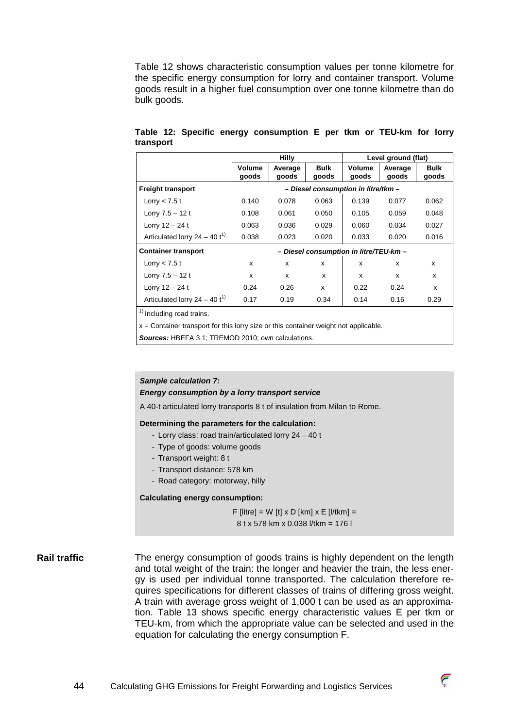Table 12 shows characteristic consumption values per tonne kilometre for the specific energy consumption for lorry and container transport. Volume goods result in a higher fuel consumption over one tonne kilometre than do bulk goods.

|                                   |                                        | <b>Hilly</b>     |                      | Level ground (flat)    |                  |                      |  |
|-----------------------------------|----------------------------------------|------------------|----------------------|------------------------|------------------|----------------------|--|
|                                   | Volume<br>goods                        | Average<br>goods | <b>Bulk</b><br>goods | <b>Volume</b><br>goods | Average<br>goods | <b>Bulk</b><br>goods |  |
| <b>Freight transport</b>          | - Diesel consumption in litre/tkm -    |                  |                      |                        |                  |                      |  |
| Lorry $<$ 7.5 t                   | 0.140                                  | 0.078            | 0.063                | 0.139                  | 0.077            | 0.062                |  |
| Lorry $7.5 - 12t$                 | 0.108                                  | 0.061            | 0.050                | 0.105                  | 0.059            | 0.048                |  |
| Lorry $12 - 24t$                  | 0.063                                  | 0.036            | 0.029                | 0.060                  | 0.034            | 0.027                |  |
| Articulated lorry $24 - 40 t^{1}$ | 0.038                                  | 0.023            | 0.020                | 0.033                  | 0.020            | 0.016                |  |
| <b>Container transport</b>        | - Diesel consumption in litre/TEU-km - |                  |                      |                        |                  |                      |  |
| Lorry $<$ 7.5 t                   | X                                      | x                | x                    | x                      | $\mathsf{x}$     | x                    |  |
| Lorry $7.5 - 12t$                 | X                                      | x                | X                    | x                      | $\mathsf{x}$     | X                    |  |
| Lorry $12 - 24t$                  | 0.24                                   | 0.26             | x                    | 0.22                   | 0.24             | x                    |  |
| Articulated lorry $24 - 40 t^{1}$ | 0.17                                   | 0.19             | 0.34                 | 0.14                   | 0.16             | 0.29                 |  |

**Table 12: Specific energy consumption E per tkm or TEU-km for lorry transport** 

 $<sup>1</sup>$  Including road trains.</sup>

 $x =$  Container transport for this lorry size or this container weight not applicable.

**Sources:** HBEFA 3.1; TREMOD 2010; own calculations.

#### **Sample calculation 7:**

**Energy consumption by a lorry transport service** 

A 40-t articulated lorry transports 8 t of insulation from Milan to Rome.

**Determining the parameters for the calculation:** 

- Lorry class: road train/articulated lorry 24 40 t
- Type of goods: volume goods
- Transport weight: 8 t
- Transport distance: 578 km
- Road category: motorway, hilly

#### **Calculating energy consumption:**

F [litre] = W [t]  $\times$  D [km]  $\times$  E [l/tkm] = 8 t x 578 km x 0.038 l/tkm = 176 l

#### The energy consumption of goods trains is highly dependent on the length and total weight of the train: the longer and heavier the train, the less energy is used per individual tonne transported. The calculation therefore requires specifications for different classes of trains of differing gross weight. A train with average gross weight of 1,000 t can be used as an approximation. Table 13 shows specific energy characteristic values E per tkm or TEU-km, from which the appropriate value can be selected and used in the equation for calculating the energy consumption F. **Rail traffic**

![](_page_43_Picture_19.jpeg)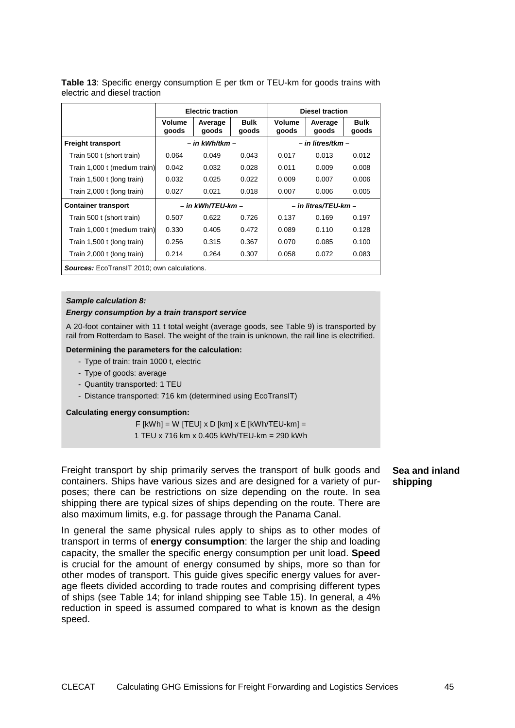|                                                    | <b>Electric traction</b> |                      |               | <b>Diesel traction</b> |                   |                      |
|----------------------------------------------------|--------------------------|----------------------|---------------|------------------------|-------------------|----------------------|
|                                                    | Volume<br>goods          | Average<br>goods     | Bulk<br>goods | Volume<br>goods        | Average<br>goods  | <b>Bulk</b><br>goods |
| <b>Freight transport</b>                           |                          | – in kWh/tkm –       |               |                        | – in litres/tkm – |                      |
| Train 500 t (short train)                          | 0.064                    | 0.049                | 0.043         | 0.017                  | 0.013             | 0.012                |
| Train 1,000 t (medium train)                       | 0.042                    | 0.032                | 0.028         | 0.011                  | 0.009             | 0.008                |
| Train 1,500 t (long train)                         | 0.032                    | 0.025                | 0.022         | 0.009                  | 0.007             | 0.006                |
| Train 2,000 t (long train)                         | 0.027                    | 0.021                | 0.018         | 0.007                  | 0.006             | 0.005                |
| – in kWh/TEU-km –<br><b>Container transport</b>    |                          | – in litres/TEU-km – |               |                        |                   |                      |
| Train 500 t (short train)                          | 0.507                    | 0.622                | 0.726         | 0.137                  | 0.169             | 0.197                |
| Train 1,000 t (medium train)                       | 0.330                    | 0.405                | 0.472         | 0.089                  | 0.110             | 0.128                |
| Train 1,500 t (long train)                         | 0.256                    | 0.315                | 0.367         | 0.070                  | 0.085             | 0.100                |
| Train 2,000 t (long train)                         | 0.214                    | 0.264                | 0.307         | 0.058                  | 0.072             | 0.083                |
| <b>Sources:</b> EcoTransIT 2010: own calculations. |                          |                      |               |                        |                   |                      |

**Table 13**: Specific energy consumption E per tkm or TEU-km for goods trains with electric and diesel traction

#### **Sample calculation 8:**

#### **Energy consumption by a train transport service**

A 20-foot container with 11 t total weight (average goods, see Table 9) is transported by rail from Rotterdam to Basel. The weight of the train is unknown, the rail line is electrified.

#### **Determining the parameters for the calculation:**

- Type of train: train 1000 t, electric
- Type of goods: average
- Quantity transported: 1 TEU
- Distance transported: 716 km (determined using EcoTransIT)

#### **Calculating energy consumption:**

F  $[kWh] = W$   $[TEU] \times D$   $[kml] \times E$   $[kWh/TEU-kml] =$ 1 TEU x 716 km x 0.405 kWh/TEU-km = 290 kWh

Freight transport by ship primarily serves the transport of bulk goods and containers. Ships have various sizes and are designed for a variety of purposes; there can be restrictions on size depending on the route. In sea shipping there are typical sizes of ships depending on the route. There are also maximum limits, e.g. for passage through the Panama Canal.

In general the same physical rules apply to ships as to other modes of transport in terms of **energy consumption**: the larger the ship and loading capacity, the smaller the specific energy consumption per unit load. **Speed** is crucial for the amount of energy consumed by ships, more so than for other modes of transport. This guide gives specific energy values for average fleets divided according to trade routes and comprising different types of ships (see Table 14; for inland shipping see Table 15). In general, a 4% reduction in speed is assumed compared to what is known as the design speed.

**Sea and inland shipping**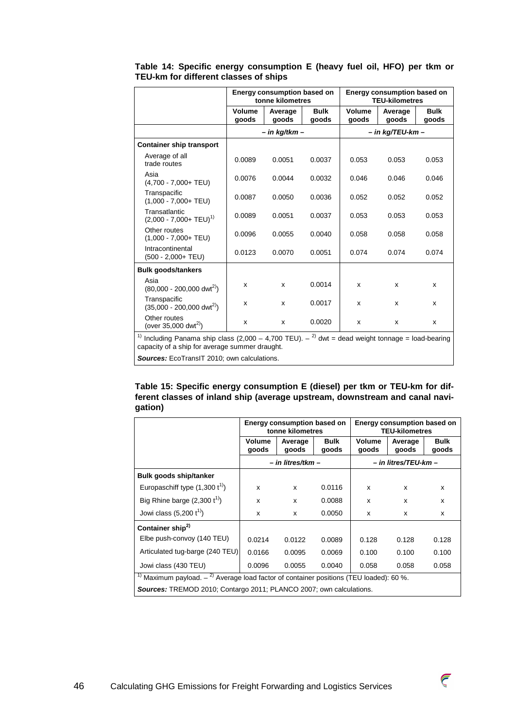|                                                    |                 | Energy consumption based on<br>tonne kilometres |                      | <b>Energy consumption based on</b><br><b>TEU-kilometres</b> |                      |                      |  |
|----------------------------------------------------|-----------------|-------------------------------------------------|----------------------|-------------------------------------------------------------|----------------------|----------------------|--|
|                                                    | Volume<br>goods | Average<br>goods                                | <b>Bulk</b><br>goods | Volume<br>goods                                             | Average<br>goods     | <b>Bulk</b><br>goods |  |
|                                                    |                 | – in kg/tkm –                                   |                      |                                                             | $-$ in kg/TEU-km $-$ |                      |  |
| <b>Container ship transport</b>                    |                 |                                                 |                      |                                                             |                      |                      |  |
| Average of all<br>trade routes                     | 0.0089          | 0.0051                                          | 0.0037               | 0.053                                                       | 0.053                | 0.053                |  |
| Asia<br>$(4,700 - 7,000 + TEU)$                    | 0.0076          | 0.0044                                          | 0.0032               | 0.046                                                       | 0.046                | 0.046                |  |
| Transpacific<br>$(1,000 - 7,000 + TEU)$            | 0.0087          | 0.0050                                          | 0.0036               | 0.052                                                       | 0.052                | 0.052                |  |
| Transatlantic<br>$(2,000 - 7,000 + TEU)^{1}$       | 0.0089          | 0.0051                                          | 0.0037               | 0.053                                                       | 0.053                | 0.053                |  |
| Other routes<br>$(1,000 - 7,000 + TEU)$            | 0.0096          | 0.0055                                          | 0.0040               | 0.058                                                       | 0.058                | 0.058                |  |
| Intracontinental<br>$(500 - 2,000 + TEU)$          | 0.0123          | 0.0070                                          | 0.0051               | 0.074                                                       | 0.074                | 0.074                |  |
| <b>Bulk goods/tankers</b>                          |                 |                                                 |                      |                                                             |                      |                      |  |
| Asia<br>$(80,000 - 200,000 \text{ dwt}^{2})$       | x               | x                                               | 0.0014               | x                                                           | x                    | X                    |  |
| Transpacific<br>$(35,000 - 200,000 \text{ dwt}^2)$ | x               | x                                               | 0.0017               | X                                                           | X                    | x                    |  |
| Other routes<br>(over 35,000 dwt <sup>2)</sup> )   | x               | x                                               | 0.0020               | x                                                           | X                    | x                    |  |

**Table 14: Specific energy consumption E (heavy fuel oil, HFO) per tkm or TEU-km for different classes of ships** 

<sup>1)</sup> Including Panama ship class (2,000 – 4,700 TEU).  $-$ <sup>2)</sup> dwt = dead weight tonnage = load-bearing capacity of a ship for average summer draught.

**Sources:** EcoTransIT 2010; own calculations.

**Table 15: Specific energy consumption E (diesel) per tkm or TEU-km for different classes of inland ship (average upstream, downstream and canal navigation)** 

|                                                                                                                 | <b>Energy consumption based on</b><br>tonne kilometres |                   |                      | Energy consumption based on<br><b>TEU-kilometres</b> |                  |                      |
|-----------------------------------------------------------------------------------------------------------------|--------------------------------------------------------|-------------------|----------------------|------------------------------------------------------|------------------|----------------------|
|                                                                                                                 | Volume<br>goods                                        | Average<br>qoods  | <b>Bulk</b><br>goods | Volume<br>goods                                      | Average<br>goods | <b>Bulk</b><br>goods |
|                                                                                                                 |                                                        | – in litres/tkm – |                      | – in litres/TEU-km –                                 |                  |                      |
| <b>Bulk goods ship/tanker</b>                                                                                   |                                                        |                   |                      |                                                      |                  |                      |
| Europaschiff type $(1,300 t^{1})$                                                                               | X                                                      | $\mathsf{x}$      | 0.0116               | x                                                    | x                | x                    |
| Big Rhine barge $(2,300 t1)$                                                                                    | X                                                      | x                 | 0.0088               | X                                                    | x                | x                    |
| Jowi class $(5,200 t^{1})$                                                                                      | X                                                      | $\mathsf{x}$      | 0.0050               | X                                                    | x                | x                    |
| Container ship <sup>2)</sup>                                                                                    |                                                        |                   |                      |                                                      |                  |                      |
| Elbe push-convoy (140 TEU)                                                                                      | 0.0214                                                 | 0.0122            | 0.0089               | 0.128                                                | 0.128            | 0.128                |
| Articulated tug-barge (240 TEU)                                                                                 | 0.0166                                                 | 0.0095            | 0.0069               | 0.100                                                | 0.100            | 0.100                |
| Jowi class (430 TEU)                                                                                            | 0.0096                                                 | 0.0055            | 0.0040               | 0.058                                                | 0.058            | 0.058                |
| <sup>1)</sup> Maximum payload. $-$ <sup>2)</sup> Average load factor of container positions (TEU loaded): 60 %. |                                                        |                   |                      |                                                      |                  |                      |
| <b>Sources:</b> TREMOD 2010; Contargo 2011; PLANCO 2007; own calculations.                                      |                                                        |                   |                      |                                                      |                  |                      |

 $\widehat{\epsilon}$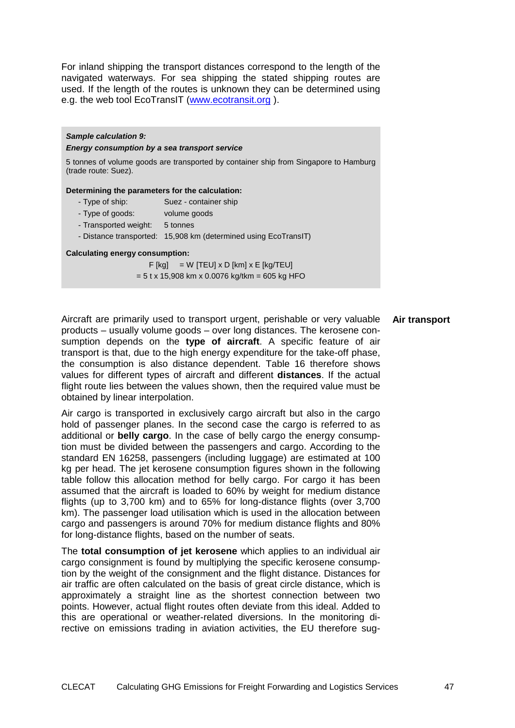For inland shipping the transport distances correspond to the length of the navigated waterways. For sea shipping the stated shipping routes are used. If the length of the routes is unknown they can be determined using e.g. the web tool EcoTransIT (www.ecotransit.org ).

# **Sample calculation 9: Energy consumption by a sea transport service**  5 tonnes of volume goods are transported by container ship from Singapore to Hamburg (trade route: Suez). **Determining the parameters for the calculation:**  - Type of ship: Suez - container ship - Type of goods: volume goods - Transported weight: 5 tonnes

- Distance transported: 15,908 km (determined using EcoTransIT)

### **Calculating energy consumption:**

 $F$  [kg] = W [TEU] x D [km] x E [kg/TEU]  $= 5$  t x 15,908 km x 0.0076 kg/tkm = 605 kg HFO

Aircraft are primarily used to transport urgent, perishable or very valuable products – usually volume goods – over long distances. The kerosene consumption depends on the **type of aircraft**. A specific feature of air transport is that, due to the high energy expenditure for the take-off phase, the consumption is also distance dependent. Table 16 therefore shows values for different types of aircraft and different **distances**. If the actual flight route lies between the values shown, then the required value must be obtained by linear interpolation.

Air cargo is transported in exclusively cargo aircraft but also in the cargo hold of passenger planes. In the second case the cargo is referred to as additional or **belly cargo**. In the case of belly cargo the energy consumption must be divided between the passengers and cargo. According to the standard EN 16258, passengers (including luggage) are estimated at 100 kg per head. The jet kerosene consumption figures shown in the following table follow this allocation method for belly cargo. For cargo it has been assumed that the aircraft is loaded to 60% by weight for medium distance flights (up to 3,700 km) and to 65% for long-distance flights (over 3,700 km). The passenger load utilisation which is used in the allocation between cargo and passengers is around 70% for medium distance flights and 80% for long-distance flights, based on the number of seats.

The **total consumption of jet kerosene** which applies to an individual air cargo consignment is found by multiplying the specific kerosene consumption by the weight of the consignment and the flight distance. Distances for air traffic are often calculated on the basis of great circle distance, which is approximately a straight line as the shortest connection between two points. However, actual flight routes often deviate from this ideal. Added to this are operational or weather-related diversions. In the monitoring directive on emissions trading in aviation activities, the EU therefore sug-

#### **Air transport**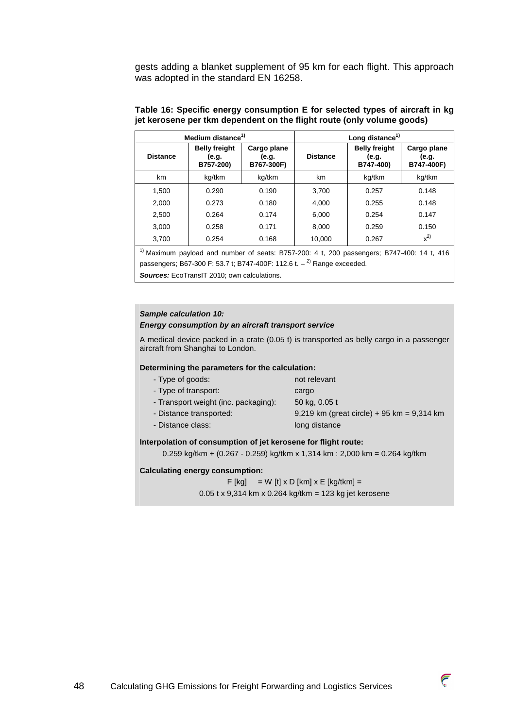gests adding a blanket supplement of 95 km for each flight. This approach was adopted in the standard EN 16258.

| Medium distance <sup>1)</sup> |                                            |                                    |                 | Long distance <sup>1)</sup>                |                                    |
|-------------------------------|--------------------------------------------|------------------------------------|-----------------|--------------------------------------------|------------------------------------|
| <b>Distance</b>               | <b>Belly freight</b><br>(e.g.<br>B757-200) | Cargo plane<br>(e.g.<br>B767-300F) | <b>Distance</b> | <b>Belly freight</b><br>(e.g.<br>B747-400) | Cargo plane<br>(e.g.<br>B747-400F) |
| km                            | kg/tkm                                     | kg/tkm                             | km              | kg/tkm                                     | kg/tkm                             |
| 1,500                         | 0.290                                      | 0.190                              | 3,700           | 0.257                                      | 0.148                              |
| 2,000                         | 0.273                                      | 0.180                              | 4,000           | 0.255                                      | 0.148                              |
| 2,500                         | 0.264                                      | 0.174                              | 6,000           | 0.254                                      | 0.147                              |
| 3,000                         | 0.258                                      | 0.171                              | 8,000           | 0.259                                      | 0.150                              |
| 3,700                         | 0.254                                      | 0.168                              | 10,000          | 0.267                                      | $x^{2}$                            |

### **Table 16: Specific energy consumption E for selected types of aircraft in kg jet kerosene per tkm dependent on the flight route (only volume goods)**

<sup>1)</sup> Maximum payload and number of seats: B757-200: 4 t, 200 passengers: B747-400: 14 t, 416 passengers; B67-300 F: 53.7 t; B747-400F: 112.6 t.  $-$ <sup>2)</sup> Range exceeded.

**Sources:** EcoTransIT 2010; own calculations.

#### **Sample calculation 10:**

#### **Energy consumption by an aircraft transport service**

A medical device packed in a crate (0.05 t) is transported as belly cargo in a passenger aircraft from Shanghai to London.

#### **Determining the parameters for the calculation:**

| - Type of goods:                     | not relevant                                 |
|--------------------------------------|----------------------------------------------|
| - Type of transport:                 | cargo                                        |
| - Transport weight (inc. packaging): | 50 kg, 0.05 t                                |
| - Distance transported:              | 9,219 km (great circle) + 95 km = $9,314$ km |
| - Distance class:                    | long distance                                |
|                                      |                                              |

#### **Interpolation of consumption of jet kerosene for flight route:**

0.259 kg/tkm +  $(0.267 - 0.259)$  kg/tkm x 1,314 km : 2,000 km = 0.264 kg/tkm

#### **Calculating energy consumption:**

 $F$  [kg] = W [t] x D [km] x E [kg/tkm] = 0.05 t x 9,314 km x 0.264 kg/tkm = 123 kg jet kerosene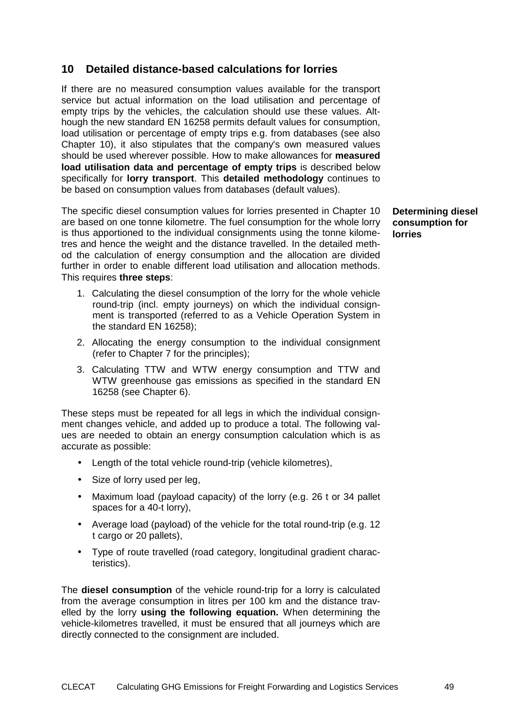# **10 Detailed distance-based calculations for lorries**

If there are no measured consumption values available for the transport service but actual information on the load utilisation and percentage of empty trips by the vehicles, the calculation should use these values. Although the new standard EN 16258 permits default values for consumption, load utilisation or percentage of empty trips e.g. from databases (see also Chapter 10), it also stipulates that the company's own measured values should be used wherever possible. How to make allowances for **measured load utilisation data and percentage of empty trips** is described below specifically for **lorry transport**. This **detailed methodology** continues to be based on consumption values from databases (default values).

The specific diesel consumption values for lorries presented in Chapter 10 are based on one tonne kilometre. The fuel consumption for the whole lorry is thus apportioned to the individual consignments using the tonne kilometres and hence the weight and the distance travelled. In the detailed method the calculation of energy consumption and the allocation are divided further in order to enable different load utilisation and allocation methods. This requires **three steps**:

- 1. Calculating the diesel consumption of the lorry for the whole vehicle round-trip (incl. empty journeys) on which the individual consignment is transported (referred to as a Vehicle Operation System in the standard EN 16258);
- 2. Allocating the energy consumption to the individual consignment (refer to Chapter 7 for the principles);
- 3. Calculating TTW and WTW energy consumption and TTW and WTW greenhouse gas emissions as specified in the standard EN 16258 (see Chapter 6).

These steps must be repeated for all legs in which the individual consignment changes vehicle, and added up to produce a total. The following values are needed to obtain an energy consumption calculation which is as accurate as possible:

- Length of the total vehicle round-trip (vehicle kilometres),
- Size of lorry used per leg.
- Maximum load (payload capacity) of the lorry (e.g. 26 t or 34 pallet spaces for a 40-t lorry),
- Average load (payload) of the vehicle for the total round-trip (e.g. 12 t cargo or 20 pallets),
- Type of route travelled (road category, longitudinal gradient characteristics).

The **diesel consumption** of the vehicle round-trip for a lorry is calculated from the average consumption in litres per 100 km and the distance travelled by the lorry **using the following equation.** When determining the vehicle-kilometres travelled, it must be ensured that all journeys which are directly connected to the consignment are included.

**Determining diesel consumption for lorries**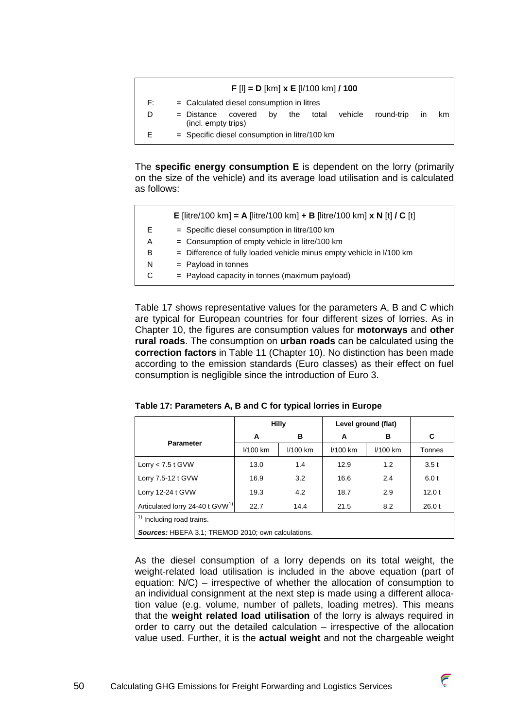# **F** [l] **= D** [km] **x E** [l/100 km] **/ 100**

- F: = Calculated diesel consumption in litres
- D = Distance covered by the total vehicle round-trip in km (incl. empty trips)
- $E =$  Specific diesel consumption in litre/100 km

The **specific energy consumption E** is dependent on the lorry (primarily on the size of the vehicle) and its average load utilisation and is calculated as follows:

|    | <b>E</b> [litre/100 km] = A [litre/100 km] + B [litre/100 km] x N [t] / C [t] |
|----|-------------------------------------------------------------------------------|
| F. | $=$ Specific diesel consumption in litre/100 km                               |
| А  | $=$ Consumption of empty vehicle in litre/100 km                              |
| В  | $=$ Difference of fully loaded vehicle minus empty vehicle in $1/100$ km      |
| N  | $=$ Payload in tonnes                                                         |
|    | $=$ Payload capacity in tonnes (maximum payload)                              |
|    |                                                                               |

Table 17 shows representative values for the parameters A, B and C which are typical for European countries for four different sizes of lorries. As in Chapter 10, the figures are consumption values for **motorways** and **other rural roads**. The consumption on **urban roads** can be calculated using the **correction factors** in Table 11 (Chapter 10). No distinction has been made according to the emission standards (Euro classes) as their effect on fuel consumption is negligible since the introduction of Euro 3.

| Table 17: Parameters A, B and C for typical lorries in Europe |  |  |
|---------------------------------------------------------------|--|--|

|                                                           |          | <b>Hilly</b> | Level ground (flat) |          |        |
|-----------------------------------------------------------|----------|--------------|---------------------|----------|--------|
| <b>Parameter</b>                                          | A        | в            | A                   | в        | C      |
|                                                           | I/100 km | I/100 km     | I/100 km            | I/100 km | Tonnes |
| Lorry $<$ 7.5 t GVW                                       | 13.0     | 1.4          | 12.9                | 1.2      | 3.5t   |
| Lorry 7.5-12 t GVW                                        | 16.9     | 3.2          | 16.6                | 2.4      | 6.0t   |
| Lorry 12-24 t GVW                                         | 19.3     | 4.2          | 18.7                | 2.9      | 12.0t  |
| Articulated lorry 24-40 t GVW <sup>1)</sup>               | 22.7     | 14.4         | 21.5                | 8.2      | 26.0t  |
| <sup>1)</sup> Including road trains.                      |          |              |                     |          |        |
| <b>Sources: HBEFA 3.1; TREMOD 2010; own calculations.</b> |          |              |                     |          |        |

As the diesel consumption of a lorry depends on its total weight, the weight-related load utilisation is included in the above equation (part of equation: N/C) – irrespective of whether the allocation of consumption to an individual consignment at the next step is made using a different allocation value (e.g. volume, number of pallets, loading metres). This means that the **weight related load utilisation** of the lorry is always required in order to carry out the detailed calculation – irrespective of the allocation value used. Further, it is the **actual weight** and not the chargeable weight

 $\overline{\epsilon}$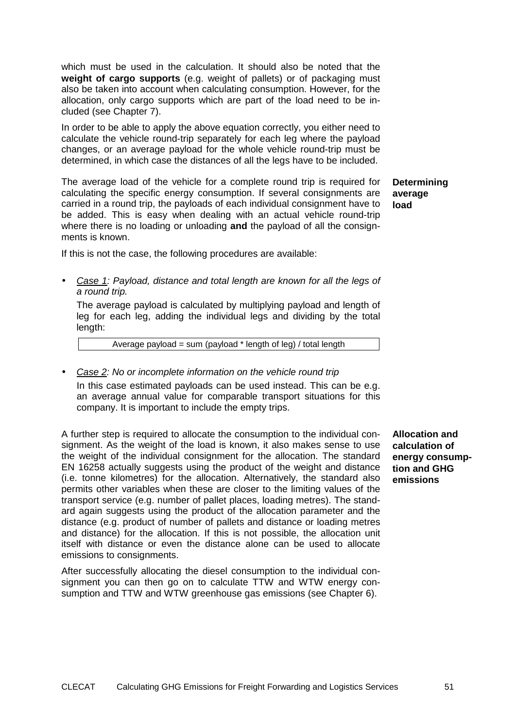which must be used in the calculation. It should also be noted that the **weight of cargo supports** (e.g. weight of pallets) or of packaging must also be taken into account when calculating consumption. However, for the allocation, only cargo supports which are part of the load need to be included (see Chapter 7).

In order to be able to apply the above equation correctly, you either need to calculate the vehicle round-trip separately for each leg where the payload changes, or an average payload for the whole vehicle round-trip must be determined, in which case the distances of all the legs have to be included.

The average load of the vehicle for a complete round trip is required for calculating the specific energy consumption. If several consignments are carried in a round trip, the payloads of each individual consignment have to be added. This is easy when dealing with an actual vehicle round-trip where there is no loading or unloading **and** the payload of all the consignments is known. **load** 

**Determining average** 

If this is not the case, the following procedures are available:

• Case 1: Payload, distance and total length are known for all the legs of a round trip.

The average payload is calculated by multiplying payload and length of leg for each leg, adding the individual legs and dividing by the total length:

Average payload = sum (payload \* length of leg) / total length

• Case 2: No or incomplete information on the vehicle round trip

In this case estimated payloads can be used instead. This can be e.g. an average annual value for comparable transport situations for this company. It is important to include the empty trips.

A further step is required to allocate the consumption to the individual consignment. As the weight of the load is known, it also makes sense to use the weight of the individual consignment for the allocation. The standard EN 16258 actually suggests using the product of the weight and distance (i.e. tonne kilometres) for the allocation. Alternatively, the standard also permits other variables when these are closer to the limiting values of the transport service (e.g. number of pallet places, loading metres). The standard again suggests using the product of the allocation parameter and the distance (e.g. product of number of pallets and distance or loading metres and distance) for the allocation. If this is not possible, the allocation unit itself with distance or even the distance alone can be used to allocate emissions to consignments.

After successfully allocating the diesel consumption to the individual consignment you can then go on to calculate TTW and WTW energy consumption and TTW and WTW greenhouse gas emissions (see Chapter 6).

**Allocation and calculation of energy consumption and GHG emissions**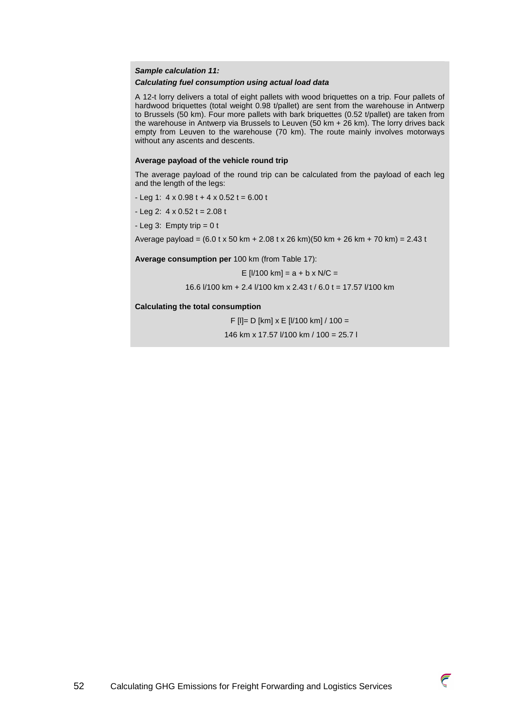## **Sample calculation 11:**

#### **Calculating fuel consumption using actual load data**

A 12-t lorry delivers a total of eight pallets with wood briquettes on a trip. Four pallets of hardwood briquettes (total weight 0.98 t/pallet) are sent from the warehouse in Antwerp to Brussels (50 km). Four more pallets with bark briquettes (0.52 t/pallet) are taken from the warehouse in Antwerp via Brussels to Leuven (50 km + 26 km). The lorry drives back empty from Leuven to the warehouse (70 km). The route mainly involves motorways without any ascents and descents.

#### **Average payload of the vehicle round trip**

The average payload of the round trip can be calculated from the payload of each leg and the length of the legs:

- $-$  Leg 1: 4 x 0.98 t + 4 x 0.52 t = 6.00 t
- $-$  Leg 2:  $4 \times 0.52$  t = 2.08 t
- $-Leq$  3: Empty trip = 0 t

Average payload =  $(6.0 \text{ t x } 50 \text{ km} + 2.08 \text{ t x } 26 \text{ km})$  $(50 \text{ km} + 26 \text{ km} + 70 \text{ km}) = 2.43 \text{ t}$ 

**Average consumption per** 100 km (from Table 17):

E  $[1/100 \text{ km}] = a + b \times N/C =$ 

16.6 l/100 km + 2.4 l/100 km x 2.43 t / 6.0 t = 17.57 l/100 km

**Calculating the total consumption** 

F [l]= D [km] x E [l/100 km] / 100 =

146 km x 17.57 l/100 km / 100 = 25.7 l

52 Calculating GHG Emissions for Freight Forwarding and Logistics Services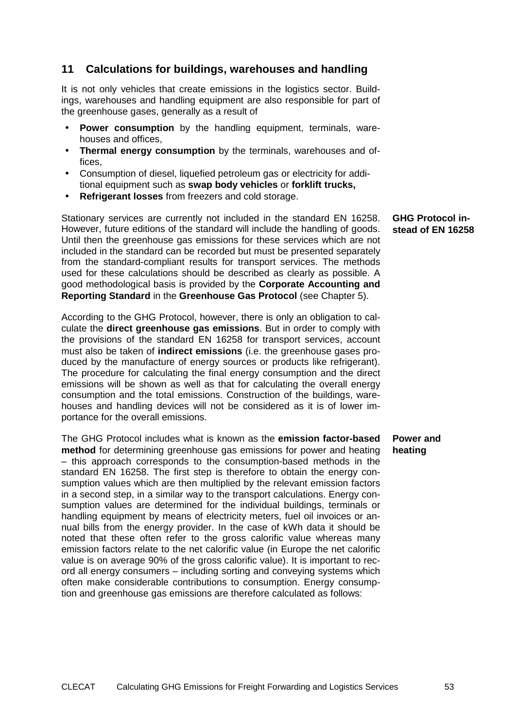# **11 Calculations for buildings, warehouses and handling**

It is not only vehicles that create emissions in the logistics sector. Buildings, warehouses and handling equipment are also responsible for part of the greenhouse gases, generally as a result of

- **Power consumption** by the handling equipment, terminals, warehouses and offices,
- **Thermal energy consumption** by the terminals, warehouses and offices,
- Consumption of diesel, liquefied petroleum gas or electricity for additional equipment such as **swap body vehicles** or **forklift trucks,**
- **Refrigerant losses** from freezers and cold storage.

Stationary services are currently not included in the standard EN 16258. However, future editions of the standard will include the handling of goods. Until then the greenhouse gas emissions for these services which are not included in the standard can be recorded but must be presented separately from the standard-compliant results for transport services. The methods used for these calculations should be described as clearly as possible. A good methodological basis is provided by the **Corporate Accounting and Reporting Standard** in the **Greenhouse Gas Protocol** (see Chapter 5).

According to the GHG Protocol, however, there is only an obligation to calculate the **direct greenhouse gas emissions**. But in order to comply with the provisions of the standard EN 16258 for transport services, account must also be taken of **indirect emissions** (i.e. the greenhouse gases produced by the manufacture of energy sources or products like refrigerant). The procedure for calculating the final energy consumption and the direct emissions will be shown as well as that for calculating the overall energy consumption and the total emissions. Construction of the buildings, warehouses and handling devices will not be considered as it is of lower importance for the overall emissions.

The GHG Protocol includes what is known as the **emission factor-based method** for determining greenhouse gas emissions for power and heating – this approach corresponds to the consumption-based methods in the standard EN 16258. The first step is therefore to obtain the energy consumption values which are then multiplied by the relevant emission factors in a second step, in a similar way to the transport calculations. Energy consumption values are determined for the individual buildings, terminals or handling equipment by means of electricity meters, fuel oil invoices or annual bills from the energy provider. In the case of kWh data it should be noted that these often refer to the gross calorific value whereas many emission factors relate to the net calorific value (in Europe the net calorific value is on average 90% of the gross calorific value). It is important to record all energy consumers – including sorting and conveying systems which often make considerable contributions to consumption. Energy consumption and greenhouse gas emissions are therefore calculated as follows: **Power and heating** 

**GHG Protocol instead of EN 16258**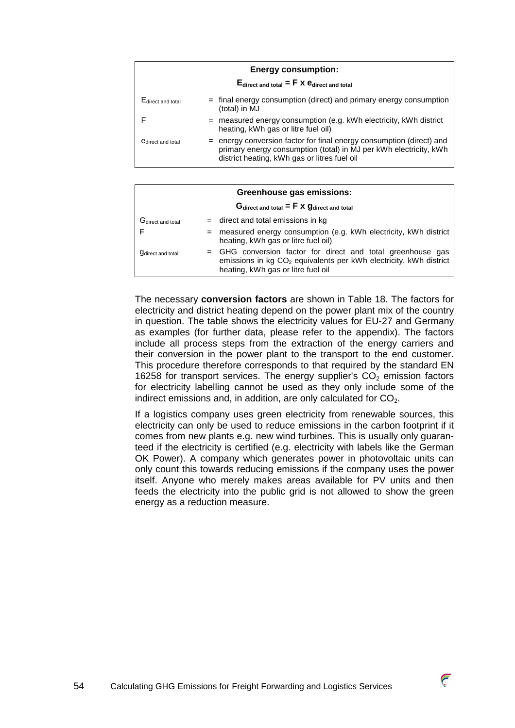| <b>Energy consumption:</b> |                                                                                                                                                                                             |  |  |  |  |
|----------------------------|---------------------------------------------------------------------------------------------------------------------------------------------------------------------------------------------|--|--|--|--|
|                            | $E_{\text{direct and total}} = F \times e_{\text{direct and total}}$                                                                                                                        |  |  |  |  |
| Edirect and total          | = final energy consumption (direct) and primary energy consumption<br>(total) in MJ                                                                                                         |  |  |  |  |
|                            | = measured energy consumption (e.g. kWh electricity, kWh district<br>heating, kWh gas or litre fuel oil)                                                                                    |  |  |  |  |
| <b>e</b> direct and total  | $=$ energy conversion factor for final energy consumption (direct) and<br>primary energy consumption (total) in MJ per kWh electricity, kWh<br>district heating, kWh gas or litres fuel oil |  |  |  |  |

| Greenhouse gas emissions:                        |                                                                                                                                                                                    |  |  |  |
|--------------------------------------------------|------------------------------------------------------------------------------------------------------------------------------------------------------------------------------------|--|--|--|
| $Gdirect and total = F \times Gdirect and total$ |                                                                                                                                                                                    |  |  |  |
| G <sub>direct</sub> and total                    | $=$ direct and total emissions in kg                                                                                                                                               |  |  |  |
|                                                  | = measured energy consumption (e.g. kWh electricity, kWh district<br>heating, kWh gas or litre fuel oil)                                                                           |  |  |  |
| <b>g</b> direct and total                        | = GHG conversion factor for direct and total greenhouse gas<br>emissions in kg CO <sub>2</sub> equivalents per kWh electricity, kWh district<br>heating, kWh gas or litre fuel oil |  |  |  |

The necessary **conversion factors** are shown in Table 18. The factors for electricity and district heating depend on the power plant mix of the country in question. The table shows the electricity values for EU-27 and Germany as examples (for further data, please refer to the appendix). The factors include all process steps from the extraction of the energy carriers and their conversion in the power plant to the transport to the end customer. This procedure therefore corresponds to that required by the standard EN 16258 for transport services. The energy supplier's  $CO<sub>2</sub>$  emission factors for electricity labelling cannot be used as they only include some of the indirect emissions and, in addition, are only calculated for  $CO<sub>2</sub>$ .

If a logistics company uses green electricity from renewable sources, this electricity can only be used to reduce emissions in the carbon footprint if it comes from new plants e.g. new wind turbines. This is usually only guaranteed if the electricity is certified (e.g. electricity with labels like the German OK Power). A company which generates power in photovoltaic units can only count this towards reducing emissions if the company uses the power itself. Anyone who merely makes areas available for PV units and then feeds the electricity into the public grid is not allowed to show the green energy as a reduction measure.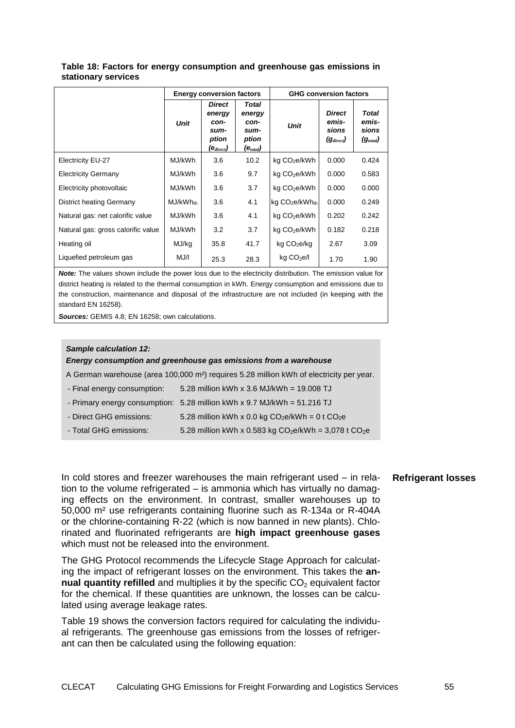|                                    | <b>Energy conversion factors</b> |                                                                             |                                                                          | <b>GHG conversion factors</b>          |                                                   |                                                         |  |
|------------------------------------|----------------------------------|-----------------------------------------------------------------------------|--------------------------------------------------------------------------|----------------------------------------|---------------------------------------------------|---------------------------------------------------------|--|
|                                    | <b>Unit</b>                      | <b>Direct</b><br>energy<br>con-<br>sum-<br>ption<br>$(\mathbf{e}_{direct})$ | <b>Total</b><br>energy<br>con-<br>sum-<br>ption<br>(e <sub>total</sub> ) | <b>Unit</b>                            | <b>Direct</b><br>emis-<br>sions<br>$(g_{direct})$ | <b>Total</b><br>emis-<br>sions<br>(g <sub>total</sub> ) |  |
| Electricity EU-27                  | MJ/kWh                           | 3.6                                                                         | 10.2                                                                     | kg CO <sub>2</sub> e/kWh               | 0.000                                             | 0.424                                                   |  |
| <b>Electricity Germany</b>         | MJ/kWh                           | 3.6                                                                         | 9.7                                                                      | kg CO <sub>2</sub> e/kWh               | 0.000                                             | 0.583                                                   |  |
| Electricity photovoltaic           | MJ/kWh                           | 3.6                                                                         | 3.7                                                                      | kg CO <sub>2</sub> e/kWh               | 0.000                                             | 0.000                                                   |  |
| <b>District heating Germany</b>    | MJ/kWh <sub>th</sub>             | 3.6                                                                         | 4.1                                                                      | kg CO <sub>2</sub> e/kWh <sub>th</sub> | 0.000                                             | 0.249                                                   |  |
| Natural gas: net calorific value   | MJ/kWh                           | 3.6                                                                         | 4.1                                                                      | kg CO <sub>2</sub> e/kWh               | 0.202                                             | 0.242                                                   |  |
| Natural gas: gross calorific value | MJ/kWh                           | 3.2                                                                         | 3.7                                                                      | kg CO <sub>2</sub> e/kWh               | 0.182                                             | 0.218                                                   |  |
| Heating oil                        | MJ/kg                            | 35.8                                                                        | 41.7                                                                     | kg CO <sub>2</sub> e/kg                | 2.67                                              | 3.09                                                    |  |
| Liquefied petroleum gas            | MJ/I                             | 25.3                                                                        | 28.3                                                                     | kg CO <sub>2</sub> e/l                 | 1.70                                              | 1.90                                                    |  |

### **Table 18: Factors for energy consumption and greenhouse gas emissions in stationary services**

**Note:** The values shown include the power loss due to the electricity distribution. The emission value for district heating is related to the thermal consumption in kWh. Energy consumption and emissions due to the construction, maintenance and disposal of the infrastructure are not included (in keeping with the standard EN 16258).

**Sources:** GEMIS 4.8; EN 16258; own calculations.

#### **Sample calculation 12:**

**Energy consumption and greenhouse gas emissions from a warehouse** 

A German warehouse (area 100,000 m²) requires 5.28 million kWh of electricity per year.

- Final energy consumption: 5.28 million kWh x 3.6 MJ/kWh = 19.008 TJ
- Primary energy consumption: 5.28 million kWh x 9.7 MJ/kWh = 51.216 TJ
- Direct GHG emissions:  $5.28$  million kWh x 0.0 kg CO<sub>2</sub>e/kWh = 0 t CO<sub>2</sub>e

- Total GHG emissions:  $5.28$  million kWh x 0.583 kg CO<sub>2</sub>e/kWh =  $3,078$  t CO<sub>2</sub>e

## In cold stores and freezer warehouses the main refrigerant used – in relation to the volume refrigerated – is ammonia which has virtually no damaging effects on the environment. In contrast, smaller warehouses up to 50,000 m² use refrigerants containing fluorine such as R-134a or R-404A or the chlorine-containing R-22 (which is now banned in new plants). Chlorinated and fluorinated refrigerants are **high impact greenhouse gases** which must not be released into the environment.

The GHG Protocol recommends the Lifecycle Stage Approach for calculating the impact of refrigerant losses on the environment. This takes the **annual quantity refilled** and multiplies it by the specific CO<sub>2</sub> equivalent factor for the chemical. If these quantities are unknown, the losses can be calculated using average leakage rates.

Table 19 shows the conversion factors required for calculating the individual refrigerants. The greenhouse gas emissions from the losses of refrigerant can then be calculated using the following equation:

### **Refrigerant losses**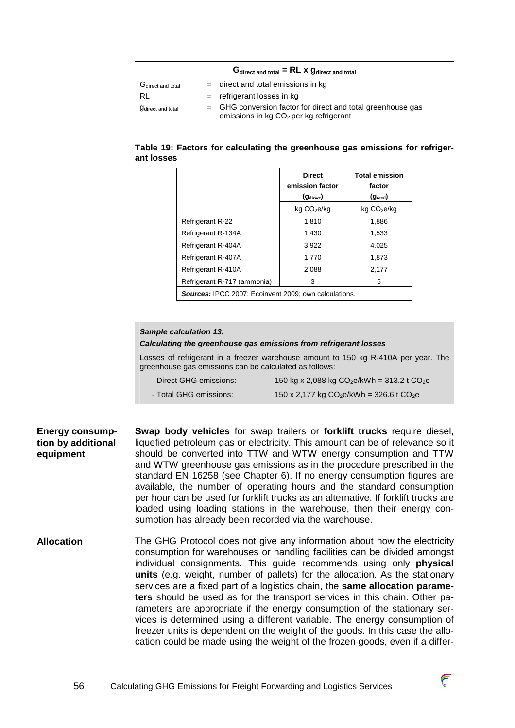|                               | $Gdirect and total = RL \times Gdirect and total$                                                                   |
|-------------------------------|---------------------------------------------------------------------------------------------------------------------|
| G <sub>direct</sub> and total | $=$ direct and total emissions in kg                                                                                |
| RL                            | $=$ refrigerant losses in $kg$                                                                                      |
| <b>g</b> direct and total     | $=$ GHG conversion factor for direct and total greenhouse gas<br>emissions in kg CO <sub>2</sub> per kg refrigerant |

### **Table 19: Factors for calculating the greenhouse gas emissions for refrigerant losses**

|                                                              | <b>Direct</b><br>emission factor<br>$(g_{\text{direct}})$ | <b>Total emission</b><br>factor<br>(g <sub>total</sub> ) |  |
|--------------------------------------------------------------|-----------------------------------------------------------|----------------------------------------------------------|--|
|                                                              | kg CO <sub>2</sub> e/kg                                   | kg CO <sub>2</sub> e/kg                                  |  |
| <b>Refrigerant R-22</b>                                      | 1,810                                                     | 1,886                                                    |  |
| Refrigerant R-134A                                           | 1.430                                                     | 1,533                                                    |  |
| Refrigerant R-404A                                           | 3,922                                                     | 4.025                                                    |  |
| Refrigerant R-407A                                           | 1.770                                                     | 1,873                                                    |  |
| Refrigerant R-410A                                           | 2.088                                                     | 2,177                                                    |  |
| Refrigerant R-717 (ammonia)                                  | 3                                                         | 5                                                        |  |
| <b>Sources: IPCC 2007: Ecoinvent 2009: own calculations.</b> |                                                           |                                                          |  |

#### **Sample calculation 13:**

#### **Calculating the greenhouse gas emissions from refrigerant losses**

Losses of refrigerant in a freezer warehouse amount to 150 kg R-410A per year. The greenhouse gas emissions can be calculated as follows:

- Direct GHG emissions:  $150 \text{ kg} \times 2,088 \text{ kg CO}_2 \text{e/kWh} = 313.2 \text{ t CO}_2 \text{e}$
- Total GHG emissions:  $150 \times 2,177$  kg  $CO<sub>2</sub>e/kWh = 326.6$  t  $CO<sub>2</sub>e$

**Swap body vehicles** for swap trailers or **forklift trucks** require diesel, liquefied petroleum gas or electricity. This amount can be of relevance so it should be converted into TTW and WTW energy consumption and TTW and WTW greenhouse gas emissions as in the procedure prescribed in the standard EN 16258 (see Chapter 6). If no energy consumption figures are available, the number of operating hours and the standard consumption per hour can be used for forklift trucks as an alternative. If forklift trucks are loaded using loading stations in the warehouse, then their energy consumption has already been recorded via the warehouse. **Energy consumption by additional equipment** 

The GHG Protocol does not give any information about how the electricity consumption for warehouses or handling facilities can be divided amongst individual consignments. This guide recommends using only **physical units** (e.g. weight, number of pallets) for the allocation. As the stationary services are a fixed part of a logistics chain, the **same allocation parameters** should be used as for the transport services in this chain. Other parameters are appropriate if the energy consumption of the stationary services is determined using a different variable. The energy consumption of freezer units is dependent on the weight of the goods. In this case the allocation could be made using the weight of the frozen goods, even if a differ-**Allocation** 

![](_page_55_Picture_11.jpeg)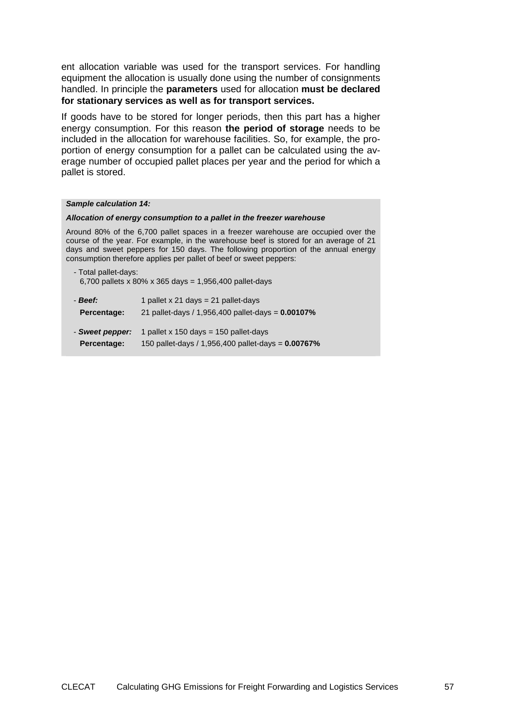ent allocation variable was used for the transport services. For handling equipment the allocation is usually done using the number of consignments handled. In principle the **parameters** used for allocation **must be declared for stationary services as well as for transport services.**

If goods have to be stored for longer periods, then this part has a higher energy consumption. For this reason **the period of storage** needs to be included in the allocation for warehouse facilities. So, for example, the proportion of energy consumption for a pallet can be calculated using the average number of occupied pallet places per year and the period for which a pallet is stored.

#### **Sample calculation 14:**

#### **Allocation of energy consumption to a pallet in the freezer warehouse**

Around 80% of the 6,700 pallet spaces in a freezer warehouse are occupied over the course of the year. For example, in the warehouse beef is stored for an average of 21 days and sweet peppers for 150 days. The following proportion of the annual energy consumption therefore applies per pallet of beef or sweet peppers:

| - Total pallet-days:                                   |  |
|--------------------------------------------------------|--|
| 6,700 pallets x 80% x 365 days = 1,956,400 pallet-days |  |

| - Beef:         | 1 pallet x 21 days = 21 pallet-days                      |
|-----------------|----------------------------------------------------------|
| Percentage:     | 21 pallet-days / 1,956,400 pallet-days = <b>0.00107%</b> |
| - Sweet pepper: | 1 pallet x 150 days = $150$ pallet-days                  |

**Percentage:** 150 pallet-days / 1,956,400 pallet-days = **0.00767%**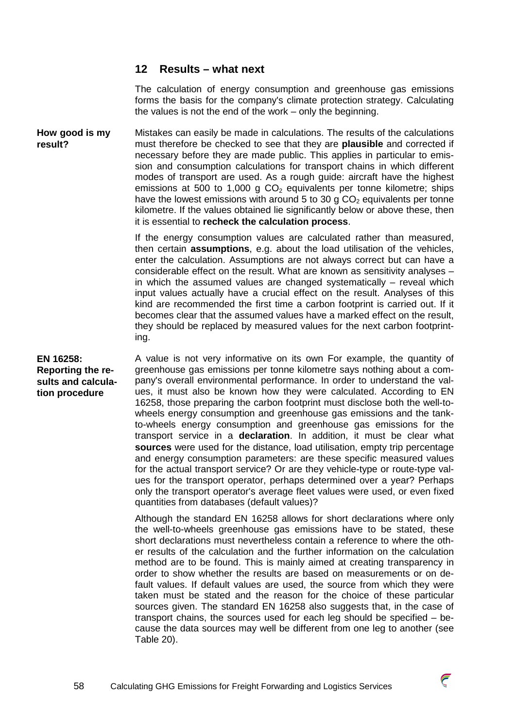# **12 Results – what next**

The calculation of energy consumption and greenhouse gas emissions forms the basis for the company's climate protection strategy. Calculating the values is not the end of the work – only the beginning.

Mistakes can easily be made in calculations. The results of the calculations must therefore be checked to see that they are **plausible** and corrected if necessary before they are made public. This applies in particular to emission and consumption calculations for transport chains in which different modes of transport are used. As a rough guide: aircraft have the highest emissions at 500 to 1,000 g  $CO<sub>2</sub>$  equivalents per tonne kilometre; ships have the lowest emissions with around 5 to 30 g  $CO<sub>2</sub>$  equivalents per tonne kilometre. If the values obtained lie significantly below or above these, then it is essential to **recheck the calculation process**. **How good is my result?** 

> If the energy consumption values are calculated rather than measured, then certain **assumptions**, e.g. about the load utilisation of the vehicles, enter the calculation. Assumptions are not always correct but can have a considerable effect on the result. What are known as sensitivity analyses – in which the assumed values are changed systematically – reveal which input values actually have a crucial effect on the result. Analyses of this kind are recommended the first time a carbon footprint is carried out. If it becomes clear that the assumed values have a marked effect on the result, they should be replaced by measured values for the next carbon footprinting.

# **EN 16258: Reporting the results and calculation procedure**

A value is not very informative on its own For example, the quantity of greenhouse gas emissions per tonne kilometre says nothing about a company's overall environmental performance. In order to understand the values, it must also be known how they were calculated. According to EN 16258, those preparing the carbon footprint must disclose both the well-towheels energy consumption and greenhouse gas emissions and the tankto-wheels energy consumption and greenhouse gas emissions for the transport service in a **declaration**. In addition, it must be clear what **sources** were used for the distance, load utilisation, empty trip percentage and energy consumption parameters: are these specific measured values for the actual transport service? Or are they vehicle-type or route-type values for the transport operator, perhaps determined over a year? Perhaps only the transport operator's average fleet values were used, or even fixed quantities from databases (default values)?

Although the standard EN 16258 allows for short declarations where only the well-to-wheels greenhouse gas emissions have to be stated, these short declarations must nevertheless contain a reference to where the other results of the calculation and the further information on the calculation method are to be found. This is mainly aimed at creating transparency in order to show whether the results are based on measurements or on default values. If default values are used, the source from which they were taken must be stated and the reason for the choice of these particular sources given. The standard EN 16258 also suggests that, in the case of transport chains, the sources used for each leg should be specified – because the data sources may well be different from one leg to another (see Table 20).

![](_page_57_Picture_8.jpeg)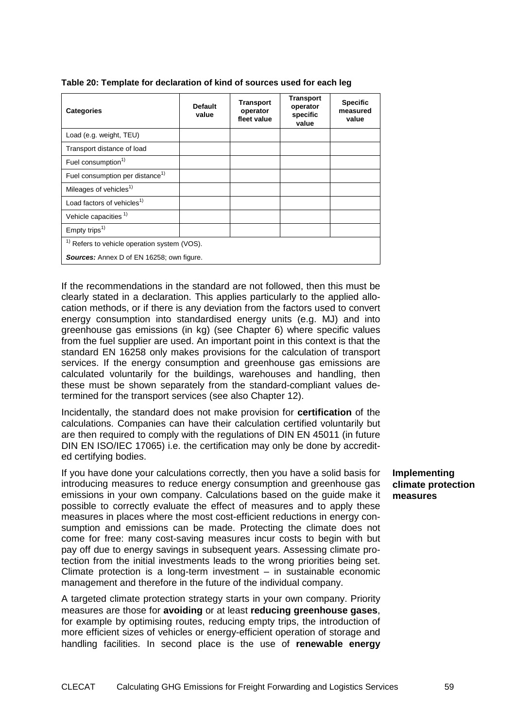| <b>Categories</b>                                       | <b>Default</b><br>value | Transport<br>operator<br>fleet value | <b>Transport</b><br>operator<br>specific<br>value | <b>Specific</b><br>measured<br>value |
|---------------------------------------------------------|-------------------------|--------------------------------------|---------------------------------------------------|--------------------------------------|
| Load (e.g. weight, TEU)                                 |                         |                                      |                                                   |                                      |
| Transport distance of load                              |                         |                                      |                                                   |                                      |
| Fuel consumption <sup>1)</sup>                          |                         |                                      |                                                   |                                      |
| Fuel consumption per distance <sup>1)</sup>             |                         |                                      |                                                   |                                      |
| Mileages of vehicles <sup>1)</sup>                      |                         |                                      |                                                   |                                      |
| Load factors of vehicles <sup>1)</sup>                  |                         |                                      |                                                   |                                      |
| Vehicle capacities <sup>1)</sup>                        |                         |                                      |                                                   |                                      |
| Empty trips <sup>1)</sup>                               |                         |                                      |                                                   |                                      |
| <sup>1)</sup> Refers to vehicle operation system (VOS). |                         |                                      |                                                   |                                      |
| <b>Sources:</b> Annex D of EN 16258; own figure.        |                         |                                      |                                                   |                                      |

#### **Table 20: Template for declaration of kind of sources used for each leg**

If the recommendations in the standard are not followed, then this must be clearly stated in a declaration. This applies particularly to the applied allocation methods, or if there is any deviation from the factors used to convert energy consumption into standardised energy units (e.g. MJ) and into greenhouse gas emissions (in kg) (see Chapter 6) where specific values from the fuel supplier are used. An important point in this context is that the standard EN 16258 only makes provisions for the calculation of transport services. If the energy consumption and greenhouse gas emissions are calculated voluntarily for the buildings, warehouses and handling, then these must be shown separately from the standard-compliant values determined for the transport services (see also Chapter 12).

Incidentally, the standard does not make provision for **certification** of the calculations. Companies can have their calculation certified voluntarily but are then required to comply with the regulations of DIN EN 45011 (in future DIN EN ISO/IEC 17065) i.e. the certification may only be done by accredited certifying bodies.

If you have done your calculations correctly, then you have a solid basis for introducing measures to reduce energy consumption and greenhouse gas emissions in your own company. Calculations based on the guide make it possible to correctly evaluate the effect of measures and to apply these measures in places where the most cost-efficient reductions in energy consumption and emissions can be made. Protecting the climate does not come for free: many cost-saving measures incur costs to begin with but pay off due to energy savings in subsequent years. Assessing climate protection from the initial investments leads to the wrong priorities being set. Climate protection is a long-term investment  $-$  in sustainable economic management and therefore in the future of the individual company.

A targeted climate protection strategy starts in your own company. Priority measures are those for **avoiding** or at least **reducing greenhouse gases**, for example by optimising routes, reducing empty trips, the introduction of more efficient sizes of vehicles or energy-efficient operation of storage and handling facilities. In second place is the use of **renewable energy** 

**Implementing climate protection measures**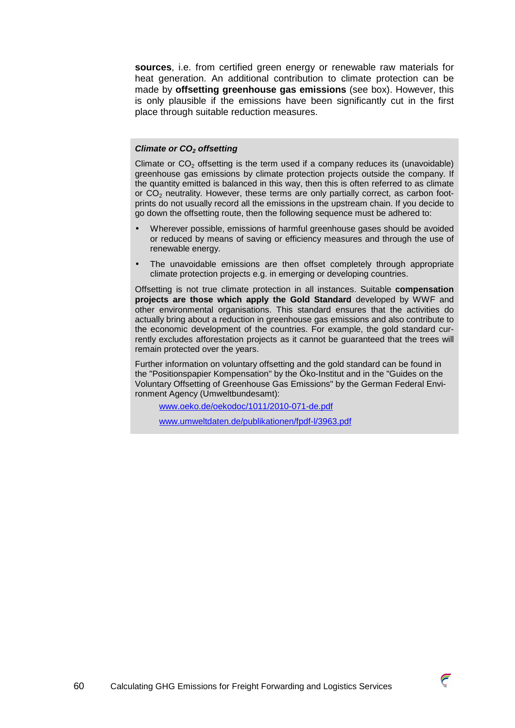**sources**, i.e. from certified green energy or renewable raw materials for heat generation. An additional contribution to climate protection can be made by **offsetting greenhouse gas emissions** (see box). However, this is only plausible if the emissions have been significantly cut in the first place through suitable reduction measures.

### **Climate or CO2 offsetting**

Climate or  $CO<sub>2</sub>$  offsetting is the term used if a company reduces its (unavoidable) greenhouse gas emissions by climate protection projects outside the company. If the quantity emitted is balanced in this way, then this is often referred to as climate or CO<sub>2</sub> neutrality. However, these terms are only partially correct, as carbon footprints do not usually record all the emissions in the upstream chain. If you decide to go down the offsetting route, then the following sequence must be adhered to:

- Wherever possible, emissions of harmful greenhouse gases should be avoided or reduced by means of saving or efficiency measures and through the use of renewable energy.
- The unavoidable emissions are then offset completely through appropriate climate protection projects e.g. in emerging or developing countries.

Offsetting is not true climate protection in all instances. Suitable **compensation projects are those which apply the Gold Standard** developed by WWF and other environmental organisations. This standard ensures that the activities do actually bring about a reduction in greenhouse gas emissions and also contribute to the economic development of the countries. For example, the gold standard currently excludes afforestation projects as it cannot be guaranteed that the trees will remain protected over the years.

Further information on voluntary offsetting and the gold standard can be found in the "Positionspapier Kompensation" by the Öko-Institut and in the "Guides on the Voluntary Offsetting of Greenhouse Gas Emissions" by the German Federal Environment Agency (Umweltbundesamt):

www.oeko.de/oekodoc/1011/2010-071-de.pdf

www.umweltdaten.de/publikationen/fpdf-l/3963.pdf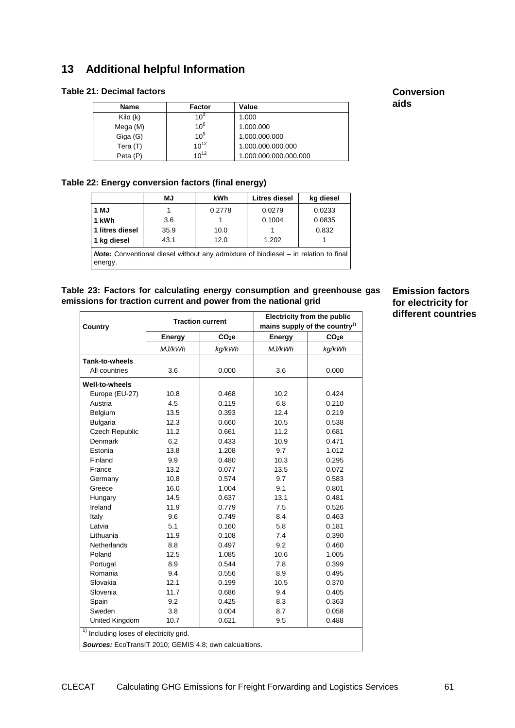# **13 Additional helpful Information**

# **Table 21: Decimal factors**

| Name     | Factor          | Value                 |
|----------|-----------------|-----------------------|
| Kilo (k) | 10 <sup>3</sup> | 1.000                 |
| Mega (M) | 10 <sup>6</sup> | 1.000.000             |
| Giga (G) | 10 <sup>9</sup> | 1.000.000.000         |
| Tera (T) | $10^{12}$       | 1.000.000.000.000     |
| Peta (P) | $10^{12}$       | 1.000.000.000.000.000 |

# **Conversion aids**

# **Table 22: Energy conversion factors (final energy)**

|                                                                                                       | <b>MJ</b> | kWh    | Litres diesel | kg diesel |
|-------------------------------------------------------------------------------------------------------|-----------|--------|---------------|-----------|
| 1 MJ                                                                                                  |           | 0.2778 | 0.0279        | 0.0233    |
| 1 kWh                                                                                                 | 3.6       |        | 0.1004        | 0.0835    |
| 1 litres diesel                                                                                       | 35.9      | 10.0   |               | 0.832     |
| 1 kg diesel                                                                                           | 43.1      | 12.0   | 1.202         |           |
| <b>Note:</b> Conventional diesel without any admixture of biodiesel – in relation to final<br>energy. |           |        |               |           |

### **Table 23: Factors for calculating energy consumption and greenhouse gas emissions for traction current and power from the national grid**

|                                                        | <b>Traction current</b> |                   | <b>Electricity from the public</b>        |                   |  |
|--------------------------------------------------------|-------------------------|-------------------|-------------------------------------------|-------------------|--|
| Country                                                |                         |                   | mains supply of the country <sup>1)</sup> |                   |  |
|                                                        | Energy                  | CO <sub>2</sub> e | <b>Energy</b>                             | CO <sub>2</sub> e |  |
|                                                        | MJ/kWh                  | kg/kWh            | MJ/kWh                                    | kg/kWh            |  |
| Tank-to-wheels                                         |                         |                   |                                           |                   |  |
| All countries                                          | 3.6                     | 0.000             | 3.6                                       | 0.000             |  |
| Well-to-wheels                                         |                         |                   |                                           |                   |  |
| Europe (EU-27)                                         | 10.8                    | 0.468             | 10.2                                      | 0.424             |  |
| Austria                                                | 4.5                     | 0.119             | 6.8                                       | 0.210             |  |
| Belgium                                                | 13.5                    | 0.393             | 12.4                                      | 0.219             |  |
| <b>Bulgaria</b>                                        | 12.3                    | 0.660             | 10.5                                      | 0.538             |  |
| Czech Republic                                         | 11.2                    | 0.661             | 11.2                                      | 0.681             |  |
| Denmark                                                | 6.2                     | 0.433             | 10.9                                      | 0.471             |  |
| Estonia                                                | 13.8                    | 1.208             | 9.7                                       | 1.012             |  |
| Finland                                                | 9.9                     | 0.480             | 10.3                                      | 0.295             |  |
| France                                                 | 13.2                    | 0.077             | 13.5                                      | 0.072             |  |
| Germany                                                | 10.8                    | 0.574             | 9.7                                       | 0.583             |  |
| Greece                                                 | 16.0                    | 1.004             | 9.1                                       | 0.801             |  |
| Hungary                                                | 14.5                    | 0.637             | 13.1                                      | 0.481             |  |
| Ireland                                                | 11.9                    | 0.779             | 7.5                                       | 0.526             |  |
| Italy                                                  | 9.6                     | 0.749             | 8.4                                       | 0.463             |  |
| Latvia                                                 | 5.1                     | 0.160             | 5.8                                       | 0.181             |  |
| Lithuania                                              | 11.9                    | 0.108             | 7.4                                       | 0.390             |  |
| <b>Netherlands</b>                                     | 8.8                     | 0.497             | 9.2                                       | 0.460             |  |
| Poland                                                 | 12.5                    | 1.085             | 10.6                                      | 1.005             |  |
| Portugal                                               | 8.9                     | 0.544             | 7.8                                       | 0.399             |  |
| Romania                                                | 9.4                     | 0.556             | 8.9                                       | 0.495             |  |
| Slovakia                                               | 12.1                    | 0.199             | 10.5                                      | 0.370             |  |
| Slovenia                                               | 11.7                    | 0.686             | 9.4                                       | 0.405             |  |
| Spain                                                  | 9.2                     | 0.425             | 8.3                                       | 0.363             |  |
| Sweden                                                 | 3.8                     | 0.004             | 8.7                                       | 0.058             |  |
| United Kingdom                                         | 10.7                    | 0.621             | 9.5                                       | 0.488             |  |
| $\overline{1)}$ Including loses of electricity grid.   |                         |                   |                                           |                   |  |
| Sources: EcoTransIT 2010; GEMIS 4.8; own calcualtions. |                         |                   |                                           |                   |  |

**Emission factors for electricity for different countries**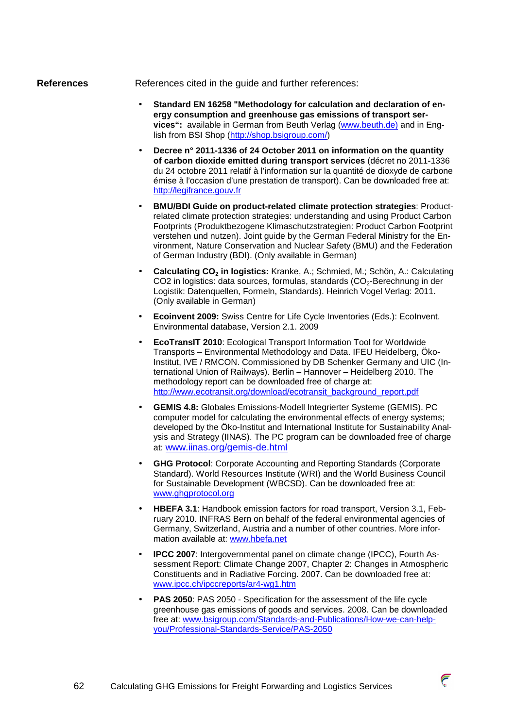#### **References**

References cited in the guide and further references:

- **Standard EN 16258 "Methodology for calculation and declaration of energy consumption and greenhouse gas emissions of transport services":** available in German from Beuth Verlag (www.beuth.de) and in English from BSI Shop (http://shop.bsigroup.com/)
- **Decree n° 2011-1336 of 24 October 2011 on information on the quantity of carbon dioxide emitted during transport services** (décret no 2011-1336 du 24 octobre 2011 relatif à l'information sur la quantité de dioxyde de carbone émise à l'occasion d'une prestation de transport). Can be downloaded free at: http://legifrance.gouv.fr
- **BMU/BDI Guide on product-related climate protection strategies**: Productrelated climate protection strategies: understanding and using Product Carbon Footprints (Produktbezogene Klimaschutzstrategien: Product Carbon Footprint verstehen und nutzen). Joint guide by the German Federal Ministry for the Environment, Nature Conservation and Nuclear Safety (BMU) and the Federation of German Industry (BDI). (Only available in German)
- **Calculating CO2 in logistics:** Kranke, A.; Schmied, M.; Schön, A.: Calculating CO2 in logistics: data sources, formulas, standards (CO<sub>2</sub>-Berechnung in der Logistik: Datenquellen, Formeln, Standards). Heinrich Vogel Verlag: 2011. (Only available in German)
- **Ecoinvent 2009:** Swiss Centre for Life Cycle Inventories (Eds.): EcoInvent. Environmental database, Version 2.1. 2009
- **EcoTransIT 2010**: Ecological Transport Information Tool for Worldwide Transports – Environmental Methodology and Data. IFEU Heidelberg, Öko-Institut, IVE / RMCON. Commissioned by DB Schenker Germany and UIC (International Union of Railways). Berlin – Hannover – Heidelberg 2010. The methodology report can be downloaded free of charge at: http://www.ecotransit.org/download/ecotransit\_background\_report.pdf
- **GEMIS 4.8:** Globales Emissions-Modell Integrierter Systeme (GEMIS). PC computer model for calculating the environmental effects of energy systems; developed by the Öko-Institut and International Institute for Sustainability Analysis and Strategy (IINAS). The PC program can be downloaded free of charge at: www.iinas.org/gemis-de.html
- **GHG Protocol**: Corporate Accounting and Reporting Standards (Corporate Standard). World Resources Institute (WRI) and the World Business Council for Sustainable Development (WBCSD). Can be downloaded free at: www.ghgprotocol.org
- **HBEFA 3.1**: Handbook emission factors for road transport, Version 3.1, February 2010. INFRAS Bern on behalf of the federal environmental agencies of Germany, Switzerland, Austria and a number of other countries. More information available at: www.hbefa.net
- **IPCC 2007**: Intergovernmental panel on climate change (IPCC), Fourth Assessment Report: Climate Change 2007, Chapter 2: Changes in Atmospheric Constituents and in Radiative Forcing. 2007. Can be downloaded free at: www.ipcc.ch/ipccreports/ar4-wg1.htm
- **PAS 2050**: PAS 2050 Specification for the assessment of the life cycle greenhouse gas emissions of goods and services. 2008. Can be downloaded free at: www.bsigroup.com/Standards-and-Publications/How-we-can-helpyou/Professional-Standards-Service/PAS-2050

![](_page_61_Picture_14.jpeg)